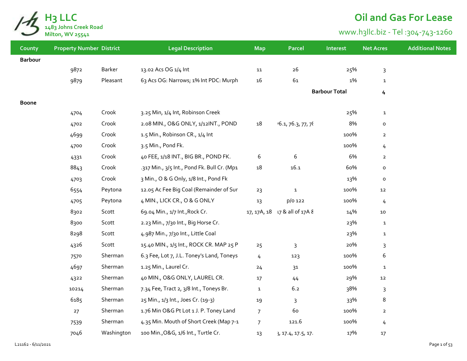

## **Oil and Gas For Lease**

## www.h3llc.biz - Tel :304-743-1260

| County         | <b>Property Number District</b> |            | <b>Legal Description</b>                    | <b>Map</b>     | Parcel                        | Interest             | <b>Net Acres</b> | <b>Additional Notes</b> |
|----------------|---------------------------------|------------|---------------------------------------------|----------------|-------------------------------|----------------------|------------------|-------------------------|
| <b>Barbour</b> |                                 |            |                                             |                |                               |                      |                  |                         |
|                | 9872                            | Barker     | 13.02 Acs OG 1/4 Int                        | 11             | $26\,$                        | 25%                  | $\mathbf{3}$     |                         |
|                | 9879                            | Pleasant   | 63 Acs OG: Narrows; 1% Int PDC: Murph       | 16             | 61                            | 1%                   | $\mathbf{1}$     |                         |
|                |                                 |            |                                             |                |                               | <b>Barbour Total</b> | 4                |                         |
| <b>Boone</b>   |                                 |            |                                             |                |                               |                      |                  |                         |
|                | 4704                            | Crook      | 3.25 Min, 1/4 Int, Robinson Creek           |                |                               | 25%                  | $\mathbf{1}$     |                         |
|                | 4702                            | Crook      | 2.08 MIN., O&G ONLY, 1/12INT., POND         | 18             | 16.1, 76.3, 77, 78            | 8%                   | $\mathsf{o}$     |                         |
|                | 4699                            | Crook      | 1.5 Min., Robinson CR., 1/4 Int             |                |                               | 100%                 | $\mathbf{2}$     |                         |
|                | 4700                            | Crook      | 3.5 Min., Pond Fk.                          |                |                               | 100%                 | $\overline{4}$   |                         |
|                | 4331                            | Crook      | 40 FEE, 1/18 INT., BIG BR., POND FK.        | 6              | $\,6\,$                       | 6%                   | $\overline{2}$   |                         |
|                | 8843                            | Crook      | .317 Min., 3/5 Int., Pond Fk. Bull Cr. (Mp1 | $18\,$         | 16.1                          | 60%                  | o                |                         |
|                | 4703                            | Crook      | 3 Min., O & G Only, 1/8 Int., Pond Fk       |                |                               | 13%                  | $\mathsf{o}$     |                         |
|                | 6554                            | Peytona    | 12.05 Ac Fee Big Coal (Remainder of Sur     | 23             | $\mathbf{1}$                  | 100%                 | $\bf 12$         |                         |
|                | 4705                            | Peytona    | 4 MIN., LICK CR., O & G ONLY                | 13             | p/o 122                       | 100%                 | 4                |                         |
|                | 8302                            | Scott      | 69.04 Min., 1/7 Int., Rock Cr.              |                | 17, 17A, 18 17 & all of 17A & | 14%                  | ${\bf 10}$       |                         |
|                | 8300                            | Scott      | 2.23 Min., 7/30 Int., Big Horse Cr.         |                |                               | 23%                  | $\mathbf{1}$     |                         |
|                | 8298                            | Scott      | 4.987 Min., 7/30 Int., Little Coal          |                |                               | 23%                  | $\mathbf{1}$     |                         |
|                | 4326                            | Scott      | 15.40 MIN., 1/5 Int., ROCK CR. MAP 25 P     | 25             | $\overline{3}$                | 20%                  | 3                |                         |
|                | 7570                            | Sherman    | 6.3 Fee, Lot 7, J.L. Toney's Land, Toneys   | 4              | 123                           | 100%                 | 6                |                         |
|                | 4697                            | Sherman    | 1.25 Min., Laurel Cr.                       | 24             | 31                            | 100%                 | $\mathbf{1}$     |                         |
|                | 4322                            | Sherman    | 40 MIN., O&G ONLY, LAUREL CR.               | $17\,$         | 44                            | 29%                  | 12               |                         |
|                | 10214                           | Sherman    | 7.34 Fee, Tract 2, 3/8 Int., Toneys Br.     | $\mathbf{1}$   | 6.2                           | 38%                  | 3                |                         |
|                | 6185                            | Sherman    | 25 Min., 1/3 Int., Joes Cr. (19-3)          | 19             | $\mathsf{3}$                  | 33%                  | 8                |                         |
|                | 27                              | Sherman    | 1.76 Min O&G Pt Lot 1 J. P. Toney Land      | $\overline{7}$ | 60                            | 100%                 | $\overline{2}$   |                         |
|                | 7539                            | Sherman    | 4.35 Min. Mouth of Short Creek (Map 7-1     | $\overline{7}$ | 121.6                         | 100%                 | $\overline{4}$   |                         |
|                | 7046                            | Washington | 100 Min., O&G, 1/6 Int., Turtle Cr.         | 13             | }, 17.4, 17.5, 17.            | 17%                  | $17$             |                         |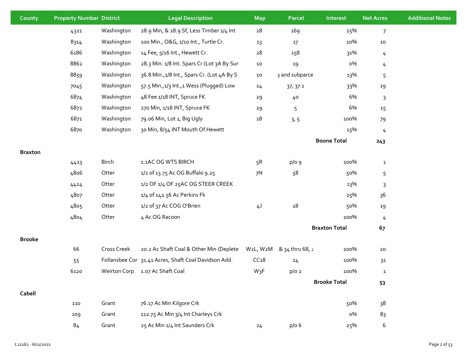| County         | <b>Property Number District</b> |             | <b>Legal Description</b>                             | <b>Map</b>       | Parcel          | Interest             | <b>Net Acres</b> | <b>Additional Notes</b> |
|----------------|---------------------------------|-------------|------------------------------------------------------|------------------|-----------------|----------------------|------------------|-------------------------|
|                | 4321                            | Washington  | 28.9 Min, & 28.9 Sf, Less Timber 1/4 Int             | ${\bf 28}$       | 169             | 25%                  | $\overline{7}$   |                         |
|                | 8314                            | Washington  | 100 Min., O&G, 1/10 Int., Turtle Cr.                 | 13               | $17\,$          | 10%                  | $10\,$           |                         |
|                | 6186                            | Washington  | 14 Fee, 5/16 Int., Hewett Cr.                        | ${\bf 28}$       | 158             | 31%                  | 4                |                         |
|                | 8862                            | Washington  | 28.3 Min. 1/8 Int. Spars Cr (Lot 3A By Sur           | 10               | 19              | о%                   | 4                |                         |
|                | 8859                            | Washington  | 36.8 Min., 1/8 Int., Spars Cr. (Lot 4A By S          | $10\,$           | 3 and subparce  | 13%                  | 5                |                         |
|                | 7045                            | Washington  | 57.5 Min., 1/3 Int., 1 Wess (Plugged) Low            | 14               | 37, 37.1        | 33%                  | 19               |                         |
|                | 6874                            | Washington  | 48 Fee 1/18 INT, Spruce FK                           | 29               | 40              | 6%                   | 3                |                         |
|                | 6872                            | Washington  | 270 Min, 1/18 INT, Spruce FK                         | 29               | 5               | 6%                   | 15               |                         |
|                | 6871                            | Washington  | 79.06 Min, Lot 1, Big Ugly                           | $18\,$           | 3, 5            | 100%                 | 79               |                         |
|                | 6870                            | Washington  | 30 Min, 8/54 INT Mouth Of Hewett                     |                  |                 | 15%                  | 4                |                         |
|                |                                 |             |                                                      |                  |                 | <b>Boone Total</b>   | 243              |                         |
| <b>Braxton</b> |                                 |             |                                                      |                  |                 |                      |                  |                         |
|                | 4423                            | Birch       | 1.1AC OG WTS BIRCH                                   | 5R               | p/o g           | 100%                 | $\mathbf{1}$     |                         |
|                | 4806                            | Otter       | 1/2 of 13.75 Ac OG Buffalo 9.25                      | 7 <sup>N</sup>   | 58              | 50%                  | 5                |                         |
|                | 4424                            | Otter       | 1/2 OF 1/4 OF 25AC OG STEER CREEK                    |                  |                 | 13%                  | 3                |                         |
|                | 4807                            | Otter       | 1/4 of 142.56 Ac Perkins Fk                          |                  |                 | 25%                  | 36               |                         |
|                | 4805                            | Otter       | 1/2 of 37 Ac COG O'Brien                             | 4J               | 18              | 50%                  | 19               |                         |
|                | 4804                            | Otter       | 4 Ac OG Racoon                                       |                  |                 | 100%                 | 4                |                         |
|                |                                 |             |                                                      |                  |                 | <b>Braxton Total</b> | 67               |                         |
| <b>Brooke</b>  |                                 |             |                                                      |                  |                 |                      |                  |                         |
|                | 66                              | Cross Creek | 20.2 Ac Shaft Coal & Other Min (Deplete              | W2L, W2M         | & 34 thru 68, 2 | 100%                 | 20               |                         |
|                | 55                              |             | Follansbee Cor 31.41 Acres, Shaft Coal Davidson Add. | CC <sub>18</sub> | 14              | 100%                 | 3 <sup>1</sup>   |                         |
|                | 6120                            |             | Weirton Corp 1.07 Ac Shaft Coal                      | W <sub>3</sub> F | $p/o$ 2         | 100%                 | $\mathbf{1}$     |                         |
|                |                                 |             |                                                      |                  |                 | <b>Brooke Total</b>  | 53               |                         |
| Cabell         |                                 |             |                                                      |                  |                 |                      |                  |                         |
|                | 110                             | Grant       | 76.17 Ac Min Kilgore Crk                             |                  |                 | 50%                  | 38               |                         |
|                | 109                             | Grant       | 112.75 Ac Min 3/4 Int Charleys Crk                   |                  |                 | о%                   | 83               |                         |
|                | 84                              | Grant       | 25 Ac Min 1/4 Int Saunders Crk                       | 24               | p/o 6           | 25%                  | 6                |                         |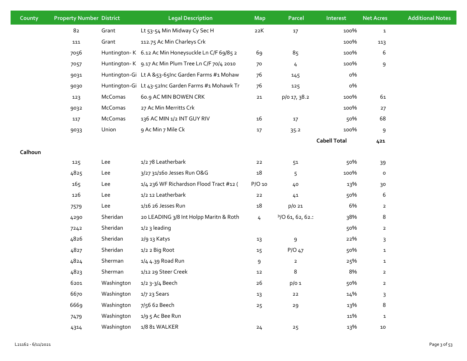| County  | <b>Property Number District</b> |            | <b>Legal Description</b>                            | <b>Map</b>     | Parcel          | Interest            | <b>Net Acres</b> | <b>Additional Notes</b> |
|---------|---------------------------------|------------|-----------------------------------------------------|----------------|-----------------|---------------------|------------------|-------------------------|
|         | 82                              | Grant      | Lt 53-54 Min Midway Cy Sec H                        | 22K            | $17$            | 100%                | $\mathbf{1}$     |                         |
|         | $111\,$                         | Grant      | 112.75 Ac Min Charleys Crk                          |                |                 | 100%                | 113              |                         |
|         | 7056                            |            | Huntington-K 6.12 Ac Min Honeysuckle Ln C/F 69/85 2 | 69             | 85              | 100%                | 6                |                         |
|         | 7057                            |            | Huntington-K 9.17 Ac Min Plum Tree Ln C/F 70/4 2010 | 70             | 4               | 100%                | 9                |                         |
|         | 9031                            |            | Huntington-Gi Lt A & 53-65Inc Garden Farms #1 Mohaw | 76             | 145             | о%                  |                  |                         |
|         | 9030                            |            | Huntington-Gi Lt 43-52Inc Garden Farms #1 Mohawk Tr | 76             | 125             | о%                  |                  |                         |
|         | 123                             | McComas    | 60.9 AC MIN BOWEN CRK                               | ${\bf 21}$     | p/o 17, 38.2    | 100%                | 61               |                         |
|         | 9032                            | McComas    | 27 Ac Min Merritts Crk                              |                |                 | 100%                | 27               |                         |
|         | 117                             | McComas    | 136 AC MIN 1/2 INT GUY RIV                          | 16             | 17              | 50%                 | 68               |                         |
|         | 9033                            | Union      | 9 Ac Min 7 Mile Ck                                  | $17$           | 35.2            | 100%                | 9                |                         |
|         |                                 |            |                                                     |                |                 | <b>Cabell Total</b> | 421              |                         |
| Calhoun |                                 |            |                                                     |                |                 |                     |                  |                         |
|         | 125                             | Lee        | 1/2 78 Leatherbark                                  | $22$           | 51              | 50%                 | 39               |                         |
|         | 4825                            | Lee        | 3/27 31/160 Jesses Run O&G                          | 18             | 5               | 100%                | $\mathsf{o}\,$   |                         |
|         | 165                             | Lee        | 1/4 236 WF Richardson Flood Tract #12 (             | P/O 10         | 40              | 13%                 | 30               |                         |
|         | 126                             | Lee        | 1/2 12 Leatherbark                                  | $22$           | 41              | 50%                 | 6                |                         |
|         | 7579                            | Lee        | 1/16 26 Jesses Run                                  | 18             | p/o 21          | 6%                  | $\overline{2}$   |                         |
|         | 4290                            | Sheridan   | 20 LEADING 3/8 Int Holpp Maritn & Roth              | $\overline{4}$ | 9/061, 62, 62.1 | 38%                 | 8                |                         |
|         | 7242                            | Sheridan   | 1/2 3 leading                                       |                |                 | 50%                 | $\overline{a}$   |                         |
|         | 4826                            | Sheridan   | 2/9 13 Katys                                        | 13             | 9               | 22%                 | 3                |                         |
|         | 4827                            | Sheridan   | 1/2 2 Big Root                                      | 15             | $P/O$ 47        | 50%                 | $\mathbf{1}$     |                         |
|         | 4824                            | Sherman    | 1/4 4.39 Road Run                                   | 9              | $\overline{2}$  | 25%                 | $\mathbf{1}$     |                         |
|         | 4823                            | Sherman    | 1/12 29 Steer Creek                                 | 12             | 8               | 8%                  | $\overline{2}$   |                         |
|         | 6201                            | Washington | 1/2 3-3/4 Beech                                     | $26\,$         | $p/o$ 1         | 50%                 | $\mathbf{2}$     |                         |
|         | 6670                            | Washington | 1/7 23 Sears                                        | 13             | ${\bf 22}$      | 14%                 | 3                |                         |
|         | 6669                            | Washington | 7/56 62 Beech                                       | 25             | 29              | 13%                 | 8                |                         |
|         | 7479                            | Washington | 1/9 5 Ac Bee Run                                    |                |                 | 11%                 | $\mathbf{1}$     |                         |
|         | 4314                            | Washington | 1/8 81 WALKER                                       | 24             | 25              | 13%                 | ${\bf 10}$       |                         |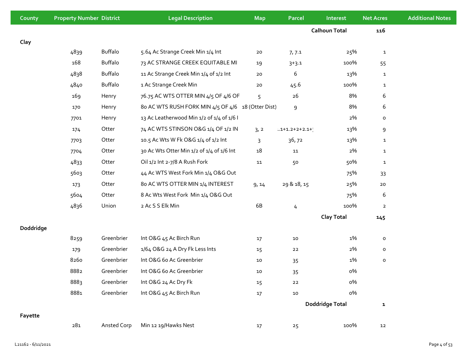| County    | <b>Property Number District</b> |                | <b>Legal Description</b>                           | <b>Map</b> | <b>Parcel</b>             | Interest               | <b>Net Acres</b> | <b>Additional Notes</b> |
|-----------|---------------------------------|----------------|----------------------------------------------------|------------|---------------------------|------------------------|------------------|-------------------------|
|           |                                 |                |                                                    |            |                           | <b>Calhoun Total</b>   | 116              |                         |
| Clay      |                                 |                |                                                    |            |                           |                        |                  |                         |
|           | 4839                            | Buffalo        | 5.64 Ac Strange Creek Min 1/4 Int                  | ${\bf 20}$ | 7,7.1                     | 25%                    | $\mathbf{1}$     |                         |
|           | 168                             | Buffalo        | 73 AC STRANGE CREEK EQUITABLE MI                   | 19         | $3+3.1$                   | 100%                   | 55               |                         |
|           | 4838                            | Buffalo        | 11 Ac Strange Creek Min 1/4 of 1/2 Int             | 20         | 6                         | 13%                    | $\mathbf{1}$     |                         |
|           | 4840                            | <b>Buffalo</b> | 1 Ac Strange Creek Min                             | $20\,$     | 45.6                      | 100%                   | $\mathbf{1}$     |                         |
|           | 169                             | Henry          | 76.75 AC WTS OTTER MIN 4/5 OF 4/6 OF               | 5          | 26                        | 8%                     | 6                |                         |
|           | 170                             | Henry          | 80 AC WTS RUSH FORK MIN 4/5 OF 4/6 18 (Otter Dist) |            | 9                         | 8%                     | 6                |                         |
|           | 7701                            | Henry          | 13 Ac Leatherwood Min 1/2 of 1/4 of 1/6 I          |            |                           | 2%                     | о                |                         |
|           | 174                             | Otter          | 74 AC WTS STINSON O&G 1/4 OF 1/2 IN                | 3, 2       | $1.1 + 1.2 + 2 + 2.1 + 1$ | 13%                    | 9                |                         |
|           | 7703                            | Otter          | 10.5 Ac Wts W Fk O&G 1/4 of 1/2 Int                | 3          | 36, 72                    | 13%                    | $\mathbf{1}$     |                         |
|           | 7704                            | Otter          | 30 Ac Wts Otter Min 1/2 of 1/4 of 1/6 Int          | 18         | 11                        | 2%                     | $\mathbf{1}$     |                         |
|           | 4833                            | Otter          | Oil 1/2 Int 2-7/8 A Rush Fork                      | ${\bf 11}$ | 50                        | 50%                    | $\mathbf{1}$     |                         |
|           | 5603                            | Otter          | 44 Ac WTS West Fork Min 1/4 O&G Out                |            |                           | 75%                    | 33               |                         |
|           | 173                             | Otter          | 80 AC WTS OTTER MIN 1/4 INTEREST                   | 9, 14      | 29 & 18, 15               | 25%                    | ${\bf 20}$       |                         |
|           | 5604                            | Otter          | 8 Ac Wts West Fork Min 1/4 O&G Out                 |            |                           | 75%                    | 6                |                         |
|           | 4836                            | Union          | 2 Ac S S Elk Min                                   | 6B         | 4                         | 100%                   | $\overline{2}$   |                         |
|           |                                 |                |                                                    |            |                           | <b>Clay Total</b>      | 145              |                         |
| Doddridge |                                 |                |                                                    |            |                           |                        |                  |                         |
|           | 8259                            | Greenbrier     | Int O&G 45 Ac Birch Run                            | 17         | $10\,$                    | 1%                     | о                |                         |
|           | 179                             | Greenbrier     | 1/64 O&G 24 A Dry Fk Less Ints                     | 15         | 22                        | 2%                     | 0                |                         |
|           | 8260                            | Greenbrier     | Int O&G 6o Ac Greenbrier                           | 10         | 35                        | 1%                     | 0                |                         |
|           | 8882                            | Greenbrier     | Int O&G 6o Ac Greenbrier                           | 10         | 35                        | о%                     |                  |                         |
|           | 8883                            | Greenbrier     | Int O&G 24 Ac Dry Fk                               | 15         | $22$                      | о%                     |                  |                         |
|           | 8881                            | Greenbrier     | Int O&G 45 Ac Birch Run                            | $17\,$     | $10\,$                    | о%                     |                  |                         |
|           |                                 |                |                                                    |            |                           | <b>Doddridge Total</b> | $\mathbf{1}$     |                         |
| Fayette   |                                 |                |                                                    |            |                           |                        |                  |                         |
|           | 281                             | Ansted Corp    | Min 12 19/Hawks Nest                               | 17         | 25                        | 100%                   | 12               |                         |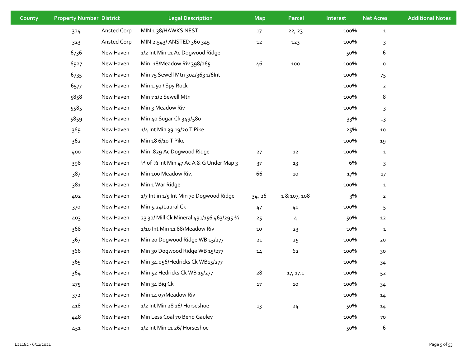| County | <b>Property Number District</b> |             | <b>Legal Description</b>                   | <b>Map</b> | <b>Parcel</b> | Interest | <b>Net Acres</b>        | <b>Additional Notes</b> |
|--------|---------------------------------|-------------|--------------------------------------------|------------|---------------|----------|-------------------------|-------------------------|
|        | 324                             | Ansted Corp | MIN 138/HAWKS NEST                         | 17         | 22, 23        | 100%     | $\mathbf{1}$            |                         |
|        | 323                             | Ansted Corp | MIN 2.543/ ANSTED 360 345                  | 12         | 123           | 100%     | 3                       |                         |
|        | 6736                            | New Haven   | 1/2 Int Min 11 Ac Dogwood Ridge            |            |               | 50%      | 6                       |                         |
|        | 6927                            | New Haven   | Min .18/Meadow Riv 398/265                 | 46         | 100           | 100%     | $\mathsf{o}\,$          |                         |
|        | 6735                            | New Haven   | Min 75 Sewell Mtn 304/363 1/6lnt           |            |               | 100%     | 75                      |                         |
|        | 6577                            | New Haven   | Min 1.50 / Spy Rock                        |            |               | 100%     | $\overline{\mathbf{2}}$ |                         |
|        | 5858                            | New Haven   | Min 7 1/2 Sewell Mtn                       |            |               | 100%     | 8                       |                         |
|        | 5585                            | New Haven   | Min 3 Meadow Riv                           |            |               | 100%     | 3                       |                         |
|        | 5859                            | New Haven   | Min 40 Sugar Ck 349/580                    |            |               | 33%      | 13                      |                         |
|        | 369                             | New Haven   | 1/4 Int Min 39 19/20 T Pike                |            |               | 25%      | 10                      |                         |
|        | 362                             | New Haven   | Min 18 6/10 T Pike                         |            |               | 100%     | 19                      |                         |
|        | 400                             | New Haven   | Min .829 Ac Dogwood Ridge                  | 27         | 12            | 100%     | $\mathbf{1}$            |                         |
|        | 398                             | New Haven   | 1⁄4 of 1⁄2 Int Min 47 Ac A & G Under Map 3 | 37         | 13            | 6%       | 3                       |                         |
|        | 387                             | New Haven   | Min 100 Meadow Riv.                        | 66         | 10            | 17%      | $17\,$                  |                         |
|        | 381                             | New Haven   | Min 1 War Ridge                            |            |               | 100%     | $\mathbf{1}$            |                         |
|        | 402                             | New Haven   | 1/7 Int in 1/5 Int Min 70 Dogwood Ridge    | 34, 26     | 1 & 107, 108  | 3%       | $\overline{2}$          |                         |
|        | 370                             | New Haven   | Min 5.24/Laural Ck                         | 47         | 40            | 100%     | 5                       |                         |
|        | 403                             | New Haven   | 23 30/ Mill Ck Mineral 491/156 463/295 1/2 | 25         | 4             | 50%      | 12                      |                         |
|        | 368                             | New Haven   | 1/10 Int Min 11 88/Meadow Riv              | 10         | 23            | 10%      | $\mathbf{1}$            |                         |
|        | 367                             | New Haven   | Min 20 Dogwood Ridge WB 15/277             | ${\bf 21}$ | $25$          | 100%     | 20                      |                         |
|        | 366                             | New Haven   | Min 30 Dogwood Ridge WB 15/277             | 14         | 62            | 100%     | 30                      |                         |
|        | 365                             | New Haven   | Min 34.056/Hedricks Ck WB15/277            |            |               | 100%     | 34                      |                         |
|        | 364                             | New Haven   | Min 52 Hedricks Ck WB 15/277               | 28         | 17, 17.1      | 100%     | 52                      |                         |
|        | 275                             | New Haven   | Min 34 Big Ck                              | $17\,$     | 10            | 100%     | 34                      |                         |
|        | 372                             | New Haven   | Min 14 07/Meadow Riv                       |            |               | 100%     | 14                      |                         |
|        | 418                             | New Haven   | 1/2 Int Min 28 16/ Horseshoe               | 13         | 24            | 50%      | 14                      |                         |
|        | 448                             | New Haven   | Min Less Coal 70 Bend Gauley               |            |               | 100%     | 70                      |                         |
|        | 451                             | New Haven   | 1/2 Int Min 11 26/ Horseshoe               |            |               | 50%      | 6                       |                         |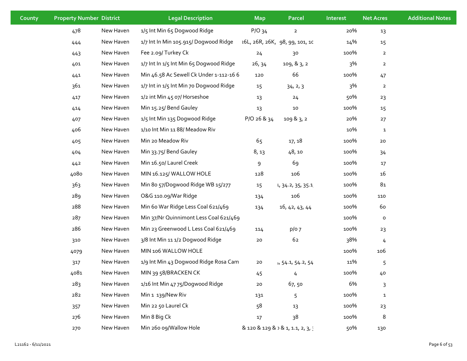| County | <b>Property Number District</b> |           | <b>Legal Description</b>                | <b>Map</b>  | Parcel                            | Interest | <b>Net Acres</b> | <b>Additional Notes</b> |
|--------|---------------------------------|-----------|-----------------------------------------|-------------|-----------------------------------|----------|------------------|-------------------------|
|        | 478                             | New Haven | 1/5 Int Min 65 Dogwood Ridge            | $P/O$ 34    | $\overline{2}$                    | 20%      | 13               |                         |
|        | 444                             | New Haven | 1/7 Int In Min 105.915/ Dogwood Ridge   |             | 16L, 26R, 26K, 98, 99, 101, 10    | 14%      | 15               |                         |
|        | 443                             | New Haven | Fee 2.09/ Turkey Ck                     | 24          | 30                                | 100%     | $\overline{2}$   |                         |
|        | 401                             | New Haven | 1/7 Int In 1/5 Int Min 65 Dogwood Ridge | 26, 34      | 109, & 3, 2                       | 3%       | $\overline{a}$   |                         |
|        | 441                             | New Haven | Min 46.58 Ac Sewell Ck Under 1-112-16 6 | 120         | 66                                | 100%     | 47               |                         |
|        | 361                             | New Haven | 1/7 Int in 1/5 Int Min 70 Dogwood Ridge | 15          | 34, 2, 3                          | 3%       | $\overline{a}$   |                         |
|        | 417                             | New Haven | 1/2 int Min 45 07/ Horseshoe            | 13          | 24                                | 50%      | 23               |                         |
|        | 414                             | New Haven | Min 15.25/ Bend Gauley                  | 13          | $10$                              | 100%     | 15               |                         |
|        | 407                             | New Haven | 1/5 Int Min 135 Dogwood Ridge           | P/O 26 & 34 | 109 & 3, 2                        | 20%      | 27               |                         |
|        | 406                             | New Haven | 1/10 Int Min 11 88/ Meadow Riv          |             |                                   | 10%      | $\mathbf{1}$     |                         |
|        | 405                             | New Haven | Min 20 Meadow Riv                       | 65          | 17, 18                            | 100%     | $20\,$           |                         |
|        | 404                             | New Haven | Min 33.75/ Bend Gauley                  | 8, 13       | 48, 10                            | 100%     | 34               |                         |
|        | 442                             | New Haven | Min 16.50/ Laurel Creek                 | 9           | 69                                | 100%     | $17\,$           |                         |
|        | 4080                            | New Haven | MIN 16.125/ WALLOW HOLE                 | 128         | 106                               | 100%     | 16               |                         |
|        | 363                             | New Haven | Min 8o 57/Dogwood Ridge WB 15/277       | 15          | L, 34.2, 35, 35.1                 | 100%     | $8\mathtt{1}$    |                         |
|        | 289                             | New Haven | O&G 110.09/War Ridge                    | 134         | 106                               | 100%     | 110              |                         |
|        | 288                             | New Haven | Min 60 War Ridge Less Coal 621/469      | 134         | 16, 42, 43, 44                    | 100%     | 60               |                         |
|        | 287                             | New Haven | Min 37/Nr Quinnimont Less Coal 621/469  |             |                                   | 100%     | $\mathsf{o}$     |                         |
|        | 286                             | New Haven | Min 23 Greenwood L Less Coal 621/469    | 114         | $p/o$ 7                           | 100%     | 23               |                         |
|        | 310                             | New Haven | 3/8 Int Min 11 1/2 Dogwood Ridge        | 20          | 62                                | 38%      | $\frac{1}{2}$    |                         |
|        | 4079                            | New Haven | MIN 106 WALLOW HOLE                     |             |                                   | 100%     | 106              |                         |
|        | 317                             | New Haven | 1/9 Int Min 43 Dogwood Ridge Rosa Cam   | 20          | +, 54.1, 54.2, 54                 | 11%      | 5                |                         |
|        | 4081                            | New Haven | MIN 39 58/BRACKEN CK                    | 45          | 4                                 | 100%     | 40               |                         |
|        | 283                             | New Haven | 1/16 Int Min 47 75/Dogwood Ridge        | 20          | 67,50                             | 6%       | $\mathsf{3}$     |                         |
|        | 282                             | New Haven | Min 1 139/New Riv                       | 131         | 5                                 | 100%     | ${\bf 1}$        |                         |
|        | 357                             | New Haven | Min 22 50 Laurel Ck                     | 58          | 13                                | 100%     | 23               |                         |
|        | 276                             | New Haven | Min 8 Big Ck                            | 17          | 38                                | 100%     | 8                |                         |
|        | 270                             | New Haven | Min 260 og/Wallow Hole                  |             | 8 120 8 129 8 1 8 1, 1.1, 2, 3, 3 | 50%      | 130              |                         |
|        |                                 |           |                                         |             |                                   |          |                  |                         |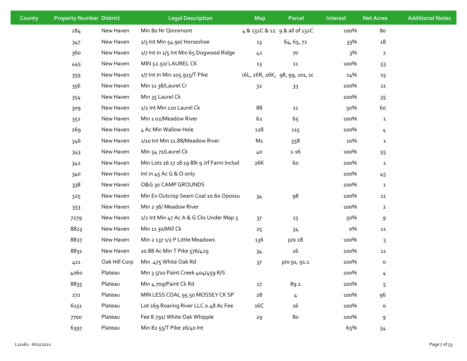| <b>County</b> | <b>Property Number District</b> |               | <b>Legal Description</b>                   | <b>Map</b>     | Parcel                         | Interest | <b>Net Acres</b>    | <b>Additional Notes</b> |
|---------------|---------------------------------|---------------|--------------------------------------------|----------------|--------------------------------|----------|---------------------|-------------------------|
|               | 284                             | New Haven     | Min 8o Nr Qinnimont                        |                | 4 & 132C & 12 9 & all of 132C  | 100%     | 80                  |                         |
|               | 347                             | New Haven     | 1/3 Int Min 54.90/ Horseshoe               | 13             | 64, 65, 72                     | 33%      | $18\,$              |                         |
|               | 360                             | New Haven     | 1/7 Int in 1/5 Int Min 65 Dogwood Ridge    | 42             | 70                             | 3%       | $\overline{a}$      |                         |
|               | 445                             | New Haven     | MIN 52.50/LAUREL CK                        | 13             | 11                             | 100%     | 53                  |                         |
|               | 359                             | New Haven     | 1/7 Int in Min 105.915/T Pike              |                | 101, 26R, 26K, 98, 99, 101, 10 | 14%      | 15                  |                         |
|               | 356                             | New Haven     | Min 11 38/Laurel Cr                        | 3 <sup>2</sup> | 33                             | 100%     | 11                  |                         |
|               | 354                             | New Haven     | Min 35 Laurel Ck                           |                |                                | 100%     | 35                  |                         |
|               | 309                             | New Haven     | 1/2 Int Min 120 Laurel Ck                  | 88             | 11                             | 50%      | 60                  |                         |
|               | 352                             | New Haven     | Min 1 o2/Meadow River                      | 62             | 65                             | 100%     | $\mathbf{1}$        |                         |
|               | 269                             | New Haven     | 4 Ac Min Wallow Hole                       | 128            | 115                            | 100%     | $\frac{1}{2}$       |                         |
|               | 346                             | New Haven     | 1/10 Int Min 11.88/Meadow River            | M1             | 558                            | 10%      | $\mathbf{1}$        |                         |
|               | 343                             | New Haven     | Min 54 71/Laurel Ck                        | 40             | $1 - 16$                       | 100%     | 55                  |                         |
|               | 342                             | New Haven     | Min Lots 16 17 18 19 Blk 9 Jrf Farm Includ | 26K            | 60                             | 100%     | $\mathbf{1}$        |                         |
|               | 340                             | New Haven     | Int in 45 Ac G & O only                    |                |                                | 100%     | 45                  |                         |
|               | 338                             | New Haven     | O&G 30 CAMP GROUNDS                        |                |                                | 100%     | $\mathbf{1}$        |                         |
|               | 325                             | New Haven     | Min Ex Outcrop Seam Coal 10.60 Opossu      | 34             | 98                             | 100%     | 11                  |                         |
|               | 353                             | New Haven     | Min 2 36/ Meadow River                     |                |                                | 100%     | $\overline{2}$      |                         |
|               | 7279                            | New Haven     | 1/2 Int Min 47 Ac A & G Cks Under Map 3    | 37             | 13                             | 50%      | $\mathsf 9$         |                         |
|               | 8823                            | New Haven     | Min 11 30/Mill Ck                          | 25             | 34                             | о%       | 11                  |                         |
|               | 8827                            | New Haven     | Min 2 137 1/2 P Little Meadows             | 136            | p/o 28                         | 100%     | $\mathsf{3}$        |                         |
|               | 8831                            | New Haven     | 10.88 Ac Min T Pike 576/429                | 34             | 16                             | 100%     | 11                  |                         |
|               | 411                             | Oak Hill Corp | Min .475 White Oak Rd                      | 37             | p/o 91, 91.1                   | 100%     | $\mathsf{o}$        |                         |
|               | 4060                            | Plateau       | Min 3 5/10 Paint Creek 404/459 R/S         |                |                                | 100%     | 4                   |                         |
|               | 8835                            | Plateau       | Min 4.709/Paint Ck Rd                      | 27             | 89.1                           | 100%     | 5                   |                         |
|               | 272                             | Plateau       | MIN LESS COAL 95.50 MOSSEY CK SP           | ${\bf 28}$     | 4                              | 100%     | 96                  |                         |
|               | 6151                            | Plateau       | Lot 169 Roaring River LLC 0.48 Ac Fee      | 16C            | 16                             | 100%     | $\mathsf{o}\xspace$ |                         |
|               | 7700                            | Plateau       | Fee 8.791/ White Oak Whipple               | 29             | 80                             | 100%     | $\mathsf 9$         |                         |
|               | 6397                            | Plateau       | Min 82 55/T Pike 26/40 Int                 |                |                                | 65%      | 54                  |                         |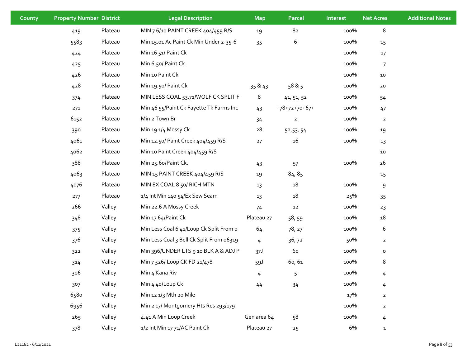| County | <b>Property Number District</b> |         | <b>Legal Description</b>                 | <b>Map</b>  | Parcel         | Interest | <b>Net Acres</b> | <b>Additional Notes</b> |
|--------|---------------------------------|---------|------------------------------------------|-------------|----------------|----------|------------------|-------------------------|
|        | 419                             | Plateau | MIN 7 6/10 PAINT CREEK 404/459 R/S       | 19          | 82             | 100%     | 8                |                         |
|        | 5583                            | Plateau | Min 15.01 Ac Paint Ck Min Under 2-35-6   | 35          | 6              | 100%     | 15               |                         |
|        | 424                             | Plateau | Min 16 51/ Paint Ck                      |             |                | 100%     | 17               |                         |
|        | 425                             | Plateau | Min 6.50/ Paint Ck                       |             |                | 100%     | $\overline{7}$   |                         |
|        | 426                             | Plateau | Min 10 Paint Ck                          |             |                | 100%     | 10               |                         |
|        | 428                             | Plateau | Min 19.50/ Paint Ck                      | 35 & 43     | 58 & 5         | 100%     | 20               |                         |
|        | 374                             | Plateau | MIN LESS COAL 53.71/WOLF CK SPLIT F      | 8           | 41, 51, 52     | 100%     | 54               |                         |
|        | 271                             | Plateau | Min 46 55/Paint Ck Fayette Tk Farms Inc  | 43          | +78+72+70+67+  | 100%     | 47               |                         |
|        | 6152                            | Plateau | Min 2 Town Br                            | 34          | $\overline{2}$ | 100%     | $\overline{2}$   |                         |
|        | 390                             | Plateau | Min 19 1/4 Mossy Ck                      | 28          | 52,53,54       | 100%     | 19               |                         |
|        | 4061                            | Plateau | Min 12.50/ Paint Creek 404/459 R/S       | 27          | 16             | 100%     | 13               |                         |
|        | 4062                            | Plateau | Min 10 Paint Creek 404/459 R/S           |             |                |          | 10               |                         |
|        | 388                             | Plateau | Min 25.60/Paint Ck.                      | 43          | 57             | 100%     | 26               |                         |
|        | 4063                            | Plateau | MIN 15 PAINT CREEK 404/459 R/S           | 19          | 84, 85         |          | 15               |                         |
|        | 4076                            | Plateau | MIN EX COAL 8 50/ RICH MTN               | 13          | 18             | 100%     | 9                |                         |
|        | 277                             | Plateau | 1/4 Int Min 140 54/Ex Sew Seam           | 13          | 18             | 25%      | 35               |                         |
|        | 266                             | Valley  | Min 22.6 A Mossy Creek                   | 74          | $12\,$         | 100%     | 23               |                         |
|        | 348                             | Valley  | Min 17 64/Paint Ck                       | Plateau 27  | 58,59          | 100%     | 18               |                         |
|        | 375                             | Valley  | Min Less Coal 6 41/Loup Ck Split From o  | 64          | 78, 27         | 100%     | 6                |                         |
|        | 376                             | Valley  | Min Less Coal 3 Bell Ck Split From 06319 | 4           | 36,72          | 50%      | $\overline{2}$   |                         |
|        | 322                             | Valley  | Min 396/UNDER LTS 9 10 BLK A & ADJ P     | 37J         | 60             | 100%     | o                |                         |
|        | 314                             | Valley  | Min 7 526/ Loup CK FD 21/478             | 59J         | 60,61          | 100%     | 8                |                         |
|        | 306                             | Valley  | Min 4 Kana Riv                           | 4           | 5              | 100%     | 4                |                         |
|        | 307                             | Valley  | Min 4 40/Loup Ck                         | 44          | 34             | 100%     | 4                |                         |
|        | 6580                            | Valley  | Min 12 1/3 Mth 20 Mile                   |             |                | 17%      | $\overline{2}$   |                         |
|        | 6956                            | Valley  | Min 2 17/ Montgomery Hts Res 293/179     |             |                | 100%     | $\overline{2}$   |                         |
|        | 265                             | Valley  | 4.41 A Min Loup Creek                    | Gen area 64 | 58             | 100%     | 4                |                         |
|        | 378                             | Valley  | 1/2 Int Min 17 71/AC Paint Ck            | Plateau 27  | 25             | 6%       | $\mathbf{1}$     |                         |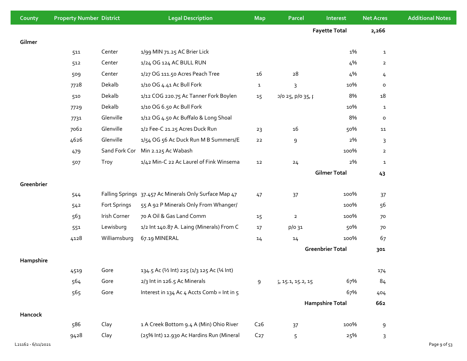| County             | <b>Property Number District</b> |              | <b>Legal Description</b>                               | <b>Map</b>      | <b>Parcel</b>     | Interest                | <b>Net Acres</b> | <b>Additional Notes</b> |
|--------------------|---------------------------------|--------------|--------------------------------------------------------|-----------------|-------------------|-------------------------|------------------|-------------------------|
|                    |                                 |              |                                                        |                 |                   | <b>Fayette Total</b>    | 2,266            |                         |
| Gilmer             |                                 |              |                                                        |                 |                   |                         |                  |                         |
|                    | 511                             | Center       | 1/99 MIN 71.25 AC Brier Lick                           |                 |                   | 1%                      | $\mathbf{1}$     |                         |
|                    | 512                             | Center       | 1/24 OG 124 AC BULL RUN                                |                 |                   | 4%                      | $\overline{2}$   |                         |
|                    | 509                             | Center       | 1/27 OG 111.50 Acres Peach Tree                        | 16              | 28                | 4%                      | 4                |                         |
|                    | 7728                            | Dekalb       | 1/10 OG 4.41 Ac Bull Fork                              | $\mathbf{1}$    | 3                 | 10%                     | $\mathsf{o}\,$   |                         |
|                    | 510                             | Dekalb       | 1/12 COG 220.75 Ac Tanner Fork Boylen                  | 15              | 1025, p/035, p    | 8%                      | 18               |                         |
|                    | 7729                            | Dekalb       | 1/10 OG 6.50 Ac Bull Fork                              |                 |                   | 10%                     | $\mathbf{1}$     |                         |
|                    | 7731                            | Glenville    | 1/12 OG 4.50 Ac Buffalo & Long Shoal                   |                 |                   | 8%                      | $\mathsf{o}\,$   |                         |
|                    | 7062                            | Glenville    | 1/2 Fee-C 21.25 Acres Duck Run                         | 23              | 16                | 50%                     | 11               |                         |
|                    | 4626                            | Glenville    | 1/54 OG 56 Ac Duck Run M B Summers/E                   | ${\bf 22}$      | 9                 | 2%                      | 3                |                         |
|                    | 479                             |              | Sand Fork Cor Min 2.125 Ac Wabash                      |                 |                   | 100%                    | $\overline{2}$   |                         |
|                    | 507                             | Troy         | 1/42 Min-C 22 Ac Laurel of Fink Winsema                | 12              | 24                | 2%                      | $\mathbf{1}$     |                         |
|                    |                                 |              |                                                        |                 |                   | <b>Gilmer Total</b>     | 43               |                         |
| Greenbrier         |                                 |              |                                                        |                 |                   |                         |                  |                         |
|                    | 544                             |              | Falling Springs 37.457 Ac Minerals Only Surface Map 47 | 47              | 37                | 100%                    | 37               |                         |
|                    | 542                             | Fort Springs | 55 A 92 P Minerals Only From Whanger/                  |                 |                   | 100%                    | 56               |                         |
|                    | 563                             | Irish Corner | 70 A Oil & Gas Land Comm                               | 15              | $\mathbf{2}$      | 100%                    | 70               |                         |
|                    | 551                             | Lewisburg    | 1/2 Int 140.87 A. Laing (Minerals) From C              | 17              | p/o 31            | 50%                     | 70               |                         |
|                    | 4128                            | Williamsburg | 67.19 MINERAL                                          | 14              | 14                | 100%                    | 67               |                         |
|                    |                                 |              |                                                        |                 |                   | <b>Greenbrier Total</b> | 301              |                         |
| Hampshire          |                                 |              |                                                        |                 |                   |                         |                  |                         |
|                    | 4519                            | Gore         | 134.5 Ac (1/2 lnt) 225 (1/3 125 Ac (1/4 lnt)           |                 |                   |                         | 174              |                         |
|                    | 564                             | Gore         | 2/3 Int in 126.5 Ac Minerals                           | 9               | 5, 15.1, 15.2, 15 | 67%                     | 84               |                         |
|                    | 565                             | Gore         | Interest in 134 Ac 4 Accts Comb = Int in 5             |                 |                   | 67%                     | 404              |                         |
|                    |                                 |              |                                                        |                 |                   | <b>Hampshire Total</b>  | 662              |                         |
| Hancock            |                                 |              |                                                        |                 |                   |                         |                  |                         |
|                    | 586                             | Clay         | 1 A Creek Bottom 9.4 A (Min) Ohio River                | C <sub>26</sub> | 37                | 100%                    | 9                |                         |
|                    | 9428                            | Clay         | (25% Int) 12.930 Ac Hardins Run (Mineral               | C <sub>27</sub> | 5                 | 25%                     | $\mathsf 3$      |                         |
| L21162 - 6/11/2021 |                                 |              |                                                        |                 |                   |                         |                  | Page 9 of 53            |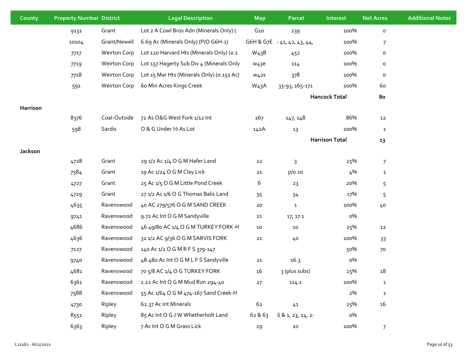| County   | <b>Property Number District</b> |                     | <b>Legal Description</b>                  | <b>Map</b>        | Parcel            | Interest              | <b>Net Acres</b> | <b>Additional Notes</b> |
|----------|---------------------------------|---------------------|-------------------------------------------|-------------------|-------------------|-----------------------|------------------|-------------------------|
|          | 9131                            | Grant               | Lot 2 A Cowl Bros Adn (Minerals Only) (.  | G10               | 239               | 100%                  | $\mathsf{o}\,$   |                         |
|          | 10104                           | Grant/Newell        | 6.69 Ac (Minerals Only) (P/O G6H-1)       | G6H & G7E         | 41, 42, 43, 44,   | 100%                  | $\overline{7}$   |                         |
|          | 7717                            | <b>Weirton Corp</b> | Lot 120 Harvard Hts (Minerals Only) (0.1  | W <sub>43</sub> B | 452               | 100%                  | $\mathsf{o}\,$   |                         |
|          | 7719                            | <b>Weirton Corp</b> | Lot 157 Hagerty Sub Div 4 (Minerals Only  | w <sub>43</sub> e | 114               | 100%                  | o                |                         |
|          | 7718                            | <b>Weirton Corp</b> | Lot 15 Mar Hts (Minerals Only) (0.151 Ac) | W <sub>425</sub>  | 378               | 100%                  | $\mathsf{o}\,$   |                         |
|          | 591                             | <b>Weirton Corp</b> | 60 Min Acres Kings Creek                  | W <sub>43</sub> A | 33-93, 165-171    | 100%                  | 60               |                         |
|          |                                 |                     |                                           |                   |                   | <b>Hancock Total</b>  | 80               |                         |
| Harrison |                                 |                     |                                           |                   |                   |                       |                  |                         |
|          | 8376                            | Coal-Outside        | 72 As O&G West Fork 1/12 Int              | 267               | 147, 148          | 86%                   | 12               |                         |
|          | 598                             | Sardis              | O & G Under 1/2 As Lot                    | 142A              | 13                | 100%                  | $\mathbf{1}$     |                         |
|          |                                 |                     |                                           |                   |                   | <b>Harrison Total</b> | 13               |                         |
| Jackson  |                                 |                     |                                           |                   |                   |                       |                  |                         |
|          | 4728                            | Grant               | 29 1/2 Ac 1/4 O G M Hafer Land            | 22                | 3                 | 25%                   | $\overline{7}$   |                         |
|          | 7584                            | Grant               | 19 Ac 1/24 O G M Clay Lick                | 21                | p/o 20            | 4%                    | ${\bf 1}$        |                         |
|          | 4727                            | Grant               | 25 Ac 1/5 O G M Little Pond Creek         | 6                 | 23                | 20%                   | 5                |                         |
|          | 4729                            | Grant               | 27 1/2 Ac 1/6 O G Thomas Balis Land       | 35                | 34                | 17%                   | 5                |                         |
|          | 4635                            | Ravenswood          | 40 AC 279/576 O G M SAND CREEK            | 20                | $\mathbf{1}$      | 100%                  | 40               |                         |
|          | 9741                            | Ravenswood          | 9.72 Ac Int O G M Sandyville              | 21                | 17, 17.1          | о%                    |                  |                         |
|          | 4686                            | Ravenswood          | 46 49/80 AC 1/4 O G M TURKEY FORK-H       | 10                | 10                | 25%                   | $12\,$           |                         |
|          | 4636                            | Ravenswood          | 32 1/2 AC 9/36 O G M SARVIS FORK          | 21                | 40                | 100%                  | 33               |                         |
|          | 7127                            | Ravenswood          | 140 Ac 1/2 O G M R F S 379-147            |                   |                   | 50%                   | 70               |                         |
|          | 9740                            | Ravenswood          | 48.480 Ac Int O G M L F S Sandyville      | 21                | 16.3              | о%                    |                  |                         |
|          | 4681                            | Ravenswood          | 70 5/8 AC 1/4 O G TURKEY FORK             | 16                | 3 (plus subs)     | 25%                   | 18               |                         |
|          | 6361                            | Ravenswood          | 1.22 Ac Int O G M Mud Run 294-40          | 27                | 114.1             | 100%                  | $\mathbf{1}$     |                         |
|          | 7588                            | Ravenswood          | 55 Ac 1/64 O G M 474-167 Sand Creek-H     |                   |                   | 2%                    | ${\bf 1}$        |                         |
|          | 4730                            | Ripley              | 62.37 Ac Int Minerals                     | 62                | $41\,$            | 25%                   | 16               |                         |
|          | 8551                            | Ripley              | 85 Ac Int O G J W Whetherholt Land        | 62 & 63           | 5 & 1, 23, 24, 2! | о%                    |                  |                         |
|          | 6363                            | Ripley              | 7 Ac Int O G M Grass Lick                 | 29                | ${\bf 20}$        | 100%                  | $\overline{7}$   |                         |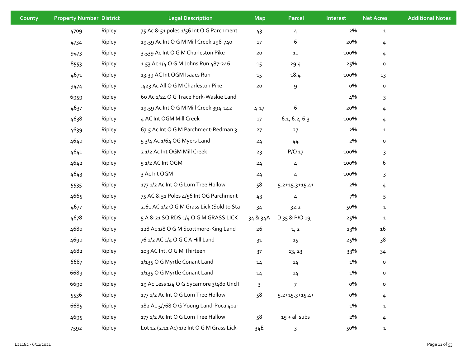| County | <b>Property Number District</b> |        | <b>Legal Description</b>                   | <b>Map</b> | Parcel                | Interest | <b>Net Acres</b> | <b>Additional Notes</b> |
|--------|---------------------------------|--------|--------------------------------------------|------------|-----------------------|----------|------------------|-------------------------|
|        | 4709                            | Ripley | 75 Ac & 51 poles 1/56 Int O G Parchment    | 43         | $\overline{4}$        | 2%       | $\mathbf{1}$     |                         |
|        | 4734                            | Ripley | 19.59 Ac Int O G M Mill Creek 298-740      | 17         | 6                     | 20%      | 4                |                         |
|        | 9473                            | Ripley | 3.539 Ac Int O G M Charleston Pike         | 20         | 11                    | 100%     | 4                |                         |
|        | 8553                            | Ripley | 1.53 Ac 1/4 O G M Johns Run 487-246        | 15         | 29.4                  | 25%      | o                |                         |
|        | 4671                            | Ripley | 13.39 AC Int OGM Isaacs Run                | 15         | 18.4                  | 100%     | 13               |                         |
|        | 9474                            | Ripley | .423 Ac All O G M Charleston Pike          | 20         | 9                     | о%       | $\mathsf{o}$     |                         |
|        | 6959                            | Ripley | 60 Ac 1/24 O G Trace Fork-Waskie Land      |            |                       | 4%       | 3                |                         |
|        | 4637                            | Ripley | 19.59 Ac Int O G M Mill Creek 394-142      | $4 - 17$   | 6                     | 20%      | 4                |                         |
|        | 4638                            | Ripley | 4 AC Int OGM Mill Creek                    | 17         | 6.1, 6.2, 6.3         | 100%     | 4                |                         |
|        | 4639                            | Ripley | 67.5 Ac Int O G M Parchment-Redman 3       | 27         | 27                    | 2%       | $\mathbf{1}$     |                         |
|        | 4640                            | Ripley | 5 3/4 Ac 1/64 OG Myers Land                | 24         | $44$                  | 2%       | $\mathsf{o}\,$   |                         |
|        | 4641                            | Ripley | 2 1/2 Ac Int OGM Mill Creek                | 23         | P/O 17                | 100%     | 3                |                         |
|        | 4642                            | Ripley | 5 1/2 AC Int OGM                           | 24         | $\overline{4}$        | 100%     | 6                |                         |
|        | 4643                            | Ripley | 3 Ac Int OGM                               | 24         | 4                     | 100%     | 3                |                         |
|        | 5535                            | Ripley | 177 1/2 Ac Int O G Lum Tree Hollow         | 58         | $5.2 + 15.3 + 15.4 +$ | 2%       | 4                |                         |
|        | 4665                            | Ripley | 75 AC & 51 Poles 4/56 Int OG Parchment     | 43         | 4                     | 7%       | 5                |                         |
|        | 4677                            | Ripley | 2.61 AC 1/2 O G M Grass Lick (Sold to Sta  | 34         | 32.2                  | 50%      | $\mathbf{1}$     |                         |
|        | 4678                            | Ripley | 5 A & 21 SQ RDS 1/4 O G M GRASS LICK       | 34 & 34A   | O 35 & P/O 19,        | 25%      | $\mathbf{1}$     |                         |
|        | 4680                            | Ripley | 128 Ac 1/8 O G M Scottmore-King Land       | 26         | 1, 2                  | 13%      | 16               |                         |
|        | 4690                            | Ripley | 76 1/2 AC 1/4 O G C A Hill Land            | 31         | 15                    | 25%      | 38               |                         |
|        | 4682                            | Ripley | 103 AC Int. O G M Thirteen                 | 37         | 13, 23                | 33%      | 34               |                         |
|        | 6687                            | Ripley | 1/135 O G Myrtle Conant Land               | 14         | 14                    | 1%       | $\mathsf{o}$     |                         |
|        | 6689                            | Ripley | 1/135 O G Myrtle Conant Land               | 14         | 14                    | 1%       | o                |                         |
|        | 6690                            | Ripley | 19 Ac Less 1/4 O G Sycamore 3/480 Und I    | 3          | $\overline{7}$        | о%       | $\mathsf{o}\,$   |                         |
|        | 5536                            | Ripley | 177 1/2 Ac Int O G Lum Tree Hollow         | 58         | $5.2 + 15.3 + 15.4 +$ | о%       | 4                |                         |
|        | 6685                            | Ripley | 182 Ac 5/768 O G Young Land-Poca 402-      |            |                       | 1%       | $\mathbf{1}$     |                         |
|        | 4695                            | Ripley | 177 1/2 Ac Int O G Lum Tree Hallow         | 58         | $15 +$ all subs       | 2%       | 4                |                         |
|        | 7592                            | Ripley | Lot 12 (2.11 Ac) 1/2 Int O G M Grass Lick- | 34E        | 3                     | 50%      | $\mathbf{1}$     |                         |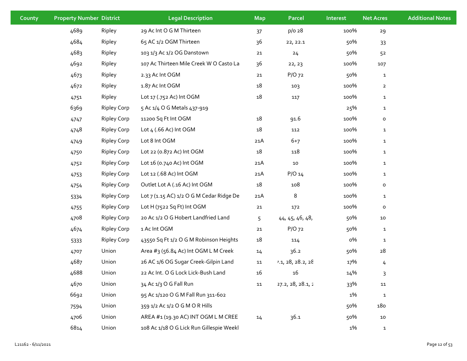| County | <b>Property Number District</b> |                    | <b>Legal Description</b>                 | <b>Map</b> | Parcel            | Interest | <b>Net Acres</b> | <b>Additional Notes</b> |
|--------|---------------------------------|--------------------|------------------------------------------|------------|-------------------|----------|------------------|-------------------------|
|        | 4689                            | Ripley             | 29 Ac Int O G M Thirteen                 | 37         | p/o 28            | 100%     | 29               |                         |
|        | 4684                            | Ripley             | 65 AC 1/2 OGM Thirteen                   | 36         | 22, 22.1          | 50%      | 33               |                         |
|        | 4683                            | Ripley             | 103 1/3 Ac 1/2 OG Danstown               | 21         | 24                | 50%      | 52               |                         |
|        | 4692                            | Ripley             | 107 Ac Thirteen Mile Creek W O Casto La  | 36         | 22, 23            | 100%     | 107              |                         |
|        | 4673                            | Ripley             | 2.33 Ac Int OGM                          | 21         | $P/O$ 72          | 50%      | $\mathbf{1}$     |                         |
|        | 4672                            | Ripley             | 1.87 Ac Int OGM                          | 18         | 103               | 100%     | $\overline{a}$   |                         |
|        | 4751                            | Ripley             | Lot 17 (.752 Ac) Int OGM                 | 18         | 117               | 100%     | $\mathbf{1}$     |                         |
|        | 6369                            | <b>Ripley Corp</b> | 5 Ac 1/4 O G Metals 437-919              |            |                   | 25%      | $\mathbf{1}$     |                         |
|        | 4747                            | <b>Ripley Corp</b> | 11200 Sq Ft Int OGM                      | 18         | 91.6              | 100%     | $\mathsf{o}\,$   |                         |
|        | 4748                            | <b>Ripley Corp</b> | Lot 4 (.66 Ac) Int OGM                   | 18         | 112               | 100%     | $\mathbf{1}$     |                         |
|        | 4749                            | <b>Ripley Corp</b> | Lot 8 Int OGM                            | 21A        | $6 + 7$           | 100%     | $\mathbf{1}$     |                         |
|        | 4750                            | <b>Ripley Corp</b> | Lot 22 (0.872 Ac) Int OGM                | 18         | 118               | 100%     | $\mathbf{1}$     |                         |
|        | 4752                            | <b>Ripley Corp</b> | Lot 16 (0.740 Ac) Int OGM                | 21A        | ${\bf 10}$        | 100%     | $\mathbf{1}$     |                         |
|        | 4753                            | <b>Ripley Corp</b> | Lot 12 (.68 Ac) Int OGM                  | 21A        | $P/O$ 14          | 100%     | $\mathbf{1}$     |                         |
|        | 4754                            | <b>Ripley Corp</b> | Outlet Lot A (.16 Ac) Int OGM            | $18\,$     | 108               | 100%     | $\mathsf{o}\,$   |                         |
|        | 5334                            | <b>Ripley Corp</b> | Lot 7 (1.15 AC) 1/2 O G M Cedar Ridge De | 21A        | 8                 | 100%     | $\mathbf{1}$     |                         |
|        | 4755                            | <b>Ripley Corp</b> | Lot H (7522 Sq Ft) Int OGM               | 21         | 172               | 100%     | $\mathsf{o}\,$   |                         |
|        | 4708                            | <b>Ripley Corp</b> | 20 Ac 1/2 O G Hobert Landfried Land      | 5          | 44, 45, 46, 48,   | 50%      | ${\bf 10}$       |                         |
|        | 4674                            | <b>Ripley Corp</b> | 1 Ac Int OGM                             | 21         | $P/O$ 72          | 50%      | $\mathbf{1}$     |                         |
|        | 5333                            | <b>Ripley Corp</b> | 43550 Sq Ft 1/2 O G M Robinson Heights   | $18\,$     | 114               | о%       | $\mathbf{1}$     |                         |
|        | 4707                            | Union              | Area #3 (56.84 Ac) Int OGM L M Creek     | 14         | 36.2              | 50%      | 28               |                         |
|        | 4687                            | Union              | 26 AC 1/6 OG Sugar Creek-Gilpin Land     | 11         | 1.1, 28, 28.2, 28 | 17%      | 4                |                         |
|        | 4688                            | Union              | 22 Ac Int. O G Lock Lick-Bush Land       | 16         | 16                | 14%      | 3                |                         |
|        | 4670                            | Union              | 34 Ac 1/3 O G Fall Run                   | 11         | 27.2, 28, 28.1, 2 | 33%      | 11               |                         |
|        | 6692                            | Union              | 95 Ac 1/120 O G M Fall Run 311-602       |            |                   | 1%       | $\mathbf 1$      |                         |
|        | 7594                            | Union              | 359 1/2 Ac 1/2 O G M O R Hills           |            |                   | 50%      | 180              |                         |
|        | 4706                            | Union              | AREA #1 (19.30 AC) INT OGM L M CREE      | 14         | 36.1              | 50%      | $10\,$           |                         |
|        | 6814                            | Union              | 108 Ac 1/18 O G Lick Run Gillespie Weekl |            |                   | 1%       | $\mathbf{1}$     |                         |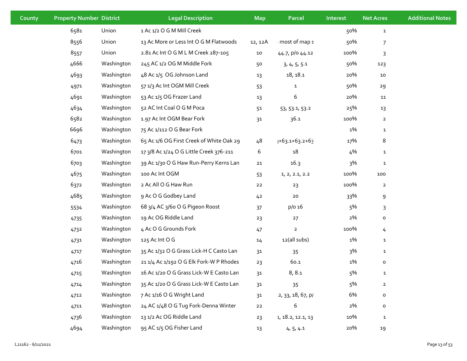| County | <b>Property Number District</b> |            | <b>Legal Description</b>                 | <b>Map</b>     | Parcel            | Interest | <b>Net Acres</b> | <b>Additional Notes</b> |
|--------|---------------------------------|------------|------------------------------------------|----------------|-------------------|----------|------------------|-------------------------|
|        | 6581                            | Union      | 1 Ac 1/2 O G M Mill Creek                |                |                   | 50%      | $\mathbf{1}$     |                         |
|        | 8556                            | Union      | 13 Ac More or Less Int O G M Flatwoods   | 12, 12A        | most of map 1     | 50%      | $\overline{7}$   |                         |
|        | 8557                            | Union      | 2.81 Ac Int O G M L M Creek 287-105      | ${\bf 10}$     | 44.7, p/o 44.12   | 100%     | 3                |                         |
|        | 4666                            | Washington | 245 AC 1/2 OG M Middle Fork              | 50             | 3, 4, 5, 5.1      | 50%      | 123              |                         |
|        | 4693                            | Washington | 48 Ac 1/5 OG Johnson Land                | 13             | 18, 18.1          | 20%      | 10               |                         |
|        | 4971                            | Washington | 57 1/3 Ac Int OGM Mill Creek             | 53             | $\mathbf{1}$      | 50%      | 29               |                         |
|        | 4691                            | Washington | 53 Ac 1/5 OG Frazer Land                 | 13             | 6                 | 20%      | 11               |                         |
|        | 4634                            | Washington | 52 AC Int Coal O G M Poca                | 51             | 53, 53.1, 53.2    | 25%      | 13               |                         |
|        | 6582                            | Washington | 1.97 Ac Int OGM Bear Fork                | 31             | 36.1              | 100%     | $\overline{2}$   |                         |
|        | 6696                            | Washington | 75 Ac 1/112 O G Bear Fork                |                |                   | 1%       | $\mathbf{1}$     |                         |
|        | 6473                            | Washington | 65 Ac 1/6 OG First Creek of White Oak 29 | 48             | +63.1+63.2+63     | 17%      | 8                |                         |
|        | 6701                            | Washington | 17 3/8 Ac 1/24 O G Little Creek 376-211  | 6              | 18                | 4%       | $\mathbf{1}$     |                         |
|        | 6703                            | Washington | 39 Ac 1/30 O G Haw Run-Perry Kerns Lan   | 21             | 16.3              | 3%       | $\mathbf{1}$     |                         |
|        | 4675                            | Washington | 100 Ac Int OGM                           | 53             | 1, 2, 2.1, 2.2    | 100%     | 100              |                         |
|        | 6372                            | Washington | 2 Ac All O G Haw Run                     | $22$           | 23                | 100%     | $\overline{2}$   |                         |
|        | 4685                            | Washington | 9 Ac O G Godbey Land                     | 4 <sup>2</sup> | $20\,$            | 33%      | 9                |                         |
|        | 5534                            | Washington | 68 3/4 AC 3/60 O G Pigeon Roost          | 37             | p/o 16            | 5%       | 3                |                         |
|        | 4735                            | Washington | 19 Ac OG Riddle Land                     | 23             | 27                | 2%       | $\mathsf{o}\,$   |                         |
|        | 4732                            | Washington | 4 Ac O G Grounds Fork                    | 47             | $\overline{2}$    | 100%     | 4                |                         |
|        | 4731                            | Washington | 125 Ac Int O G                           | 14             | 12(all subs)      | 1%       | $\mathbf{1}$     |                         |
|        | 4717                            | Washington | 35 Ac 1/32 O G Grass Lick-H C Casto Lan  | 31             | 35                | 3%       | $\mathbf{1}$     |                         |
|        | 4716                            | Washington | 21 1/4 Ac 1/192 O G Elk Fork-W P Rhodes  | 23             | 60.1              | 1%       | 0                |                         |
|        | 4715                            | Washington | 16 Ac 1/20 O G Grass Lick-W E Casto Lan  | 31             | 8, 8.1            | 5%       | $\mathbf{1}$     |                         |
|        | 4714                            | Washington | 35 Ac 1/20 O G Grass Lick-W E Casto Lan  | 31             | 35                | 5%       | $\overline{a}$   |                         |
|        | 4712                            | Washington | 7 Ac 1/16 O G Wright Land                | 31             | 2, 33, 18, 67, p/ | 6%       | $\mathsf{o}\,$   |                         |
|        | 4711                            | Washington | 24 AC 1/48 O G Tug Fork-Denna Winter     | 22             | 6                 | 2%       | $\mathsf{o}\,$   |                         |
|        | 4736                            | Washington | 13 1/2 Ac OG Riddle Land                 | 23             | 1, 18.2, 12.1, 13 | 10%      | $\mathbf{1}$     |                         |
|        | 4694                            | Washington | 95 AC 1/5 OG Fisher Land                 | 13             | 4, 5, 4.1         | 20%      | 19               |                         |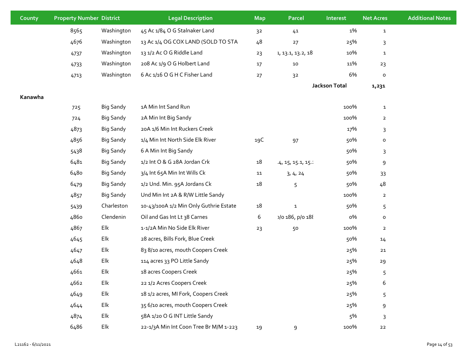| County  | <b>Property Number District</b> |                  | <b>Legal Description</b>               | <b>Map</b>     | Parcel             | Interest             | <b>Net Acres</b>    | <b>Additional Notes</b> |
|---------|---------------------------------|------------------|----------------------------------------|----------------|--------------------|----------------------|---------------------|-------------------------|
|         | 8565                            | Washington       | 45 Ac 1/84 O G Stalnaker Land          | 3 <sup>2</sup> | 41                 | 1%                   | $\mathbf{1}$        |                         |
|         | 4676                            | Washington       | 13 Ac 1/4 OG COX LAND (SOLD TO STA     | 48             | $27\,$             | 25%                  | 3                   |                         |
|         | 4737                            | Washington       | 131/2 Ac O G Riddle Land               | 23             | 1, 13.1, 13.2, 18. | 10%                  | $\mathbf{1}$        |                         |
|         | 4733                            | Washington       | 208 Ac 1/9 O G Holbert Land            | 17             | 10                 | 11%                  | 23                  |                         |
|         | 4713                            | Washington       | 6 Ac 1/16 O G H C Fisher Land          | 27             | 3 <sup>2</sup>     | 6%                   | $\mathsf{o}$        |                         |
|         |                                 |                  |                                        |                |                    | <b>Jackson Total</b> | 1,231               |                         |
| Kanawha |                                 |                  |                                        |                |                    |                      |                     |                         |
|         | 725                             | <b>Big Sandy</b> | 1A Min Int Sand Run                    |                |                    | 100%                 | $\mathbf{1}$        |                         |
|         | 724                             | Big Sandy        | 2A Min Int Big Sandy                   |                |                    | 100%                 | $\overline{2}$      |                         |
|         | 4873                            | <b>Big Sandy</b> | 20A 1/6 Min Int Ruckers Creek          |                |                    | 17%                  | 3                   |                         |
|         | 4856                            | <b>Big Sandy</b> | 1/4 Min Int North Side Elk River       | 19C            | 97                 | 50%                  | $\mathsf{o}\,$      |                         |
|         | 5438                            | <b>Big Sandy</b> | 6 A Min Int Big Sandy                  |                |                    | 50%                  | 3                   |                         |
|         | 6481                            | Big Sandy        | 1/2 Int O & G 28A Jordan Crk           | $18\,$         | .4, 15, 15.1, 15.2 | 50%                  | 9                   |                         |
|         | 6480                            | Big Sandy        | 3/4 Int 65A Min Int Wills Ck           | 11             | 3, 4, 24           | 50%                  | 33                  |                         |
|         | 6479                            | Big Sandy        | 1/2 Und. Min. 95A Jordans Ck           | 18             | 5                  | 50%                  | 48                  |                         |
|         | 4857                            | <b>Big Sandy</b> | Und Min Int 2A & R/W Little Sandy      |                |                    | 100%                 | $\overline{2}$      |                         |
|         | 5439                            | Charleston       | 10-43/100A 1/2 Min Only Guthrie Estate | $18\,$         | $\mathbf{1}$       | 50%                  | 5                   |                         |
|         | 4860                            | Clendenin        | Oil and Gas Int Lt 38 Carnes           | 6              | 186, p/o 188       | о%                   | $\mathsf{o}\xspace$ |                         |
|         | 4867                            | Elk              | 1-1/2A Min No Side Elk River           | 23             | 50                 | 100%                 | $\overline{a}$      |                         |
|         | 4645                            | Elk              | 28 acres, Bills Fork, Blue Creek       |                |                    | 50%                  | 14                  |                         |
|         | 4647                            | Elk              | 83 8/10 acres, mouth Coopers Creek     |                |                    | 25%                  | 21                  |                         |
|         | 4648                            | Elk              | 114 acres 33 PO Little Sandy           |                |                    | 25%                  | 29                  |                         |
|         | 4661                            | Elk              | 18 acres Coopers Creek                 |                |                    | 25%                  | 5                   |                         |
|         | 4662                            | Elk              | 22 1/2 Acres Coopers Creek             |                |                    | 25%                  | 6                   |                         |
|         | 4649                            | $\mathsf{Elk}$   | 18 1/2 acres, MI Fork, Coopers Creek   |                |                    | 25%                  | 5                   |                         |
|         | 4644                            | Elk              | 35 6/10 acres, mouth Coopers Creek     |                |                    | 25%                  | 9                   |                         |
|         | 4874                            | Elk              | 58A 1/20 O G INT Little Sandy          |                |                    | 5%                   | 3                   |                         |
|         | 6486                            | Elk              | 22-1/3A Min Int Coon Tree Br M/M 1-223 | 19             | 9                  | 100%                 | 22                  |                         |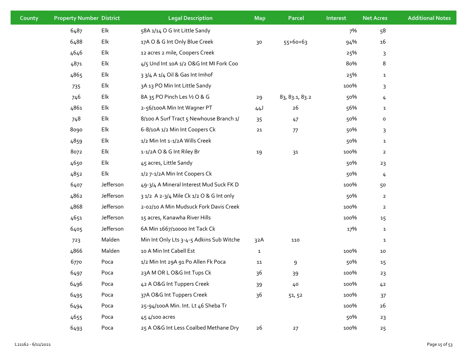| County | <b>Property Number District</b> |           | <b>Legal Description</b>                 | <b>Map</b>   | Parcel         | Interest | <b>Net Acres</b> | <b>Additional Notes</b> |
|--------|---------------------------------|-----------|------------------------------------------|--------------|----------------|----------|------------------|-------------------------|
|        | 6487                            | Elk       | 58A 1/14 O G Int Little Sandy            |              |                | 7%       | 58               |                         |
|        | 6488                            | Elk       | 17A O & G Int Only Blue Creek            | 30           | $55+60+63$     | 94%      | 16               |                         |
|        | 4646                            | Elk       | 12 acres 2 mile, Coopers Creek           |              |                | 25%      | 3                |                         |
|        | 4871                            | Elk       | 4/5 Und Int 10A 1/2 O&G Int MI Fork Coo  |              |                | 80%      | 8                |                         |
|        | 4865                            | Elk       | 3 3/4 A 1/4 Oil & Gas Int Imhof          |              |                | 25%      | $\mathbf{1}$     |                         |
|        | 735                             | Elk       | 3A 13 PO Min Int Little Sandy            |              |                | 100%     | 3                |                         |
|        | 746                             | Elk       | 8A 35 PO Pinch Les 1/2 O & G             | 29           | 83, 83.1, 83.2 | 50%      | 4                |                         |
|        | 4861                            | Elk       | 2-56/100A Min Int Wagner PT              | 44J          | 26             | 56%      | $\mathbf{1}$     |                         |
|        | 748                             | Elk       | 8/100 A Surf Tract 5 Newhouse Branch 1/  | 35           | 47             | 50%      | o                |                         |
|        | 8090                            | Elk       | 6-8/10A 1/2 Min Int Coopers Ck           | 21           | 77             | 50%      | 3                |                         |
|        | 4859                            | Elk       | 1/2 Min Int 1-1/2A Wills Creek           |              |                | 50%      | $\mathbf{1}$     |                         |
|        | 8072                            | Elk       | 1-1/2A O & G Int Riley Br                | 19           | 31             | 100%     | $\overline{2}$   |                         |
|        | 4650                            | Elk       | 45 acres, Little Sandy                   |              |                | 50%      | 23               |                         |
|        | 4852                            | Elk       | 1/2 7-1/2A Min Int Coopers Ck            |              |                | 50%      | 4                |                         |
|        | 6407                            | Jefferson | 49-3/4 A Mineral Interest Mud Suck FK D  |              |                | 100%     | 50               |                         |
|        | 4862                            | Jefferson | 3 1/2 A 2-3/4 Mile Ck 1/2 O & G Int only |              |                | 50%      | $\overline{2}$   |                         |
|        | 4868                            | Jefferson | 2-02/10 A Min Mudsuck Fork Davis Creek   |              |                | 100%     | $\overline{2}$   |                         |
|        | 4651                            | Jefferson | 15 acres, Kanawha River Hills            |              |                | 100%     | 15               |                         |
|        | 6405                            | Jefferson | 6A Min 1667/10000 Int Tack Ck            |              |                | 17%      | $\mathbf{1}$     |                         |
|        | 723                             | Malden    | Min Int Only Lts 3-4-5 Adkins Sub Witche | 32A          | 110            |          | $\mathbf 1$      |                         |
|        | 4866                            | Malden    | 10 A Min Int Cabell Est                  | $\mathbf{1}$ |                | 100%     | 10               |                         |
|        | 6770                            | Poca      | 1/2 Min Int 29A 91 Po Allen Fk Poca      | 11           | 9              | 50%      | 15               |                         |
|        | 6497                            | Poca      | 23A M OR L O&G Int Tups Ck               | 36           | 39             | 100%     | 23               |                         |
|        | 6496                            | Poca      | 42 A O&G Int Tuppers Creek               | 39           | 40             | 100%     | 42               |                         |
|        | 6495                            | Poca      | 37A O&G Int Tuppers Creek                | 36           | 51, 52         | 100%     | 37               |                         |
|        | 6494                            | Poca      | 25-94/100A Min. Int. Lt 46 Sheba Tr      |              |                | 100%     | 26               |                         |
|        | 4655                            | Poca      | 45 4/100 acres                           |              |                | 50%      | 23               |                         |
|        | 6493                            | Poca      | 25 A O&G Int Less Coalbed Methane Dry    | 26           | 27             | 100%     | 25               |                         |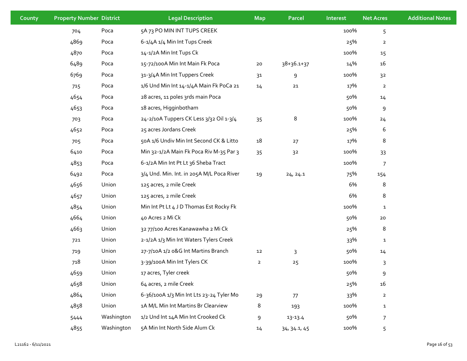| County | <b>Property Number District</b> |            | <b>Legal Description</b>                  | <b>Map</b>     | Parcel           | Interest | <b>Net Acres</b> | <b>Additional Notes</b> |
|--------|---------------------------------|------------|-------------------------------------------|----------------|------------------|----------|------------------|-------------------------|
|        | 704                             | Poca       | 5A 73 PO MIN INT TUPS CREEK               |                |                  | 100%     | 5                |                         |
|        | 4869                            | Poca       | 6-1/4A 1/4 Min Int Tups Creek             |                |                  | 25%      | $\mathbf 2$      |                         |
|        | 4870                            | Poca       | 14-1/2A Min Int Tups Ck                   |                |                  | 100%     | 15               |                         |
|        | 6489                            | Poca       | 15-72/100A Min Int Main Fk Poca           | ${\bf 20}$     | $38 + 36.1 + 37$ | 14%      | 16               |                         |
|        | 6769                            | Poca       | 31-3/4A Min Int Tuppers Creek             | 3 <sup>1</sup> | 9                | 100%     | 3 <sup>2</sup>   |                         |
|        | 715                             | Poca       | 1/6 Und Min Int 14-1/4A Main Fk PoCa 21   | 14             | $21\,$           | 17%      | $\overline{2}$   |                         |
|        | 4654                            | Poca       | 28 acres, 11 poles 3rds main Poca         |                |                  | 50%      | 14               |                         |
|        | 4653                            | Poca       | 18 acres, Higginbotham                    |                |                  | 50%      | 9                |                         |
|        | 703                             | Poca       | 24-2/10A Tuppers CK Less 3/32 Oil 1-3/4   | 35             | 8                | 100%     | 24               |                         |
|        | 4652                            | Poca       | 25 acres Jordans Creek                    |                |                  | 25%      | 6                |                         |
|        | 705                             | Poca       | 50A 1/6 Undiv Min Int Second CK & Litto   | 18             | 27               | 17%      | 8                |                         |
|        | 6410                            | Poca       | Min 32-1/2A Main Fk Poca Riv M-35 Par 3   | 35             | 3 <sup>2</sup>   | 100%     | 33               |                         |
|        | 4853                            | Poca       | 6-1/2A Min Int Pt Lt 36 Sheba Tract       |                |                  | 100%     | $\overline{7}$   |                         |
|        | 6492                            | Poca       | 3/4 Und. Min. Int. in 205A M/L Poca River | 19             | 24, 24.1         | 75%      | 154              |                         |
|        | 4656                            | Union      | 125 acres, 2 mile Creek                   |                |                  | 6%       | 8                |                         |
|        | 4657                            | Union      | 125 acres, 2 mile Creek                   |                |                  | 6%       | 8                |                         |
|        | 4854                            | Union      | Min Int Pt Lt 4 J D Thomas Est Rocky Fk   |                |                  | 100%     | $\mathbf{1}$     |                         |
|        | 4664                            | Union      | 40 Acres 2 Mi Ck                          |                |                  | 50%      | 20               |                         |
|        | 4663                            | Union      | 32 77/100 Acres Kanawawha 2 Mi Ck         |                |                  | 25%      | 8                |                         |
|        | 721                             | Union      | 2-1/2A 1/3 Min Int Waters Tylers Creek    |                |                  | 33%      | $\mathbf 1$      |                         |
|        | 719                             | Union      | 27-7/10A 1/2 0&G Int Martins Branch       | 12             | 3                | 50%      | 14               |                         |
|        | 718                             | Union      | 3-39/100A Min Int Tylers CK               | $\overline{2}$ | $25$             | 100%     | 3                |                         |
|        | 4659                            | Union      | 17 acres, Tyler creek                     |                |                  | 50%      | 9                |                         |
|        | 4658                            | Union      | 64 acres, 2 mile Creek                    |                |                  | 25%      | 16               |                         |
|        | 4864                            | Union      | 6-36/100A 1/3 Min Int Lts 23-24 Tyler Mo  | 29             | 77               | 33%      | $\mathbf{2}$     |                         |
|        | 4858                            | Union      | 1A M/L Min Int Martins Br Clearview       | 8              | 193              | 100%     | $\mathbf{1}$     |                         |
|        | 5444                            | Washington | 1/2 Und Int 14A Min Int Crooked Ck        | 9              | 13-13.4          | 50%      | $\overline{7}$   |                         |
|        | 4855                            | Washington | 5A Min Int North Side Alum Ck             | 14             | 34, 34.1, 45     | 100%     | 5                |                         |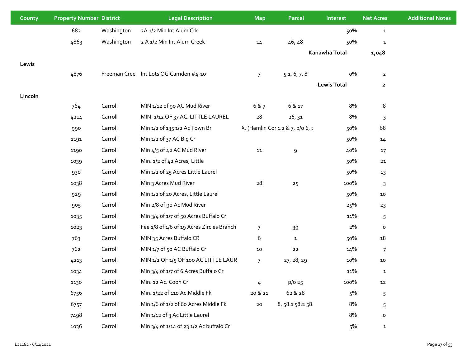| County  | <b>Property Number District</b> |            | <b>Legal Description</b>                  | <b>Map</b>      | <b>Parcel</b>                    | Interest           | <b>Net Acres</b> | <b>Additional Notes</b> |
|---------|---------------------------------|------------|-------------------------------------------|-----------------|----------------------------------|--------------------|------------------|-------------------------|
|         | 682                             | Washington | 2A 1/2 Min Int Alum Crk                   |                 |                                  | 50%                | $\mathbf{1}$     |                         |
|         | 4863                            | Washington | 2 A 1/2 Min Int Alum Creek                | 14              | 46,48                            | 50%                | $\mathbf{1}$     |                         |
|         |                                 |            |                                           |                 |                                  | Kanawha Total      | 1,048            |                         |
| Lewis   |                                 |            |                                           |                 |                                  |                    |                  |                         |
|         | 4876                            |            | Freeman Cree Int Lots OG Camden #4-10     | $7\overline{ }$ | 5.1, 6, 7, 8                     | о%                 | $\overline{2}$   |                         |
|         |                                 |            |                                           |                 |                                  | <b>Lewis Total</b> | $\mathbf{2}$     |                         |
| Lincoln |                                 |            |                                           |                 |                                  |                    |                  |                         |
|         | 764                             | Carroll    | MIN 1/12 of 90 AC Mud River               | 6 & 7           | 6 & 17                           | 8%                 | 8                |                         |
|         | 4214                            | Carroll    | MIN. 1/12 OF 37 AC. LITTLE LAUREL         | 28              | 26, 31                           | 8%                 | $\mathsf{3}$     |                         |
|         | 990                             | Carroll    | Min 1/2 of 135 1/2 Ac Town Br             |                 | 1, (Hamlin Cor 4.2 & 7, p/o 6, p | 50%                | 68               |                         |
|         | 1191                            | Carroll    | Min 1/2 of 37 AC Big Cr                   |                 |                                  | 50%                | 14               |                         |
|         | 1190                            | Carroll    | Min 4/5 of 42 AC Mud River                | 11              | 9                                | 40%                | 17               |                         |
|         | 1039                            | Carroll    | Min. 1/2 of 42 Acres, Little              |                 |                                  | 50%                | 21               |                         |
|         | 930                             | Carroll    | Min 1/2 of 25 Acres Little Laurel         |                 |                                  | 50%                | 13               |                         |
|         | 1038                            | Carroll    | Min 3 Acres Mud River                     | 28              | 25                               | 100%               | $\mathsf{3}$     |                         |
|         | 929                             | Carroll    | Min 1/2 of 20 Acres, Little Laurel        |                 |                                  | 50%                | 10               |                         |
|         | 905                             | Carroll    | Min 2/8 of 90 Ac Mud River                |                 |                                  | 25%                | 23               |                         |
|         | 1035                            | Carroll    | Min 3/4 of 1/7 of 50 Acres Buffalo Cr     |                 |                                  | 11%                | 5                |                         |
|         | 1023                            | Carroll    | Fee 1/8 of 1/6 of 19 Acres Zircles Branch | $\overline{7}$  | 39                               | 2%                 | $\mathsf{o}\,$   |                         |
|         | 763                             | Carroll    | MIN 35 Acres Buffalo CR                   | 6               | $\mathbf{1}$                     | 50%                | 18               |                         |
|         | 762                             | Carroll    | MIN 1/7 of 50 AC Buffalo Cr               | 10              | ${\bf 22}$                       | 14%                | $\overline{7}$   |                         |
|         | 4213                            | Carroll    | MIN 1/2 OF 1/5 OF 100 AC LITTLE LAUR      | $7\overline{ }$ | 27, 28, 29                       | 10%                | 10               |                         |
|         | 1034                            | Carroll    | Min 3/4 of 1/7 of 6 Acres Buffalo Cr      |                 |                                  | 11%                | ${\bf 1}$        |                         |
|         | 1130                            | Carroll    | Min. 12 Ac. Coon Cr.                      | 4               | $p/o$ 25                         | 100%               | 12               |                         |
|         | 6756                            | Carroll    | Min. 1/22 of 110 Ac. Middle Fk            | 20 & 21         | 62 & 28                          | 5%                 | 5                |                         |
|         | 6757                            | Carroll    | Min 1/6 of 1/2 of 60 Acres Middle Fk      | ${\bf 20}$      | 8, 58.1 58.2 58.                 | 8%                 | 5                |                         |
|         | 7498                            | Carroll    | Min 1/12 of 3 Ac Little Laurel            |                 |                                  | 8%                 | $\mathsf{o}\,$   |                         |
|         | 1036                            | Carroll    | Min 3/4 of 1/14 of 23 1/2 Ac buffalo Cr   |                 |                                  | 5%                 | $\mathbf{1}$     |                         |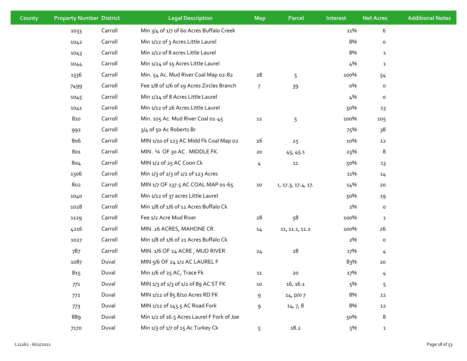| County | <b>Property Number District</b> |         | <b>Legal Description</b>                   | <b>Map</b>     | Parcel             | Interest | <b>Net Acres</b> | <b>Additional Notes</b> |
|--------|---------------------------------|---------|--------------------------------------------|----------------|--------------------|----------|------------------|-------------------------|
|        | 1033                            | Carroll | Min 3/4 of 1/7 of 60 Acres Buffalo Creek   |                |                    | 11%      | $\boldsymbol{6}$ |                         |
|        | 1042                            | Carroll | Min 1/12 of 3 Acres Little Laurel          |                |                    | 8%       | $\mathsf{o}$     |                         |
|        | 1043                            | Carroll | Min 1/12 of 8 acres Little Laurel          |                |                    | 8%       | $\mathbf{1}$     |                         |
|        | 1044                            | Carroll | Min 1/24 of 15 Acres Little Laurel         |                |                    | 4%       | $\mathbf{1}$     |                         |
|        | 1336                            | Carroll | Min. 54 Ac. Mud River Coal Map 02-82       | 28             | 5                  | 100%     | 54               |                         |
|        | 7499                            | Carroll | Fee 1/8 of 1/6 of 19 Acres Zircles Branch  | $\overline{7}$ | 39                 | о%       | $\mathsf{o}$     |                         |
|        | 1045                            | Carroll | Min 1/24 of 8 Acres Little Laurel          |                |                    | 4%       | $\mathsf{o}$     |                         |
|        | 1041                            | Carroll | Min 1/12 of 26 Acres Little Laurel         |                |                    | 50%      | 13               |                         |
|        | 810                             | Carroll | Min. 105 Ac. Mud River Coal 01-45          | 12             | 5                  | 100%     | 105              |                         |
|        | 992                             | Carroll | 3/4 of 50 Ac Roberts Br                    |                |                    | 75%      | 38               |                         |
|        | 806                             | Carroll | MIN 1/10 of 123 AC Midd Fk Coal Map 02     | 26             | 25                 | 10%      | 12               |                         |
|        | 801                             | Carroll | MIN. 1⁄4 OF 30 AC. MIDDLE FK.              | 20             | 45, 45.1           | 25%      | 8                |                         |
|        | 804                             | Carroll | MIN 1/2 of 25 AC Coon Ck                   | 4              | 11                 | 50%      | 13               |                         |
|        | 1306                            | Carroll | Min 1/3 of 2/3 of 1/2 of 123 Acres         |                |                    | 11%      | 14               |                         |
|        | 802                             | Carroll | MIN 1/7 OF 137.5 AC COAL MAP 01-65         | 10             | 2, 17.3, 17.4, 17. | 14%      | 20               |                         |
|        | 1040                            | Carroll | Min 1/12 of 37 acres Little Laurel         |                |                    | 50%      | 19               |                         |
|        | 1028                            | Carroll | Min 1/8 of 1/6 of 12 Acres Buffalo Ck      |                |                    | 2%       | $\mathsf{o}$     |                         |
|        | 1129                            | Carroll | Fee 1/2 Acre Mud River                     | 28             | 58                 | 100%     | $\mathbf{1}$     |                         |
|        | 4216                            | Carroll | MIN. 26 ACRES, MAHONE CR.                  | 14             | 11, 11.1, 11.2     | 100%     | 26               |                         |
|        | 1027                            | Carroll | Min 1/8 of 1/6 of 21 Acres Buffalo Ck      |                |                    | 2%       | $\mathsf{o}$     |                         |
|        | 787                             | Carroll | MIN. 1/6 OF 24 ACRE, MUD RIVER             | 24             | 28                 | 17%      | 4                |                         |
|        | 1087                            | Duval   | MIN 5/6 OF 24 1/2 AC LAUREL F              |                |                    | 83%      | $20\,$           |                         |
|        | 815                             | Duval   | Min 1/6 of 25 AC, Trace Fk                 | 11             | 20                 | 17%      | 4                |                         |
|        | 771                             | Duval   | MIN 1/3 of 1/3 of 1/2 of 89 AC ST FK       | 10             | 16, 16.1           | 5%       | $\overline{5}$   |                         |
|        | 772                             | Duval   | MIN 1/12 of 85 8/10 Acres RD FK            | 9              | 14, p/07           | 8%       | ${\bf 12}$       |                         |
|        | 773                             | Duval   | MIN 1/12 of 143.5 AC Road Fork             | 9              | 14, 7, 8           | 8%       | 12               |                         |
|        | 889                             | Duval   | Min 1/2 of 16.5 Acres Laurel F Fork of Joe |                |                    | 50%      | 8                |                         |
|        | 7170                            | Duval   | Min 1/3 of 1/7 of 15 Ac Turkey Ck          | 5              | 18.2               | 5%       | $\mathbf{1}$     |                         |
|        |                                 |         |                                            |                |                    |          |                  |                         |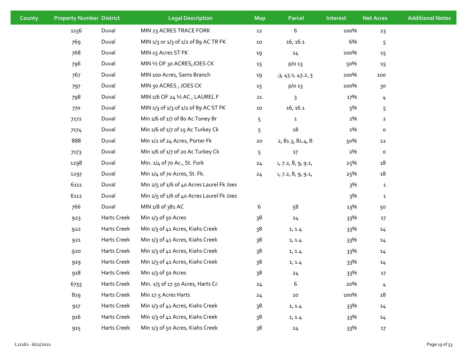| County | <b>Property Number District</b> |             | <b>Legal Description</b>                  | <b>Map</b> | <b>Parcel</b>        | Interest | <b>Net Acres</b> | <b>Additional Notes</b> |
|--------|---------------------------------|-------------|-------------------------------------------|------------|----------------------|----------|------------------|-------------------------|
|        | 1156                            | Duval       | MIN 23 ACRES TRACE FORK                   | 12         | 6                    | 100%     | 23               |                         |
|        | 769                             | Duval       | MIN 1/3 or 1/3 of 1/2 of 89 AC TR FK      | ${\bf 10}$ | 16, 16.1             | 6%       | 5                |                         |
|        | 768                             | Duval       | MIN 15 Acres ST FK                        | 19         | 14                   | 100%     | 15               |                         |
|        | 796                             | Duval       | MIN 1/2 OF 30 ACRES, JOES CK              | 15         | $p/o$ 13             | 50%      | 15               |                         |
|        | 767                             | Duval       | MIN 100 Acres, Sams Branch                | 19         | $+3, 43.1, 43.2, 31$ | 100%     | 100              |                         |
|        | 797                             | Duval       | MIN 30 ACRES, JOES CK                     | 15         | p/o 13               | 100%     | 30               |                         |
|        | 798                             | Duval       | MIN 1/6 OF 24 1/2 AC, LAUREL F            | $21$       | 3                    | 17%      | $\frac{1}{4}$    |                         |
|        | 770                             | Duval       | MIN 1/3 of 1/3 of 1/2 of 89 AC ST FK      | ${\bf 10}$ | 16, 16.1             | 5%       | 5                |                         |
|        | 7172                            | Duval       | Min 1/6 of 1/7 of 8o Ac Toney Br          | 5          | $\mathbf{1}$         | 2%       | $\overline{2}$   |                         |
|        | 7174                            | Duval       | Min 1/6 of 1/7 of 15 Ac Turkey Ck         | 5          | $\mathtt{18}$        | 2%       | $\mathsf{o}\,$   |                         |
|        | 888                             | Duval       | Min 1/2 of 24 Acres, Porter Fk            | ${\bf 20}$ | 2, 81.3, 81.4, 8:    | 50%      | 12               |                         |
|        | 7173                            | Duval       | Min 1/6 of 1/7 of 20 Ac Turkey Ck         | 5          | $17$                 | 2%       | $\mathsf{o}\,$   |                         |
|        | 1298                            | Duval       | Min. 1/4 of 70 Ac., St. Fork              | 24         | 1, 7.2, 8, 9, 9.1,   | 25%      | 18               |                         |
|        | 1297                            | Duval       | Min 1/4 of 70 Acres, St. Fk.              | 24         | 1, 7.2, 8, 9, 9.1,   | 25%      | 18               |                         |
|        | 6111                            | Duval       | Min 2/5 of 1/6 of 40 Acres Laurel Fk Joes |            |                      | 3%       | $\mathbf{1}$     |                         |
|        | 6112                            | Duval       | Min 2/5 of 1/6 of 40 Acres Laurel Fk Joes |            |                      | 3%       | $\mathbf{1}$     |                         |
|        | 766                             | Duval       | MIN 1/8 of 381 AC                         | 6          | 58                   | 13%      | 50               |                         |
|        | 923                             | Harts Creek | Min 1/3 of 50 Acres                       | 38         | 24                   | 33%      | 17               |                         |
|        | 922                             | Harts Creek | Min 1/3 of 41 Acres, Kiahs Creek          | 38         | 1, 1.4               | 33%      | 14               |                         |
|        | 921                             | Harts Creek | Min 1/3 of 41 Acres, Kiahs Creek          | 38         | 1, 1.4               | 33%      | 14               |                         |
|        | 920                             | Harts Creek | Min 1/3 of 41 Acres, Kiahs Creek          | 38         | 1, 1.4               | 33%      | 14               |                         |
|        | 919                             | Harts Creek | Min 1/3 of 41 Acres, Kiahs Creek          | 38         | 1, 1.4               | 33%      | 14               |                         |
|        | 918                             | Harts Creek | Min 1/3 of 50 Acres                       | 38         | 24                   | 33%      | 17               |                         |
|        | 6755                            | Harts Creek | Min. 1/5 of 17.50 Acres, Harts Cr.        | 24         | 6                    | 20%      | 4                |                         |
|        | 819                             | Harts Creek | Min 17.5 Acres Harts                      | 24         | $10\,$               | 100%     | 18               |                         |
|        | 917                             | Harts Creek | Min 1/3 of 41 Acres, Kiahs Creek          | 38         | 1, 1.4               | 33%      | 14               |                         |
|        | 916                             | Harts Creek | Min 1/3 of 41 Acres, Kiahs Creek          | 38         | 1, 1.4               | 33%      | 14               |                         |
|        | 915                             | Harts Creek | Min 1/3 of 50 Acres, Kiahs Creek          | 38         | 24                   | 33%      | 17               |                         |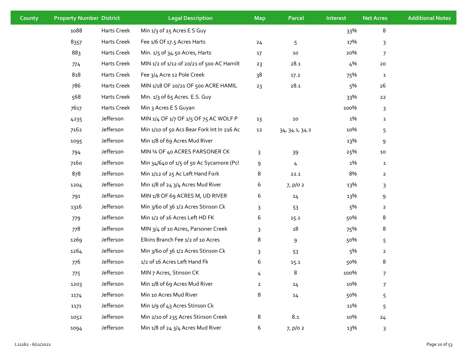| County | <b>Property Number District</b> |             | <b>Legal Description</b>                   | <b>Map</b>     | Parcel         | Interest | <b>Net Acres</b>                                                                                                                                                           | <b>Additional Notes</b> |
|--------|---------------------------------|-------------|--------------------------------------------|----------------|----------------|----------|----------------------------------------------------------------------------------------------------------------------------------------------------------------------------|-------------------------|
|        | 1088                            | Harts Creek | Min 1/3 of 25 Acres E S Guy                |                |                | 33%      | 8<br>17%<br>3<br>20%<br>$\overline{7}$<br>4%<br>20<br>75%<br>$\mathbf{1}$<br>5%<br>26<br>33%<br>22<br>100%<br>3<br>1%<br>$\mathbf{1}$<br>10%<br>5<br>13%<br>9<br>25%<br>10 |                         |
|        | 8357                            | Harts Creek | Fee 1/6 Of 17.5 Acres Harts                | 24             | 5              |          |                                                                                                                                                                            |                         |
|        | 883                             | Harts Creek | Min. 1/5 of 34.50 Acres, Harts             | $17\,$         | $10\,$         |          |                                                                                                                                                                            |                         |
|        | 774                             | Harts Creek | MIN 1/2 of 1/12 of 20/21 of 500 AC Hamilt  | 23             | 28.1           |          |                                                                                                                                                                            |                         |
|        | 818                             | Harts Creek | Fee 3/4 Acre 12 Pole Creek                 | 38             | 17.2           |          |                                                                                                                                                                            |                         |
|        | 786                             | Harts Creek | MIN 1/18 OF 20/21 OF 500 ACRE HAMIL        | 23             | 28.1           |          |                                                                                                                                                                            |                         |
|        | 568                             | Harts Creek | Min. 1/3 of 65 Acres. E.S. Guy             |                |                |          |                                                                                                                                                                            |                         |
|        | 7617                            | Harts Creek | Min 3 Acres E S Guyan                      |                |                |          |                                                                                                                                                                            |                         |
|        | 4235                            | Jefferson   | MIN 1/4 OF 1/7 OF 1/5 OF 75 AC WOLF P      | 13             | ${\bf 10}$     |          |                                                                                                                                                                            |                         |
|        | 7162                            | Jefferson   | Min 1/10 of 50 Acs Bear Fork Int In 216 Ac | 12             | 34, 34.1, 34.2 |          |                                                                                                                                                                            |                         |
|        | 1095                            | Jefferson   | Min 1/8 of 69 Acres Mud River              |                |                |          |                                                                                                                                                                            |                         |
|        | 794                             | Jefferson   | MIN 1⁄4 OF 40 ACRES PARSONER CK            | 3              | 39             |          |                                                                                                                                                                            |                         |
|        | 7160                            | Jefferson   | Min 34/640 of 1/5 of 50 Ac Sycamore (Pcl   | 9              | 4              | 1%       | $\mathbf{1}$                                                                                                                                                               |                         |
|        | 878                             | Jefferson   | Min 1/12 of 25 Ac Left Hand Fork           | 8              | 22.1           | 8%       | $\overline{2}$                                                                                                                                                             |                         |
|        | 1204                            | Jefferson   | Min 1/8 of 24 3/4 Acres Mud River          | 6              | 7, p/0 2       | 13%      | 3                                                                                                                                                                          |                         |
|        | 791                             | Jefferson   | MIN 1/8 OF 69 ACRES M, UD RIVER            | 6              | 14             | 13%      | 9                                                                                                                                                                          |                         |
|        | 1316                            | Jefferson   | Min 3/60 of 36 1/2 Acres Stinson Ck        | 3              | 53             | 5%       | $\overline{2}$                                                                                                                                                             |                         |
|        | 779                             | Jefferson   | Min 1/2 of 16 Acres Left HD FK             | 6              | 15.1           | 50%      | 8                                                                                                                                                                          |                         |
|        | 778                             | Jefferson   | MIN 3/4 of 10 Acres, Parsoner Creek        | 3              | 18             | 75%      | 8                                                                                                                                                                          |                         |
|        | 1269                            | Jefferson   | Elkins Branch Fee 1/2 of 10 Acres          | 8              | 9              | 50%      | 5                                                                                                                                                                          |                         |
|        | 1264                            | Jefferson   | Min 3/60 of 36 1/2 Acres Stinson Ck        | 3              | 53             | 5%       | $\overline{2}$                                                                                                                                                             |                         |
|        | 776                             | Jefferson   | 1/2 of 16 Acres Left Hand Fk               | 6              | 15.1           | 50%      | 8                                                                                                                                                                          |                         |
|        | 775                             | Jefferson   | MIN 7 Acres, Stinson CK                    | 4              | 8              | 100%     | 7                                                                                                                                                                          |                         |
|        | 1203                            | Jefferson   | Min 1/8 of 69 Acres Mud River              | $\overline{2}$ | 14             | 10%      | $\overline{7}$                                                                                                                                                             |                         |
|        | 1174                            | Jefferson   | Min 10 Acres Mud River                     | 8              | 14             | 50%      | 5                                                                                                                                                                          |                         |
|        | 1171                            | Jefferson   | Min 1/9 of 43 Acres Stinson Ck             |                |                | 11%      | 5                                                                                                                                                                          |                         |
|        | 1052                            | Jefferson   | Min 2/10 of 235 Acres Stinson Creek        | 8              | 8.1            | 10%      | 24                                                                                                                                                                         |                         |
|        | 1094                            | Jefferson   | Min 1/8 of 24 3/4 Acres Mud River          | 6              | 7, p/02        | 13%      | $\mathsf{3}$                                                                                                                                                               |                         |
|        |                                 |             |                                            |                |                |          |                                                                                                                                                                            |                         |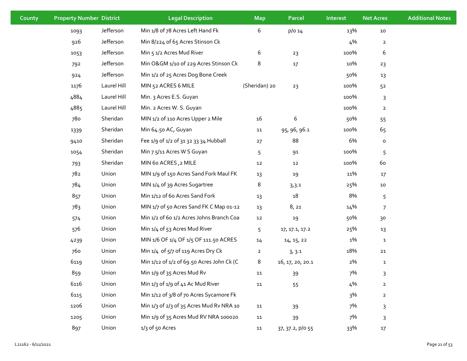| County | <b>Property Number District</b> |             | <b>Legal Description</b>                  | <b>Map</b>     | <b>Parcel</b>    | Interest | <b>Net Acres</b> | <b>Additional Notes</b> |
|--------|---------------------------------|-------------|-------------------------------------------|----------------|------------------|----------|------------------|-------------------------|
|        | 1093                            | Jefferson   | Min 1/8 of 78 Acres Left Hand Fk          | 6              | p/O 14           | 13%      | $10\,$           |                         |
|        | 926                             | Jefferson   | Min 8/224 of 65 Acres Stinson Ck          |                |                  | 4%       | $\overline{a}$   |                         |
|        | 1053                            | Jefferson   | Min 5 1/2 Acres Mud River                 | 6              | 23               | 100%     | 6                |                         |
|        | 792                             | Jefferson   | Min O&GM 1/10 of 229 Acres Stinson Ck     | 8              | $17$             | 10%      | 23               |                         |
|        | 924                             | Jefferson   | Min 1/2 of 25 Acres Dog Bone Creek        |                |                  | 50%      | 13               |                         |
|        | 1176                            | Laurel Hill | MIN 52 ACRES 6 MILE                       | (Sheridan) 20  | 23               | 100%     | 52               |                         |
|        | 4884                            | Laurel Hill | Min. 3 Acres E.S. Guyan                   |                |                  | 100%     | 3                |                         |
|        | 4885                            | Laurel Hill | Min. 2 Acres W. S. Guyan                  |                |                  | 100%     | $\overline{2}$   |                         |
|        | 780                             | Sheridan    | MIN 1/2 of 110 Acres Upper 2 Mile         | $16\,$         | 6                | 50%      | 55               |                         |
|        | 1339                            | Sheridan    | Min 64.50 AC, Guyan                       | 11             | 95, 96, 96.1     | 100%     | 65               |                         |
|        | 9410                            | Sheridan    | Fee 1/9 of 1/2 of 31 32 33 34 Hubball     | 27             | 88               | 6%       | $\mathsf{o}\,$   |                         |
|        | 1054                            | Sheridan    | Min 7 5/11 Acres W S Guyan                | 5              | 91               | 100%     | 5                |                         |
|        | 793                             | Sheridan    | MIN 60 ACRES, 2 MILE                      | $12\,$         | 12               | 100%     | 60               |                         |
|        | 782                             | Union       | MIN 1/9 of 150 Acres Sand Fork Maul FK    | 13             | 19               | 11%      | 17               |                         |
|        | 784                             | Union       | MIN 1/4 of 39 Acres Sugartree             | 8              | 3,3.1            | 25%      | $10\,$           |                         |
|        | 857                             | Union       | Min 1/12 of 60 Acres Sand Fork            | 13             | $18\,$           | 8%       | 5                |                         |
|        | 783                             | Union       | MIN 1/7 of 50 Acres Sand FK C Map 01-12   | 13             | 8,21             | 14%      | 7                |                         |
|        | 574                             | Union       | Min 1/2 of 60 1/2 Acres Johns Branch Coa  | $12\,$         | 19               | 50%      | 30               |                         |
|        | 576                             | Union       | Min 1/4 of 53 Acres Mud River             | 5              | 17, 17.1, 17.2   | 25%      | 13               |                         |
|        | 4239                            | Union       | MIN 1/6 OF 1/4 OF 1/5 OF 111.50 ACRES     | $14\,$         | 14, 15, 22       | 1%       | $\mathbf{1}$     |                         |
|        | 760                             | Union       | Min 1/4 of 5/7 of 119 Acres Dry Ck        | $\overline{2}$ | 3, 3.1           | 18%      | 21               |                         |
|        | 6119                            | Union       | Min 1/12 of 1/2 of 69.50 Acres John Ck (C | 8              | 16, 17, 20, 20.1 | 2%       | $\mathbf{1}$     |                         |
|        | 859                             | Union       | Min 1/9 of 35 Acres Mud Rv                | 11             | 39               | 7%       | 3                |                         |
|        | 6116                            | Union       | Min 1/3 of 1/9 of 41 Ac Mud River         | 11             | 55               | 4%       | $\mathbf{2}$     |                         |
|        | 6115                            | Union       | Min 1/12 of 3/8 of 70 Acres Sycamore Fk   |                |                  | 3%       | $\overline{2}$   |                         |
|        | 1206                            | Union       | Min 1/3 of 2/3 of 35 Acres Mud Rv NRA 10  | 11             | 39               | 7%       | 3                |                         |
|        | 1205                            | Union       | Min 1/9 of 35 Acres Mud RV NRA 100020     | 11             | 39               | 7%       | 3                |                         |
|        | 897                             | Union       | $1/3$ of 50 Acres                         | 11             | 37, 37.2, p/o 55 | 33%      | $17\,$           |                         |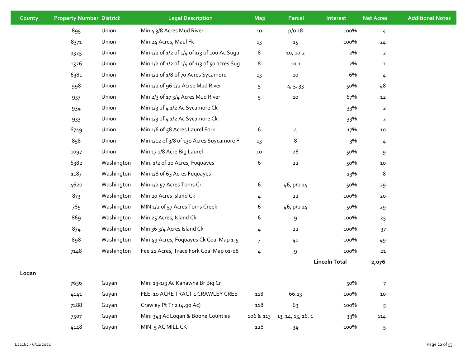| County | <b>Property Number District</b> |            | <b>Legal Description</b>                     | <b>Map</b>     | <b>Parcel</b>     | Interest             | <b>Net Acres</b> | <b>Additional Notes</b> |
|--------|---------------------------------|------------|----------------------------------------------|----------------|-------------------|----------------------|------------------|-------------------------|
|        | 895                             | Union      | Min 4 3/8 Acres Mud River                    | $10\,$         | p/o 18            | 100%                 | $\overline{4}$   |                         |
|        | 8371                            | Union      | Min 24 Acres, Maul Fk                        | 13             | 15                | 100%                 | 24               |                         |
|        | 1325                            | Union      | Min 1/2 of 1/2 of 1/4 of 1/3 of 100 Ac Suga  | 8              | 10, 10.2          | 2%                   | $\overline{2}$   |                         |
|        | 1326                            | Union      | Min 1/2 of 1/2 of 1/4 of 1/3 of 50 acres Sug | 8              | 10.1              | 2%                   | $\mathbf{1}$     |                         |
|        | 6381                            | Union      | Min 1/2 of 1/8 of 70 Acres Sycamore          | 13             | $10\,$            | 6%                   | 4                |                         |
|        | 998                             | Union      | Min 1/2 of 96 1/2 Acrse Mud River            | 5              | 4, 5, 33          | 50%                  | 48               |                         |
|        | 957                             | Union      | Min 2/3 of 17 3/4 Acres Mud River            | 5              | $10\,$            | 67%                  | 12               |                         |
|        | 934                             | Union      | Min 1/3 of 4 1/2 Ac Sycamore Ck              |                |                   | 33%                  | $\overline{2}$   |                         |
|        | 933                             | Union      | Min 1/3 of 4 1/2 Ac Sycamore Ck              |                |                   | 33%                  | $\overline{2}$   |                         |
|        | 6749                            | Union      | Min 1/6 of 58 Acres Laurel Fork              | 6              | $\frac{1}{4}$     | 17%                  | ${\bf 10}$       |                         |
|        | 858                             | Union      | Min 1/12 of 3/8 of 130 Acres Suycamore F     | 13             | 8                 | 3%                   | 4                |                         |
|        | 1097                            | Union      | Min 17 1/8 Acre Big Laurel                   | ${\bf 10}$     | 26                | 50%                  | 9                |                         |
|        | 6382                            | Washington | Min. 1/2 of 20 Acres, Fuquayes               | 6              | ${\bf 22}$        | 50%                  | 10               |                         |
|        | 1187                            | Washington | Min 1/8 of 63 Acres Fuquayes                 |                |                   | 13%                  | 8                |                         |
|        | 4620                            | Washington | Min 1/2 57 Acres Toms Cr.                    | 6              | 46, p/o 14        | 50%                  | 29               |                         |
|        | 873                             | Washington | Min 20 Acres Island Ck                       | 4              | $22\,$            | 100%                 | 20               |                         |
|        | 785                             | Washington | MIN 1/2 of 57 Acres Toms Creek               | 6              | 46, p/o 14        | 50%                  | 29               |                         |
|        | 869                             | Washington | Min 25 Acres, Island Ck                      | 6              | 9                 | 100%                 | 25               |                         |
|        | 874                             | Washington | Min 36 3/4 Acres Island Ck                   | 4              | 22                | 100%                 | 37               |                         |
|        | 898                             | Washington | Min 49 Acres, Fuquayes Ck Coal Map 1-5       | $\overline{7}$ | 40                | 100%                 | 49               |                         |
|        | 7148                            | Washington | Fee 21 Acres, Trace Fork Coal Map 01-08      | 4              | 9                 | 100%                 | 21               |                         |
|        |                                 |            |                                              |                |                   | <b>Lincoln Total</b> | 2,076            |                         |
| Logan  |                                 |            |                                              |                |                   |                      |                  |                         |
|        | 7636                            | Guyan      | Min: 13-1/3 Ac Kanawha Br Big Cr             |                |                   | 50%                  | $\overline{7}$   |                         |
|        | 4141                            | Guyan      | FEE: 10 ACRE TRACT 1 CRAWLEY CREE            | 118            | 66.13             | 100%                 | ${\bf 10}$       |                         |
|        | 7288                            | Guyan      | Crawley Pt Tr 2 (4.90 Ac)                    | 118            | 63                | 100%                 | 5                |                         |
|        | 7507                            | Guyan      | Min: 343 Ac Logan & Boone Counties           | 106 & 113      | 13, 14, 15, 16, 1 | 33%                  | 114              |                         |
|        | 4148                            | Guyan      | MIN: 5 AC MILL CK                            | 128            | 34                | 100%                 | 5                |                         |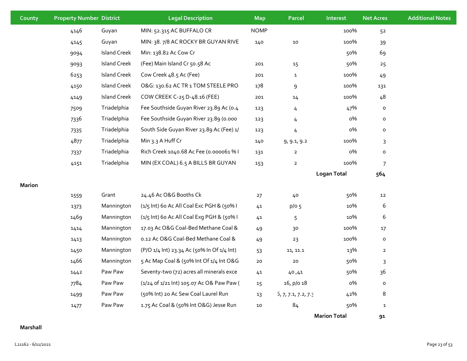| County | <b>Property Number District</b> |                     | <b>Legal Description</b>                   | <b>Map</b>  | <b>Parcel</b>       | Interest            | <b>Net Acres</b> | <b>Additional Notes</b> |
|--------|---------------------------------|---------------------|--------------------------------------------|-------------|---------------------|---------------------|------------------|-------------------------|
|        | 4146                            | Guyan               | MIN: 52.315 AC BUFFALO CR                  | <b>NOMP</b> |                     | 100%                | 52               |                         |
|        | 4145                            | Guyan               | MIN: 38. 7/8 AC ROCKY BR GUYAN RIVE        | 140         | 10                  | 100%                | 39               |                         |
|        | 9094                            | <b>Island Creek</b> | Min: 138.82 Ac Cow Cr                      |             |                     | 50%                 | 69               |                         |
|        | 9093                            | <b>Island Creek</b> | (Fee) Main Island Cr 50.58 Ac              | 201         | 15                  | 50%                 | 25               |                         |
|        | 6253                            | <b>Island Creek</b> | Cow Creek 48.5 Ac (Fee)                    | 201         | $\mathbf{1}$        | 100%                | 49               |                         |
|        | 4150                            | <b>Island Creek</b> | O&G: 130.62 AC TR 1 TOM STEELE PRO         | 178         | 9                   | 100%                | 131              |                         |
|        | 4149                            | <b>Island Creek</b> | COW CREEK C-25 D-48.16 (FEE)               | 201         | 14                  | 100%                | 48               |                         |
|        | 7509                            | Triadelphia         | Fee Southside Guyan River 23.89 Ac (0.4    | 123         | 4                   | 47%                 | $\mathsf{o}$     |                         |
|        | 7336                            | Triadelphia         | Fee Southside Guyan River 23.89 (0.000     | 123         | 4                   | $\rm o\%$           | $\mathsf{o}$     |                         |
|        | 7335                            | Triadelphia         | South Side Guyan River 23.89 Ac (Fee) 1/   | 123         | 4                   | о%                  | $\mathsf{o}\,$   |                         |
|        | 4877                            | Triadelphia         | Min 3.3 A Huff Cr                          | 140         | 9, 9.1, 9.2         | 100%                | 3                |                         |
|        | 7337                            | Triadelphia         | Rich Creek 1040.68 Ac Fee (0.000061 % I    | 131         | $\mathbf 2$         | о%                  | $\mathsf{o}$     |                         |
|        | 4151                            | Triadelphia         | MIN (EX COAL) 6.5 A BILLS BR GUYAN         | 153         | $\overline{2}$      | 100%                | $\overline{7}$   |                         |
|        |                                 |                     |                                            |             |                     | <b>Logan Total</b>  | 564              |                         |
| Marion |                                 |                     |                                            |             |                     |                     |                  |                         |
|        | 1559                            | Grant               | 24.46 Ac O&G Booths Ck                     | 27          | 40                  | 50%                 | 12               |                         |
|        | 1373                            | Mannington          | (1/5 Int) 60 Ac All Coal Exc PGH & (50% I  | 41          | p/o 5               | 10%                 | 6                |                         |
|        | 1469                            | Mannington          | (1/5 Int) 60 Ac All Coal Exg PGH & (50% I  | 41          | 5                   | 10%                 | $\boldsymbol{6}$ |                         |
|        | 1414                            | Mannington          | 17.03 Ac O&G Coal-Bed Methane Coal &       | 49          | 30                  | 100%                | 17               |                         |
|        | 1413                            | Mannington          | 0.12 Ac O&G Coal-Bed Methane Coal &        | 49          | 23                  | 100%                | $\mathsf{o}\,$   |                         |
|        | 1450                            | Mannington          | (P/O 1/4 Int) 23.34 Ac (50% In Of 1/4 Int) | 53          | 11, 11.1            | 13%                 | $\overline{2}$   |                         |
|        | 1466                            | Mannington          | 5 Ac Map Coal & (50% Int Of 1/4 Int O&G    | 20          | 20                  | 50%                 | $\mathbf{3}$     |                         |
|        | 1442                            | Paw Paw             | Seventy-two (72) acres all minerals exce   | 41          | 40,41               | 50%                 | 36               |                         |
|        | 7784                            | Paw Paw             | (1/24 of 1/21 lnt) 105.07 Ac O& Paw Paw (  | 15          | 16, p/o 18          | о%                  | $\mathsf{o}$     |                         |
|        | 1499                            | Paw Paw             | (50% Int) 20 Ac Sew Coal Laurel Run        | 13          | 5, 7, 7.1, 7.2, 7.3 | 42%                 | 8                |                         |
|        | 1477                            | Paw Paw             | 1.75 Ac Coal & (50% Int O&G) Jesse Run     | 10          | 84                  | 50%                 | $\mathbf{1}$     |                         |
|        |                                 |                     |                                            |             |                     | <b>Marion Total</b> | 91               |                         |

## **Marshall**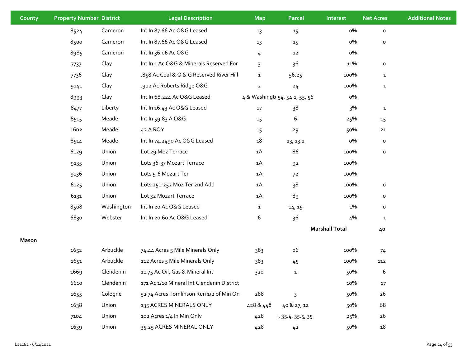| County | <b>Property Number District</b> |            | <b>Legal Description</b>                   | <b>Map</b>     | <b>Parcel</b>                  | Interest              | <b>Net Acres</b> | <b>Additional Notes</b> |
|--------|---------------------------------|------------|--------------------------------------------|----------------|--------------------------------|-----------------------|------------------|-------------------------|
|        | 8524                            | Cameron    | Int In 87.66 Ac O&G Leased                 | 13             | 15                             | о%                    | $\mathsf{o}\,$   |                         |
|        | 8500                            | Cameron    | Int In 87.66 Ac O&G Leased                 | 13             | 15                             | о%                    | $\mathsf{o}\,$   |                         |
|        | 8985                            | Cameron    | Int In 36.06 Ac O&G                        | 4              | 12                             | о%                    |                  |                         |
|        | 7737                            | Clay       | Int In 1 Ac O&G & Minerals Reserved For    | 3              | 36                             | 11%                   | $\mathsf{o}\,$   |                         |
|        | 7736                            | Clay       | .858 Ac Coal & O & G Reserved River Hill   | $\mathbf{1}$   | 56.25                          | 100%                  | $\mathbf{1}$     |                         |
|        | 9141                            | Clay       | .902 Ac Roberts Ridge O&G                  | $\overline{2}$ | 24                             | 100%                  | $\mathbf{1}$     |                         |
|        | 8993                            | Clay       | Int In 68.224 Ac O&G Leased                |                | 4 & Washingto 54, 54.1, 55, 56 | о%                    |                  |                         |
|        | 8477                            | Liberty    | Int In 16.43 Ac O&G Leased                 | 17             | 38                             | 3%                    | $\mathbf{1}$     |                         |
|        | 8515                            | Meade      | Int In 59.83 A O&G                         | 15             | 6                              | 25%                   | 15               |                         |
|        | 1602                            | Meade      | 42 A ROY                                   | 15             | 29                             | 50%                   | 21               |                         |
|        | 8514                            | Meade      | Int In 74.2490 Ac O&G Leased               | 18             | 13, 13.1                       | о%                    | $\mathsf{o}\,$   |                         |
|        | 6129                            | Union      | Lot 29 Moz Terrace                         | 1A             | 86                             | 100%                  | $\mathsf{o}\,$   |                         |
|        | 9135                            | Union      | Lots 36-37 Mozart Terrace                  | 1A             | 92                             | 100%                  |                  |                         |
|        | 9136                            | Union      | Lots 5-6 Mozart Ter                        | 1A             | 72                             | 100%                  |                  |                         |
|        | 6125                            | Union      | Lots 251-252 Moz Ter 2nd Add               | 1A             | 38                             | 100%                  | $\mathsf{o}\,$   |                         |
|        | 6131                            | Union      | Lot 32 Mozart Terrace                      | 1A             | 89                             | 100%                  | $\mathsf{o}\,$   |                         |
|        | 8508                            | Washington | Int In 20 Ac O&G Leased                    | $\mathbf{1}$   | 14, 15                         | 1%                    | 0                |                         |
|        | 6830                            | Webster    | Int In 20.60 Ac O&G Leased                 | 6              | 36                             | 4%                    | $\mathbf{1}$     |                         |
|        |                                 |            |                                            |                |                                | <b>Marshall Total</b> | 40               |                         |
| Mason  |                                 |            |                                            |                |                                |                       |                  |                         |
|        | 1652                            | Arbuckle   | 74.44 Acres 5 Mile Minerals Only           | 383            | <b>06</b>                      | 100%                  | 74               |                         |
|        | 1651                            | Arbuckle   | 112 Acres 5 Mile Minerals Only             | 383            | 45                             | 100%                  | 112              |                         |
|        | 1669                            | Clendenin  | 11.75 Ac Oil, Gas & Mineral Int            | 320            | 1                              | 50%                   | 6                |                         |
|        | 6610                            | Clendenin  | 171 Ac 1/10 Mineral Int Clendenin District |                |                                | 10%                   | $17\,$           |                         |
|        | 1655                            | Cologne    | 52 74 Acres Tomlinson Run 1/2 of Min On    | 288            | 3                              | 50%                   | 26               |                         |
|        | 1638                            | Union      | 135 ACRES MINERALS ONLY                    | 428 & 448      | 40 & 27, 12                    | 50%                   | 68               |                         |
|        | 7104                            | Union      | 102 Acres 1/4 In Min Only                  | 428            | l, 35.4, 35.5, 35.             | 25%                   | 26               |                         |
|        | 1639                            | Union      | 35.25 ACRES MINERAL ONLY                   | 428            | 4 <sup>2</sup>                 | 50%                   | 18               |                         |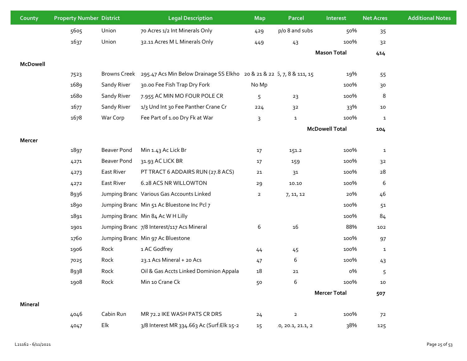| County   | <b>Property Number District</b> |                    | <b>Legal Description</b>                                              | <b>Map</b>     | <b>Parcel</b>     | Interest              | <b>Net Acres</b> | <b>Additional Notes</b> |
|----------|---------------------------------|--------------------|-----------------------------------------------------------------------|----------------|-------------------|-----------------------|------------------|-------------------------|
|          | 5605                            | Union              | 70 Acres 1/2 Int Minerals Only                                        | 429            | p/o 8 and subs    | 50%                   | 35               |                         |
|          | 1637                            | Union              | 32.11 Acres M L Minerals Only                                         | 449            | 43                | 100%                  | 32               |                         |
|          |                                 |                    |                                                                       |                |                   | <b>Mason Total</b>    | 414              |                         |
| McDowell |                                 |                    |                                                                       |                |                   |                       |                  |                         |
|          | 7523                            | Browns Creek       | 295.47 Acs Min Below Drainage SS Elkho 20 & 21 & 22 5, 7, 8 & 111, 15 |                |                   | 19%                   | 55               |                         |
|          | 1689                            | Sandy River        | 30.00 Fee Fish Trap Dry Fork                                          | No Mp          |                   | 100%                  | 30               |                         |
|          | 1680                            | Sandy River        | 7.955 AC MIN MO FOUR POLE CR                                          | 5              | 23                | 100%                  | 8                |                         |
|          | 1677                            | Sandy River        | 1/3 Und Int 30 Fee Panther Crane Cr                                   | 224            | 32                | 33%                   | 10               |                         |
|          | 1678                            | War Corp           | Fee Part of 1.00 Dry Fk at War                                        | 3              | $\mathbf{1}$      | 100%                  | $\mathbf 1$      |                         |
|          |                                 |                    |                                                                       |                |                   | <b>McDowell Total</b> | 104              |                         |
| Mercer   |                                 |                    |                                                                       |                |                   |                       |                  |                         |
|          | 1897                            | <b>Beaver Pond</b> | Min 1.43 Ac Lick Br                                                   | 17             | 151.2             | 100%                  | $\mathbf{1}$     |                         |
|          | 4271                            | Beaver Pond        | 31.93 AC LICK BR                                                      | 17             | 159               | 100%                  | 32               |                         |
|          | 4273                            | East River         | PT TRACT 6 ADDAIRS RUN (27.8 ACS)                                     | 21             | 31                | 100%                  | 28               |                         |
|          | 4272                            | East River         | 6.28 ACS NR WILLOWTON                                                 | 29             | 10.10             | 100%                  | 6                |                         |
|          | 8936                            |                    | Jumping Branc Various Gas Accounts Linked                             | $\overline{2}$ | 7, 11, 12         | 20%                   | 46               |                         |
|          | 1890                            |                    | Jumping Branc Min 51 Ac Bluestone Inc Pcl 7                           |                |                   | 100%                  | 5 <sup>1</sup>   |                         |
|          | 1891                            |                    | Jumping Branc Min 84 Ac W H Lilly                                     |                |                   | 100%                  | 84               |                         |
|          | 1901                            |                    | Jumping Branc 7/8 Interest/117 Acs Mineral                            | 6              | 16                | 88%                   | 102              |                         |
|          | 1760                            |                    | Jumping Branc Min 97 Ac Bluestone                                     |                |                   | 100%                  | 97               |                         |
|          | 1906                            | Rock               | 1 AC Godfrey                                                          | 44             | 45                | 100%                  | $\mathbf{1}$     |                         |
|          | 7025                            | Rock               | 23.1 Acs Mineral + 20 Acs                                             | 47             | 6                 | 100%                  | 43               |                         |
|          | 8938                            | Rock               | Oil & Gas Accts Linked Dominion Appala                                | $18\,$         | $21\,$            | о%                    | 5                |                         |
|          | 1908                            | Rock               | Min 10 Crane Ck                                                       | 50             | 6                 | 100%                  | $10\,$           |                         |
|          |                                 |                    |                                                                       |                |                   | <b>Mercer Total</b>   | 507              |                         |
| Mineral  |                                 |                    |                                                                       |                |                   |                       |                  |                         |
|          | 4046                            | Cabin Run          | MR 72.2 IKE WASH PATS CR DRS                                          | 24             | $\mathbf{2}$      | 100%                  | 72               |                         |
|          | 4047                            | Elk                | 3/8 Interest MR 334.663 Ac (Surf:Elk 15-2                             | 15             | 0, 20.1, 21.1, 21 | 38%                   | 125              |                         |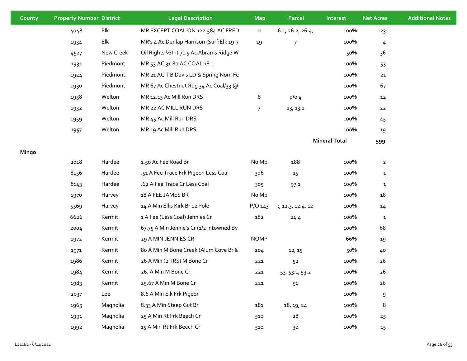| County | <b>Property Number District</b> |           | <b>Legal Description</b>                  | <b>Map</b>  | Parcel            | Interest             | <b>Net Acres</b> | <b>Additional Notes</b> |
|--------|---------------------------------|-----------|-------------------------------------------|-------------|-------------------|----------------------|------------------|-------------------------|
|        | 4048                            | Elk       | MR EXCEPT COAL ON 122.584 AC FRED         | 11          | 6.1, 26.2, 26.4,  | 100%                 | 123              |                         |
|        | 1934                            | Elk       | MR's 4 Ac Dunlap Harrison (Surf: Elk 19-7 | 19          | 7                 | 100%                 | $\frac{1}{2}$    |                         |
|        | 4527                            | New Creek | Oil Rights 1/2 Int 71.5 Ac Abrams Ridge W |             |                   | 50%                  | 36               |                         |
|        | 1931                            | Piedmont  | MR 53 AC 31.80 AC COAL 18-1               |             |                   | 100%                 | 53               |                         |
|        | 1924                            | Piedmont  | MR 21 ACTB Davis LD & Spring Nom Fe       |             |                   | 100%                 | 21               |                         |
|        | 1930                            | Piedmont  | MR 67 Ac Chestnut Rdg 34 Ac Coal/33 @     |             |                   | 100%                 | 67               |                         |
|        | 1958                            | Welton    | MR 12.13 Ac Mill Run DRS                  | 8           | $p/O$ 4           | 100%                 | 12               |                         |
|        | 1932                            | Welton    | MR 22 AC MILL RUN DRS                     | 7           | 13, 13.1          | 100%                 | 22               |                         |
|        | 1959                            | Welton    | MR 45 Ac Mill Run DRS                     |             |                   | 100%                 | 45               |                         |
|        | 1957                            | Welton    | MR 19 Ac Mill Run DRS                     |             |                   | 100%                 | 19               |                         |
|        |                                 |           |                                           |             |                   | <b>Mineral Total</b> | 599              |                         |
| Mingo  |                                 |           |                                           |             |                   |                      |                  |                         |
|        | 2018                            | Hardee    | 1.50 Ac Fee Road Br                       | No Mp       | 188               | 100%                 | $\overline{2}$   |                         |
|        | 8156                            | Hardee    | .51 A Fee Trace Frk Pigeon Less Coal      | 306         | 15                | 100%                 | $\mathbf{1}$     |                         |
|        | 8143                            | Hardee    | .62 A Fee Trace Cr Less Coal              | 305         | 97.1              | 100%                 | $\mathbf{1}$     |                         |
|        | 1970                            | Harvey    | 18 A FEE JAMES BR                         | No Mp       |                   | 100%                 | 18               |                         |
|        | 5569                            | Harvey    | 14 A Min Ellis Kirk Br 12 Pole            | $P/O$ 143   | 2, 12.3, 12.4, 12 | 100%                 | 14               |                         |
|        | 6626                            | Kermit    | 1 A Fee (Less Coal) Jennies Cr            | 182         | 24.4              | 100%                 | $\mathbf{1}$     |                         |
|        | 2004                            | Kermit    | 67.75 A Min Jennie's Cr (1/2 Intowned By  |             |                   | 100%                 | 68               |                         |
|        | 1972                            | Kermit    | 29 A MIN JENNIES CR                       | <b>NOMP</b> |                   | 66%                  | 19               |                         |
|        | 1971                            | Kermit    | 80 A Min M Bone Creek (Alum Cove Br &     | 204         | 12, 15            | 50%                  | 40               |                         |
|        | 1986                            | Kermit    | 26 A Min (2 TRS) M Bone Cr                | 221         | 52                | 100%                 | 26               |                         |
|        | 1984                            | Kermit    | 26. A Min M Bone Cr                       | 221         | 53, 53.1, 53.2    | 100%                 | 26               |                         |
|        | 1983                            | Kermit    | 25.67 A Min M Bone Cr                     | 221         | 51                | 100%                 | 26               |                         |
|        | 2037                            | Lee       | 8.6 A Min Elk Frk Pigeon                  |             |                   | 100%                 | 9                |                         |
|        | 1965                            | Magnolia  | 8.33 A Min Steep Gut Br                   | 181         | 18, 19, 24        | 100%                 | 8                |                         |
|        | 1991                            | Magnolia  | 25 A Min Rt Frk Beech Cr                  | 510         | 28                | 100%                 | 25               |                         |
|        | 1992                            | Magnolia  | 15 A Min Rt Frk Beech Cr                  | 510         | $30$              | 100%                 | 15               |                         |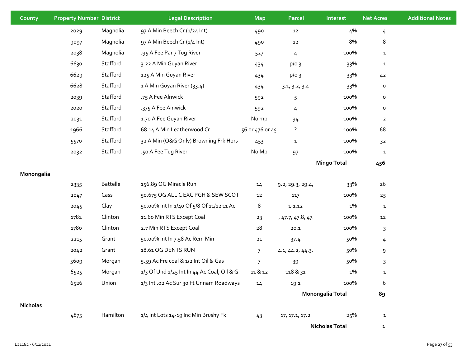| County          | <b>Property Number District</b> |                 | <b>Legal Description</b>                   | <b>Map</b>      | Parcel           | Interest              | <b>Net Acres</b> | <b>Additional Notes</b> |
|-----------------|---------------------------------|-----------------|--------------------------------------------|-----------------|------------------|-----------------------|------------------|-------------------------|
|                 | 2029                            | Magnolia        | 97 A Min Beech Cr (1/24 Int)               | 490             | ${\bf 12}$       | 4%                    | 4                |                         |
|                 | 9097                            | Magnolia        | 97 A Min Beech Cr (1/4 Int)                | 490             | 12               | 8%                    | 8                |                         |
|                 | 2038                            | Magnolia        | .95 A Fee Par 7 Tug River                  | 527             | 4                | 100%                  | $\mathbf{1}$     |                         |
|                 | 6630                            | Stafford        | 3.22 A Min Guyan River                     | 434             | $p/o$ 3          | 33%                   | $\mathbf{1}$     |                         |
|                 | 6629                            | Stafford        | 125 A Min Guyan River                      | 434             | $p/o$ 3          | 33%                   | 42               |                         |
|                 | 6628                            | Stafford        | 1 A Min Guyan River (33.4)                 | 434             | 3.1, 3.2, 3.4    | 33%                   | $\mathsf{o}$     |                         |
|                 | 2039                            | Stafford        | .75 A Fee Alnwick                          | 592             | 5                | 100%                  | $\mathsf{o}\,$   |                         |
|                 | 2020                            | Stafford        | .375 A Fee Ainwick                         | 592             | $\overline{4}$   | 100%                  | $\mathsf{o}\,$   |                         |
|                 | 2031                            | Stafford        | 1.70 A Fee Guyan River                     | No mp           | 94               | 100%                  | $\overline{2}$   |                         |
|                 | 1966                            | Stafford        | 68.14 A Min Leatherwood Cr                 | 56 or 476 or 49 | $\ddot{?}$       | 100%                  | 68               |                         |
|                 | 5570                            | Stafford        | 32 A Min (O&G Only) Browning Frk Hors      | 453             | $\mathbf{1}$     | 100%                  | 3 <sup>2</sup>   |                         |
|                 | 2032                            | Stafford        | .50 A Fee Tug River                        | No Mp           | 97               | 100%                  | $\mathbf{1}$     |                         |
|                 |                                 |                 |                                            |                 |                  | <b>Mingo Total</b>    | 456              |                         |
| Monongalia      |                                 |                 |                                            |                 |                  |                       |                  |                         |
|                 | 2335                            | <b>Battelle</b> | 156.89 OG Miracle Run                      | 14              | 9.2, 29.3, 29.4, | 33%                   | 26               |                         |
|                 | 2047                            | Cass            | 50.675 OG ALL C EXC PGH & SEW SCOT         | 12              | 117              | 100%                  | 25               |                         |
|                 | 2045                            | Clay            | 50.00% Int In 1/40 Of 5/8 Of 11/12 11 Ac   | 8               | $1 - 1.12$       | 1%                    | $\mathbf{1}$     |                         |
|                 | 1782                            | Clinton         | 11.60 Min RTS Except Coal                  | 23              | 1,47.7,47.8,47.  | 100%                  | 12               |                         |
|                 | 1780                            | Clinton         | 2.7 Min RTS Except Coal                    | 28              | 20.1             | 100%                  | 3                |                         |
|                 | 2215                            | Grant           | 50.00% Int In 7.58 Ac Rem Min              | $21$            | 37.4             | 50%                   | 4                |                         |
|                 | 2042                            | Grant           | 18.61 OG DENTS RUN                         | $\overline{7}$  | 4.1, 44.2, 44.3, | 50%                   | 9                |                         |
|                 | 5609                            | Morgan          | 5.59 Ac Fre coal & 1/2 Int Oil & Gas       | $\overline{7}$  | 39               | 50%                   | 3                |                         |
|                 | 6525                            | Morgan          | 1/3 Of Und 1/25 Int In 44 Ac Coal, Oil & G | 11 & 12         | 118 & 31         | 1%                    | $\mathbf{1}$     |                         |
|                 | 6526                            | Union           | 1/3 Int .02 Ac Sur 30 Ft Unnam Roadways    | 14              | 19.1             | 100%                  | 6                |                         |
|                 |                                 |                 |                                            |                 |                  | Monongalia Total      | 89               |                         |
| <b>Nicholas</b> |                                 |                 |                                            |                 |                  |                       |                  |                         |
|                 | 4875                            | Hamilton        | 1/4 Int Lots 14-19 Inc Min Brushy Fk       | 43              | 17, 17.1, 17.2   | 25%                   | $\mathbf{1}$     |                         |
|                 |                                 |                 |                                            |                 |                  | <b>Nicholas Total</b> | $\mathbf{1}$     |                         |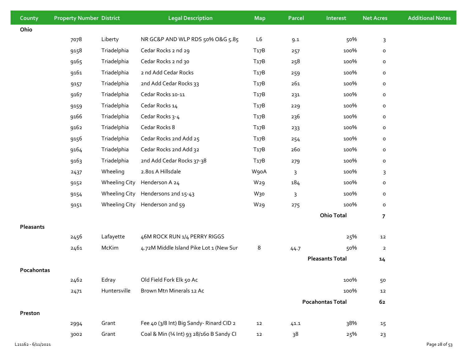| County     | <b>Property Number District</b> |                      | <b>Legal Description</b>                  | <b>Map</b>        | Parcel | Interest                | <b>Net Acres</b> | <b>Additional Notes</b> |
|------------|---------------------------------|----------------------|-------------------------------------------|-------------------|--------|-------------------------|------------------|-------------------------|
| Ohio       |                                 |                      |                                           |                   |        |                         |                  |                         |
|            | 7078                            | Liberty              | NR GC&P AND WLP RDS 50% O&G 5.85          | L6                | 9.1    | 50%                     | $\mathsf{3}$     |                         |
|            | 9158                            | Triadelphia          | Cedar Rocks 2 nd 29                       | T <sub>17</sub> B | 257    | 100%                    | $\mathsf{o}\,$   |                         |
|            | 9165                            | Triadelphia          | Cedar Rocks 2 nd 30                       | T <sub>17</sub> B | 258    | 100%                    | $\mathsf{o}\,$   |                         |
|            | 9161                            | Triadelphia          | 2 nd Add Cedar Rocks                      | T <sub>17</sub> B | 259    | 100%                    | $\mathsf{o}\,$   |                         |
|            | 9157                            | Triadelphia          | 2nd Add Cedar Rocks 33                    | T <sub>17</sub> B | 261    | 100%                    | $\mathsf{o}\,$   |                         |
|            | 9167                            | Triadelphia          | Cedar Rocks 10-11                         | T <sub>17</sub> B | 231    | 100%                    | $\mathsf{o}\,$   |                         |
|            | 9159                            | Triadelphia          | Cedar Rocks 14                            | T <sub>17</sub> B | 229    | 100%                    | $\mathsf{o}\,$   |                         |
|            | 9166                            | Triadelphia          | Cedar Rocks 3-4                           | T <sub>17</sub> B | 236    | 100%                    | $\mathsf{o}\,$   |                         |
|            | 9162                            | Triadelphia          | Cedar Rocks 8                             | T <sub>17</sub> B | 233    | 100%                    | $\mathsf{o}\,$   |                         |
|            | 9156                            | Triadelphia          | Cedar Rocks 2nd Add 25                    | T <sub>17</sub> B | 254    | 100%                    | $\mathsf{o}\,$   |                         |
|            | 9164                            | Triadelphia          | Cedar Rocks 2nd Add 32                    | T <sub>17</sub> B | 260    | 100%                    | $\mathsf{o}\,$   |                         |
|            | 9163                            | Triadelphia          | 2nd Add Cedar Rocks 37-38                 | T <sub>17</sub> B | 279    | 100%                    | $\mathsf{o}\,$   |                         |
|            | 2437                            | Wheeling             | 2.801 A Hillsdale                         | W90A              | 3      | 100%                    | $\mathsf{3}$     |                         |
|            | 9152                            | <b>Wheeling City</b> | Henderson A 24                            | W <sub>29</sub>   | 184    | 100%                    | $\mathsf{o}\,$   |                         |
|            | 9154                            | <b>Wheeling City</b> | Hendersons 2nd 15-43                      | W <sub>30</sub>   | 3      | 100%                    | $\mathsf{o}\,$   |                         |
|            | 9151                            | <b>Wheeling City</b> | Henderson 2nd 59                          | W <sub>29</sub>   | 275    | 100%                    | $\mathsf{o}\,$   |                         |
|            |                                 |                      |                                           |                   |        | <b>Ohio Total</b>       | $\overline{7}$   |                         |
| Pleasants  |                                 |                      |                                           |                   |        |                         |                  |                         |
|            | 2456                            | Lafayette            | 46M ROCK RUN 1/4 PERRY RIGGS              |                   |        | 25%                     | 12               |                         |
|            | 2461                            | McKim                | 4.72M Middle Island Pike Lot 1 (New Sur   | 8                 | 44.7   | 50%                     | $\overline{2}$   |                         |
|            |                                 |                      |                                           |                   |        | <b>Pleasants Total</b>  | 14               |                         |
| Pocahontas |                                 |                      |                                           |                   |        |                         |                  |                         |
|            | 2462                            | Edray                | Old Field Fork Elk 50 Ac                  |                   |        | 100%                    | 50               |                         |
|            | 2471                            | Huntersville         | Brown Mtn Minerals 12 Ac                  |                   |        | 100%                    | $12\,$           |                         |
|            |                                 |                      |                                           |                   |        | <b>Pocahontas Total</b> | 62               |                         |
| Preston    |                                 |                      |                                           |                   |        |                         |                  |                         |
|            | 2994                            | Grant                | Fee 40 (3/8 Int) Big Sandy-Rinard CID 2   | 12                | 41.1   | 38%                     | 15               |                         |
|            | 3002                            | Grant                | Coal & Min (1⁄4 Int) 93 28/160 B Sandy CI | 12                | 38     | 25%                     | 23               |                         |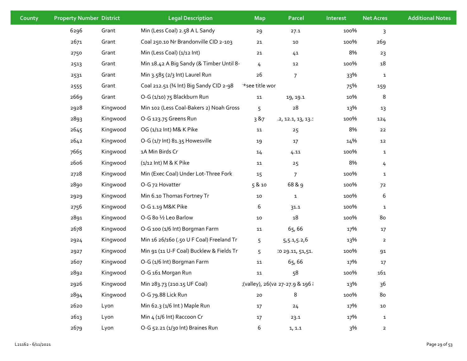| County | <b>Property Number District</b> |          | <b>Legal Description</b>                 | <b>Map</b>     | Parcel                          | Interest | <b>Net Acres</b> | <b>Additional Notes</b> |
|--------|---------------------------------|----------|------------------------------------------|----------------|---------------------------------|----------|------------------|-------------------------|
|        | 6296                            | Grant    | Min (Less Coal) 2.58 A L Sandy           | 29             | 27.1                            | 100%     | 3                |                         |
|        | 2671                            | Grant    | Coal 250.10 Nr Brandonville CID 2-103    | $21$           | 10                              | 100%     | 269              |                         |
|        | 2750                            | Grant    | Min (Less Coal) (1/12 Int)               | ${\bf 21}$     | 41                              | 8%       | 23               |                         |
|        | 2513                            | Grant    | Min 18.42 A Big Sandy (& Timber Until 8- | 4              | 12                              | 100%     | 18               |                         |
|        | 2531                            | Grant    | Min 3.585 (2/3 Int) Laurel Run           | 26             | 7                               | 33%      | $\mathbf{1}$     |                         |
|        | 2555                            | Grant    | Coal 212.51 (34 Int) Big Sandy CID 2-98  | *see title wor |                                 | 75%      | 159              |                         |
|        | 2669                            | Grant    | O-G (1/10) 75 Blackburn Run              | 11             | 19, 19.1                        | 10%      | 8                |                         |
|        | 2928                            | Kingwood | Min 102 (Less Coal-Bakers 2) Noah Gross  | 5              | 28                              | 13%      | 13               |                         |
|        | 2893                            | Kingwood | O-G 123.75 Greens Run                    | 3 & 7          | 12, 12.1, 13, 13.1              | 100%     | 124              |                         |
|        | 2645                            | Kingwood | OG (1/12 Int) M& K Pike                  | 11             | 25                              | 8%       | 22               |                         |
|        | 2642                            | Kingwood | O-G (1/7 Int) 81.35 Howesville           | 19             | $17\,$                          | 14%      | 12               |                         |
|        | 7665                            | Kingwood | 1A Min Birds Cr                          | 14             | 4.11                            | 100%     | $\mathbf{1}$     |                         |
|        | 2606                            | Kingwood | (1/12 Int) M & K Pike                    | 11             | 25                              | 8%       | 4                |                         |
|        | 2728                            | Kingwood | Min (Exec Coal) Under Lot-Three Fork     | 15             | $\overline{7}$                  | 100%     | $\mathbf{1}$     |                         |
|        | 2890                            | Kingwood | O-G 72 Hovatter                          | 5 & 10         | 68 & 9                          | 100%     | 72               |                         |
|        | 2929                            | Kingwood | Min 6.10 Thomas Fortney Tr               | 10             | $\mathbf{1}$                    | 100%     | 6                |                         |
|        | 2756                            | Kingwood | O-G 1.19 M&K Pike                        | 6              | 31.1                            | 100%     | $\mathbf{1}$     |                         |
|        | 2891                            | Kingwood | O-G 8o 1⁄2 Leo Barlow                    | 10             | 18                              | 100%     | 80               |                         |
|        | 2678                            | Kingwood | O-G 100 (1/6 Int) Borgman Farm           | 11             | 65,66                           | 17%      | 17               |                         |
|        | 2924                            | Kingwood | Min 16 26/160 (.50 U F Coal) Freeland Tr | 5              | 5,5.1,5.2,6                     | 13%      | $\overline{2}$   |                         |
|        | 2927                            | Kingwood | Min 91 (11 U-F Coal) Bucklew & Fields Tr | 5              | 10 29.11, 51, 51.               | 100%     | 91               |                         |
|        | 2607                            | Kingwood | O-G (1/6 Int) Borgman Farm               | ${\bf 11}$     | 65,66                           | 17%      | 17               |                         |
|        | 2892                            | Kingwood | O-G 161 Morgan Run                       | 11             | 58                              | 100%     | 161              |                         |
|        | 2926                            | Kingwood | Min 283.73 (210.15 UF Coal)              |                | (valley), 26(va 27-27.9 & 196 { | 13%      | 36               |                         |
|        | 2894                            | Kingwood | O-G 79.88 Lick Run                       | $20\,$         | 8                               | 100%     | 80               |                         |
|        | 2620                            | Lyon     | Min 62.3 (1/6 Int ) Maple Run            | 17             | 24                              | 17%      | ${\bf 10}$       |                         |
|        | 2613                            | Lyon     | Min 4 (1/6 Int) Raccoon Cr               | $17$           | 23.1                            | 17%      | $\mathbf{1}$     |                         |
|        | 2679                            | Lyon     | O-G 52.21 (1/30 Int) Braines Run         | 6              | 1, 1.1                          | 3%       | $\overline{2}$   |                         |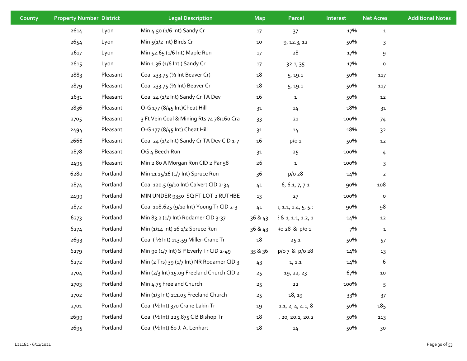| County | <b>Property Number District</b> |          | <b>Legal Description</b>                  | <b>Map</b>     | <b>Parcel</b>       | Interest | <b>Net Acres</b> | <b>Additional Notes</b> |
|--------|---------------------------------|----------|-------------------------------------------|----------------|---------------------|----------|------------------|-------------------------|
|        | 2614                            | Lyon     | Min 4.50 (1/6 Int) Sandy Cr               | 17             | 37                  | 17%      | $\mathbf{1}$     |                         |
|        | 2654                            | Lyon     | Min 5(1/2 Int) Birds Cr                   | 10             | 9, 12.3, 12         | 50%      | 3                |                         |
|        | 2617                            | Lyon     | Min 52.65 (1/6 Int) Maple Run             | 17             | 28                  | 17%      | 9                |                         |
|        | 2615                            | Lyon     | Min 1.36 (1/6 Int) Sandy Cr               | $17$           | 32.1, 35            | 17%      | $\mathsf{o}$     |                         |
|        | 2883                            | Pleasant | Coal 233.75 (1/2 Int Beaver Cr)           | $18\,$         | 5, 19.1             | 50%      | 117              |                         |
|        | 2879                            | Pleasant | Coal 233.75 (1/2 Int) Beaver Cr           | $18\,$         | 5, 19.1             | 50%      | 117              |                         |
|        | 2631                            | Pleasant | Coal 24 (1/2 Int) Sandy Cr TA Dev         | 16             | $\mathbf{1}$        | 50%      | 12               |                         |
|        | 2836                            | Pleasant | O-G 177 (8/45 Int) Cheat Hill             | 3 <sup>1</sup> | 14                  | 18%      | 31               |                         |
|        | 2705                            | Pleasant | 3 Ft Vein Coal & Mining Rts 74 78/160 Cra | 33             | $21$                | 100%     | 74               |                         |
|        | 2494                            | Pleasant | O-G 177 (8/45 Int) Cheat Hill             | 31             | 14                  | 18%      | 3 <sup>2</sup>   |                         |
|        | 2666                            | Pleasant | Coal 24 (1/2 Int) Sandy Cr TA Dev CID 1-7 | 16             | $p/o$ 1             | 50%      | 12               |                         |
|        | 2878                            | Pleasant | OG 4 Beech Run                            | 31             | 25                  | 100%     | 4                |                         |
|        | 2495                            | Pleasant | Min 2.80 A Morgan Run CID 2 Par 58        | 26             | $\mathbf{1}$        | 100%     | 3                |                         |
|        | 6280                            | Portland | Min 11 15/16 (1/7 Int) Spruce Run         | 36             | $p/o$ 28            | 14%      | $\mathbf{2}$     |                         |
|        | 2874                            | Portland | Coal 120.5 (9/10 Int) Calvert CID 2-34    | 41             | 6, 6.1, 7, 7.1      | 90%      | 108              |                         |
|        | 2499                            | Portland | MIN UNDER 9350 SQ FT LOT 2 RUTHBE         | 13             | 27                  | 100%     | $\mathsf{o}\,$   |                         |
|        | 2872                            | Portland | Coal 108.625 (9/10 Int) Young Tr CID 2-3  | 41             | 1, 1.1, 1.4, 5, 5.1 | 90%      | 98               |                         |
|        | 6273                            | Portland | Min 83.2 (1/7 Int) Rodamer CID 3-37       | 36 & 43        | 381, 1.1, 1.2, 1    | 14%      | 12               |                         |
|        | 6274                            | Portland | Min (1/14 Int) 16 1/2 Spruce Run          | 36 & 43        | $1/028$ & p/o 1.    | 7%       | $\mathbf{1}$     |                         |
|        | 2693                            | Portland | Coal (1/2 Int) 113.59 Miller-Crane Tr     | $18\,$         | 25.1                | 50%      | 57               |                         |
|        | 6279                            | Portland | Min 90 (1/7 Int) S P Everly Tr CID 2-49   | 35 & 36        | p/o 7 & p/o 28      | 14%      | 13               |                         |
|        | 6272                            | Portland | Min (2 Trs) 39 (1/7 Int) NR Rodamer CID 3 | 43             | 1, 1.1              | 14%      | 6                |                         |
|        | 2704                            | Portland | Min (2/3 Int) 15.09 Freeland Church CID 2 | 25             | 19, 22, 23          | 67%      | 10               |                         |
|        | 2703                            | Portland | Min 4.75 Freeland Church                  | 25             | $22\,$              | 100%     | 5                |                         |
|        | 2702                            | Portland | Min (1/3 Int) 111.05 Freeland Church      | 25             | 18, 19              | 33%      | 37               |                         |
|        | 2701                            | Portland | Coal (1/2 Int) 370 Crane Lakin Tr         | 19             | 1.1, 2, 4, 4.1, 8   | 50%      | 185              |                         |
|        | 2699                            | Portland | Coal (1/2 Int) 225.875 C B Bishop Tr      | 18             | 1, 20, 20.1, 20.2   | 50%      | 113              |                         |
|        | 2695                            | Portland | Coal (1/2 Int) 60 J. A. Lenhart           | 18             | 14                  | 50%      | 30               |                         |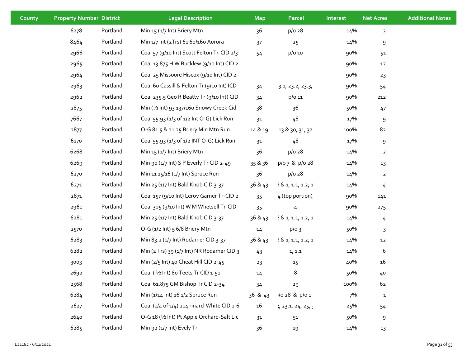| County | <b>Property Number District</b> |          | <b>Legal Description</b>                   | <b>Map</b> | <b>Parcel</b>      | Interest | <b>Net Acres</b> | <b>Additional Notes</b> |
|--------|---------------------------------|----------|--------------------------------------------|------------|--------------------|----------|------------------|-------------------------|
|        | 6278                            | Portland | Min 15 (1/7 Int) Briery Mtn                | 36         | p/o 28             | 14%      | $\mathbf{2}$     |                         |
|        | 8464                            | Portland | Min 1/7 Int (2Trs) 61 60/160 Aurora        | 37         | 25                 | 14%      | 9                |                         |
|        | 2966                            | Portland | Coal 57 (9/10 Int) Scott Felton Tr-CID 2/3 | 54         | p/o 10             | 90%      | 51               |                         |
|        | 2965                            | Portland | Coal 13.875 H W Bucklew (9/10 Int) CID 2   |            |                    | 90%      | 12               |                         |
|        | 2964                            | Portland | Coal 25 Missoure Hiscox (9/10 Int) CID 2-  |            |                    | 90%      | 23               |                         |
|        | 2963                            | Portland | Coal 60 Cassill & Felton Tr (9/10 Int) ICD | 34         | 3.1, 23.2, 23.3,   | 90%      | 54               |                         |
|        | 2962                            | Portland | Coal 235.5 Geo R Beatty Tr (9/10 Int) CID  | 34         | p/o 11             | 90%      | 212              |                         |
|        | 2875                            | Portland | Min (1/2 Int) 93 137/160 Snowy Creek Cid   | 38         | 36                 | 50%      | 47               |                         |
|        | 7667                            | Portland | Coal 55.93 (1/3 of 1/2 Int O-G) Lick Run   | 31         | 48                 | 17%      | 9                |                         |
|        | 2877                            | Portland | O-G 81.5 & 21.25 Briery Min Mtn Run        | 14 & 19    | 13 & 30, 31, 32    | 100%     | 82               |                         |
|        | 6170                            | Portland | Coal 55.93 (1/3 of 1/2 INT O-G) Lick Run   | 31         | 48                 | 17%      | 9                |                         |
|        | 6268                            | Portland | Min 15 (1/7 Int) Briery Mtn                | 36         | $p/o$ 28           | 14%      | $\overline{2}$   |                         |
|        | 6269                            | Portland | Min 90 (1/7 Int) S P Everly Tr CID 2-49    | 35 & 36    | p/o 7 & p/o 28     | 14%      | 13               |                         |
|        | 6270                            | Portland | Min 11 15/16 (1/7 Int) Spruce Run          | 36         | $p/o$ 28           | 14%      | $\overline{2}$   |                         |
|        | 6271                            | Portland | Min 25 (1/7 Int) Bald Knob CID 3-37        | 36 & 43    | 381, 1.1, 1.2, 1   | 14%      | 4                |                         |
|        | 2871                            | Portland | Coal 157 (9/10 Int) Leroy Garner Tr-CID 2  | 35         | 4 (top portion),   | 90%      | 141              |                         |
|        | 2961                            | Portland | Coal 305 (9/10 Int) W M Whetsell Tr-CID    | 35         | 4                  | 90%      | 275              |                         |
|        | 6281                            | Portland | Min 25 (1/7 Int) Bald Knob CID 3-37        | 36 & 43    | 381, 1.1, 1.2, 1   | 14%      | 4                |                         |
|        | 2570                            | Portland | O-G (1/2 Int) 5 6/8 Briery Mtn             | $14\,$     | $p/o$ 3            | 50%      | 3                |                         |
|        | 6283                            | Portland | Min 83.2 (1/7 Int) Rodamer CID 3-37        | 36 & 43    | 381, 1.1, 1.2, 1   | 14%      | 12               |                         |
|        | 6282                            | Portland | Min (2 Trs) 39 (1/7 Int) NR Rodamer CID 3  | 43         | 1, 1.1             | 14%      | 6                |                         |
|        | 3003                            | Portland | Min (2/5 Int) 40 Cheat Hill CID 2-45       | 23         | 15                 | 40%      | 16               |                         |
|        | 2692                            | Portland | Coal (1/2 Int) 80 Teets Tr CID 1-51        | 14         | 8                  | 50%      | 40               |                         |
|        | 2568                            | Portland | Coal 61.875 GM Bishop Tr CID 2-34          | 34         | 29                 | 100%     | 62               |                         |
|        | 6284                            | Portland | Min (1/14 Int) 16 1/2 Spruce Run           | 36 & 43    | v/o 28 & p/o 1.    | 7%       | $\mathbf{1}$     |                         |
|        | 2627                            | Portland | Coal (1/4 of 1/4) 214 rinard-White CID 1-6 | 16         | }, 23.1, 24, 25, 3 | 25%      | 54               |                         |
|        | 2640                            | Portland | O-G 18 (1/2 Int) Pt Apple Orchard-Salt Lic | 31         | 51                 | 50%      | 9                |                         |
|        | 6285                            | Portland | Min 92 (1/7 Int) Evely Tr                  | 36         | 19                 | 14%      | 13               |                         |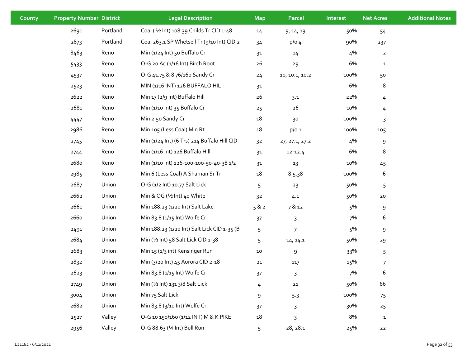| County | <b>Property Number District</b> |          | <b>Legal Description</b>                    | <b>Map</b>     | Parcel         | Interest | <b>Net Acres</b> | <b>Additional Notes</b> |
|--------|---------------------------------|----------|---------------------------------------------|----------------|----------------|----------|------------------|-------------------------|
|        | 2691                            | Portland | Coal (1/2 Int) 108.39 Childs Tr CID 1-48    | 14             | 9, 14, 19      | 50%      | 54               |                         |
|        | 2873                            | Portland | Coal 263.1 SP Whetsell Tr (9/10 Int) CID 2  | 34             | $p/O_4$        | 90%      | 237              |                         |
|        | 8463                            | Reno     | Min (1/24 Int) 50 Buffalo Cr                | 31             | 14             | 4%       | $\overline{2}$   |                         |
|        | 5433                            | Reno     | O-G 20 Ac (1/16 Int) Birch Root             | 26             | 29             | 6%       | $\mathbf{1}$     |                         |
|        | 4537                            | Reno     | O-G 41.75 & 8 76/160 Sandy Cr               | 24             | 10, 10.1, 10.2 | 100%     | 50               |                         |
|        | 2523                            | Reno     | MIN (1/16 INT) 126 BUFFALO HIL              | 3 <sup>1</sup> |                | 6%       | 8                |                         |
|        | 2622                            | Reno     | Min 17 (2/9 Int) Buffalo Hill               | 26             | 3.1            | 22%      | 4                |                         |
|        | 2681                            | Reno     | Min (1/10 Int) 35 Buffalo Cr                | 25             | 26             | 10%      | 4                |                         |
|        | 4447                            | Reno     | Min 2.50 Sandy Cr                           | 18             | 30             | 100%     | 3                |                         |
|        | 2986                            | Reno     | Min 105 (Less Coal) Min Rt                  | 18             | $p/o$ 1        | 100%     | 105              |                         |
|        | 2745                            | Reno     | Min (1/24 Int) (6 Trs) 214 Buffalo Hill CID | 3 <sup>2</sup> | 27, 27.1, 27.2 | 4%       | 9                |                         |
|        | 2744                            | Reno     | Min (1/16 Int) 126 Buffalo Hill             | 31             | $12 - 12.4$    | 6%       | 8                |                         |
|        | 2680                            | Reno     | Min (1/10 lnt) 126-100-100-50-40-38 1/2     | 31             | 13             | 10%      | 45               |                         |
|        | 2985                            | Reno     | Min 6 (Less Coal) A Shaman Sr Tr            | 18             | 8.5,38         | 100%     | 6                |                         |
|        | 2687                            | Union    | O-G (1/2 Int) 10.77 Salt Lick               | 5              | 23             | 50%      | 5                |                         |
|        | 2662                            | Union    | Min & OG (1/2 Int) 40 White                 | 3 <sup>2</sup> | 4.1            | 50%      | ${\bf 20}$       |                         |
|        | 2661                            | Union    | Min 188.23 (1/20 Int) Salt Lake             | 582            | 7 & 12         | 5%       | 9                |                         |
|        | 2660                            | Union    | Min 83.8 (1/15 Int) Wolfe Cr                | 37             | 3              | 7%       | 6                |                         |
|        | 2491                            | Union    | Min 188.23 (1/20 Int) Salt Lick CID 1-35 (B | 5              | 7              | 5%       | 9                |                         |
|        | 2684                            | Union    | Min (1/2 Int) 58 Salt Lick CID 1-38         | 5              | 14, 14.1       | 50%      | 29               |                         |
|        | 2683                            | Union    | Min 15 (1/3 int) Kensinger Run              | $10\,$         | 9              | 33%      | 5                |                         |
|        | 2832                            | Union    | Min (3/20 Int) 45 Aurora CID 2-18           | ${\bf 21}$     | 117            | 15%      | $\overline{7}$   |                         |
|        | 2623                            | Union    | Min 83.8 (1/15 Int) Wolfe Cr                | 37             | 3              | 7%       | 6                |                         |
|        | 2749                            | Union    | Min (1/2 Int) 131 3/8 Salt Lick             | 4              | ${\bf 21}$     | 50%      | 66               |                         |
|        | 3004                            | Union    | Min 75 Salt Lick                            | 9              | 5.3            | 100%     | 75               |                         |
|        | 2682                            | Union    | Min 83.8 (3/10 Int) Wolfe Cr.               | 37             | 3              | 30%      | 25               |                         |
|        | 2527                            | Valley   | O-G 10 150/160 (1/12 INT) M & K PIKE        | 18             | 3              | 8%       | $\mathbf{1}$     |                         |
|        | 2956                            | Valley   | O-G 88.63 (1⁄4 Int) Bull Run                | 5              | 28, 28.1       | 25%      | 22               |                         |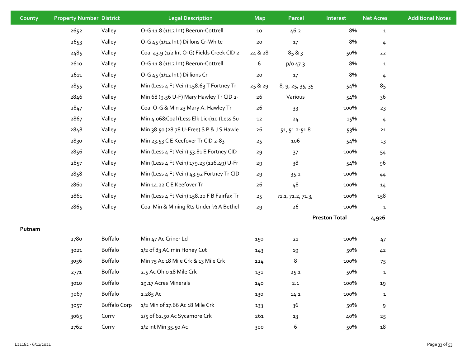| County | <b>Property Number District</b> |                     | <b>Legal Description</b>                   | <b>Map</b> | Parcel            | Interest             | <b>Net Acres</b> | <b>Additional Notes</b> |
|--------|---------------------------------|---------------------|--------------------------------------------|------------|-------------------|----------------------|------------------|-------------------------|
|        | 2652                            | Valley              | O-G 11.8 (1/12 Int) Beerun-Cottrell        | 10         | 46.2              | 8%                   | $\mathbf{1}$     |                         |
|        | 2653                            | Valley              | O-G 45 (1/12 Int) Dillons Cr-White         | $20\,$     | $17$              | 8%                   | $\overline{4}$   |                         |
|        | 2485                            | Valley              | Coal 43.9 (1/2 Int O-G) Fields Creek CID 2 | 24 & 28    | 85 & 3            | 50%                  | 22               |                         |
|        | 2610                            | Valley              | O-G 11.8 (1/12 Int) Beerun-Cottrell        | 6          | p/o 47.3          | 8%                   | $\mathbf{1}$     |                         |
|        | 2611                            | Valley              | O-G 45 (1/12 Int) Dillions Cr              | ${\bf 20}$ | 17                | 8%                   | 4                |                         |
|        | 2855                            | Valley              | Min (Less 4 Ft Vein) 158.63 T Fortney Tr   | 25 & 29    | 8, 9, 25, 35, 35  | 54%                  | 85               |                         |
|        | 2846                            | Valley              | Min 68 (9.56 U-F) Mary Hawley Tr CID 2-    | 26         | Various           | 54%                  | 36               |                         |
|        | 2847                            | Valley              | Coal O-G & Min 23 Mary A. Hawley Tr        | 26         | 33                | 100%                 | 23               |                         |
|        | 2867                            | Valley              | Min 4.06&Coal (Less Elk Lick)10 (Less Su   | 12         | 24                | 15%                  | 4                |                         |
|        | 2848                            | Valley              | Min 38.50 (28.78 U-Free) S P & J S Hawle   | 26         | 51, 51.2-51.8     | 53%                  | $21\,$           |                         |
|        | 2830                            | Valley              | Min 23.53 C E Keefover Tr CID 2-83         | 25         | 106               | 54%                  | 13               |                         |
|        | 2856                            | Valley              | Min (Less 4 Ft Vein) 53.81 E Fortney CID   | 29         | 37                | 100%                 | 54               |                         |
|        | 2857                            | Valley              | Min (Less 4 Ft Vein) 179.23 (126.49) U-Fr  | 29         | 38                | 54%                  | 96               |                         |
|        | 2858                            | Valley              | Min (Less 4 Ft Vein) 43.92 Fortney Tr CID  | 29         | 35.1              | 100%                 | 44               |                         |
|        | 2860                            | Valley              | Min 14.22 CE Keefover Tr                   | 26         | 48                | 100%                 | 14               |                         |
|        | 2861                            | Valley              | Min (Less 4 Ft Vein) 158.20 F B Fairfax Tr | 25         | 71.1, 71.2, 71.3, | 100%                 | 158              |                         |
|        | 2865                            | Valley              | Coal Min & Mining Rts Under 1/2 A Bethel   | 29         | 26                | 100%                 | $\mathbf{1}$     |                         |
|        |                                 |                     |                                            |            |                   | <b>Preston Total</b> | 4,926            |                         |
| Putnam |                                 |                     |                                            |            |                   |                      |                  |                         |
|        | 2780                            | Buffalo             | Min 47 Ac Criner Ld                        | 150        | $21\,$            | 100%                 | 47               |                         |
|        | 3021                            | <b>Buffalo</b>      | 1/2 of 83 AC min Honey Cut                 | 143        | 19                | 50%                  | 42               |                         |
|        | 3056                            | <b>Buffalo</b>      | Min 75 Ac 18 Mile Crk & 13 Mile Crk        | 124        | 8                 | 100%                 | 75               |                         |
|        | 2771                            | Buffalo             | 2.5 Ac Ohio 18 Mile Crk                    | 131        | 25.1              | 50%                  | $\mathbf{1}$     |                         |
|        | 3010                            | Buffalo             | 19.17 Acres Minerals                       | 140        | 2.1               | 100%                 | 19               |                         |
|        | 9067                            | Buffalo             | 1.285 Ac                                   | 130        | 14.1              | 100%                 | $\mathbf{1}$     |                         |
|        | 3057                            | <b>Buffalo Corp</b> | 1/2 Min of 17.66 Ac 18 Mile Crk            | 133        | 36                | 50%                  | $\boldsymbol{9}$ |                         |
|        | 3065                            | Curry               | 2/5 of 62.50 Ac Sycamore Crk               | 261        | 13                | 40%                  | 25               |                         |
|        | 2762                            | Curry               | 1/2 int Min 35.50 Ac                       | 300        | 6                 | 50%                  | 18               |                         |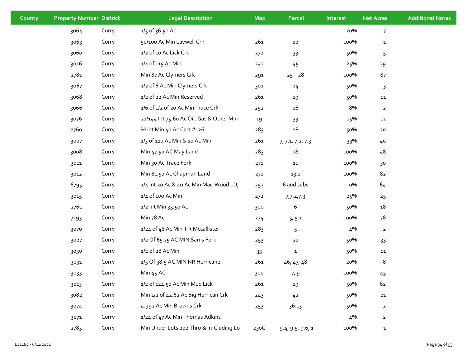| County | <b>Property Number District</b> |       | <b>Legal Description</b>                 | <b>Map</b> | Parcel           | Interest | <b>Net Acres</b> | <b>Additional Notes</b> |
|--------|---------------------------------|-------|------------------------------------------|------------|------------------|----------|------------------|-------------------------|
|        | 3064                            | Curry | 1/5 of 36.50 Ac                          |            |                  | 20%      | $\overline{7}$   |                         |
|        | 3063                            | Curry | 50/100 Ac Min Laywell Crk                | 261        | 12               | 100%     | $\mathbf{1}$     |                         |
|        | 3060                            | Curry | 1/2 of 10 Ac Lick Crk                    | 272        | 33               | 50%      | 5                |                         |
|        | 3016                            | Curry | 1/4 of 115 Ac Min                        | 242        | 45               | 25%      | 29               |                         |
|        | 2781                            | Curry | Min 87 Ac Clymers Crk                    | 291        | $25 - 28$        | 100%     | 87               |                         |
|        | 3067                            | Curry | 1/2 of 6 Ac Min Clymers Crk              | 301        | 24               | 50%      | 3                |                         |
|        | 3068                            | Curry | 1/2 of 22 Ac Min Reserved                | 261        | 19               | 50%      | 11               |                         |
|        | 3066                            | Curry | 1/6 of 1/2 of 20 Ac Min Trace Crk        | 252        | 16               | 8%       | $\overline{2}$   |                         |
|        | 3076                            | Curry | 21/144 Int 75.60 Ac Oil, Gas & Other Min | 19         | 33               | 15%      | 11               |                         |
|        | 2760                            | Curry | 1/2 int Min 40 Ac Cert #126              | 283        | ${\bf 28}$       | 50%      | 20               |                         |
|        | 3007                            | Curry | 1/3 of 110 Ac Min & 10 Ac Min            | 261        | 7, 7.1, 7.2, 7.3 | 33%      | 40               |                         |
|        | 3008                            | Curry | Min 47.50 AC May Land                    | 283        | 18               | 100%     | 48               |                         |
|        | 3011                            | Curry | Min 30 Ac Trace Fork                     | 271        | ${\bf 11}$       | 100%     | 30               |                         |
|        | 3012                            | Curry | Min 81.50 Ac Chapman Land                | 271        | 13.1             | 100%     | 82               |                         |
|        | 6795                            | Curry | 1/4 Int 20 Ac & 40 Ac Min Mac-Wood LD,   | 252        | 6 and subs       | о%       | 64               |                         |
|        | 3015                            | Curry | 1/4 of 100 Ac Min                        | 272        | 7,7.2,7.3        | 25%      | 25               |                         |
|        | 2761                            | Curry | 1/2 int Min 35.50 Ac                     | 300        | 6                | 50%      | 18               |                         |
|        | 7193                            | Curry | Min 78 Ac                                | 274        | 5, 5.1           | 100%     | 78               |                         |
|        | 3070                            | Curry | 1/24 of 48 Ac Min T R Mccallister        | 283        | 5                | 4%       | $\overline{2}$   |                         |
|        | 3027                            | Curry | 1/2 Of 65.75 AC MIN Sams Fork            | 253        | 21               | 50%      | 33               |                         |
|        | 3030                            | Curry | 1/2 of 28 Ac Min                         | 33         | $\mathbf{1}$     | 50%      | 11               |                         |
|        | 3031                            | Curry | 1/5 Of 38.5 AC MIN NR Hurricane          | 261        | 46, 47, 48       | 20%      | 8                |                         |
|        | 3033                            | Curry | Min $45$ AC                              | 300        | 7, 9             | 100%     | 45               |                         |
|        | 3013                            | Curry | 1/2 of 124.50 Ac Min Mud Lick            | 261        | 19               | 50%      | 62               |                         |
|        | 3082                            | Curry | Min 1/2 of 42.62 Ac Big Hurrican Crk     | 243        | 42               | 50%      | 21               |                         |
|        | 3074                            | Curry | 4.992 Ac Min Browns Crk                  | 253        | 36.13            | 50%      | $\overline{2}$   |                         |
|        | 3071                            | Curry | 1/24 of 47 Ac Min Thomas Adkins          |            |                  | 4%       | $\overline{2}$   |                         |
|        | 2785                            | Curry | Min Under Lots 202 Thru & In-Cluding Lo  | 230C       | 9.4, 9.5, 9.6, 1 | 100%     | $\mathbf{1}$     |                         |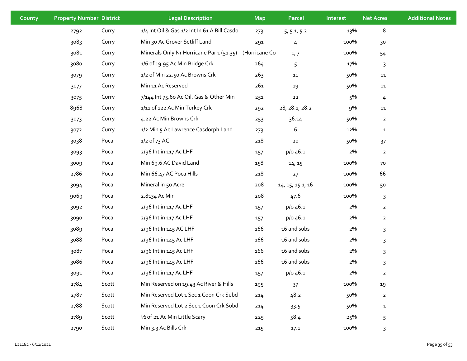| County | <b>Property Number District</b> |       | <b>Legal Description</b>                     | <b>Map</b>    | <b>Parcel</b>    | Interest | <b>Net Acres</b> | <b>Additional Notes</b> |
|--------|---------------------------------|-------|----------------------------------------------|---------------|------------------|----------|------------------|-------------------------|
|        | 2792                            | Curry | 1/4 Int Oil & Gas 1/2 Int In 61 A Bill Casdo | 273           | 5, 5.1, 5.2      | 13%      | 8                |                         |
|        | 3083                            | Curry | Min 30 Ac Grover Setliff Land                | 291           | 4                | 100%     | 30               |                         |
|        | 3081                            | Curry | Minerals Only Nr Hurricane Par 1 (51.35)     | (Hurricane Co | 1,7              | 100%     | 54               |                         |
|        | 3080                            | Curry | 1/6 of 19.95 Ac Min Bridge Crk               | 264           | 5                | 17%      | 3                |                         |
|        | 3079                            | Curry | 1/2 of Min 22.50 Ac Browns Crk               | 263           | ${\bf 11}$       | 50%      | ${\bf 11}$       |                         |
|        | 3077                            | Curry | Min 11 Ac Reserved                           | 261           | 19               | 50%      | 11               |                         |
|        | 3075                            | Curry | 7/144 Int 75.60 Ac Oil. Gas & Other Min      | 251           | ${\bf 22}$       | 5%       | $\frac{1}{4}$    |                         |
|        | 8968                            | Curry | 1/11 of 122 Ac Min Turkey Crk                | 292           | 28, 28.1, 28.2   | 9%       | ${\bf 11}$       |                         |
|        | 3073                            | Curry | 4.22 Ac Min Browns Crk                       | 253           | 36.14            | 50%      | $\overline{2}$   |                         |
|        | 3072                            | Curry | 1/2 Min 5 Ac Lawrence Casdorph Land          | 273           | 6                | 12%      | $\mathbf{1}$     |                         |
|        | 3038                            | Poca  | $1/2$ of 73 AC                               | 218           | ${\bf 20}$       | 50%      | 37               |                         |
|        | 3093                            | Poca  | 2/96 Int in 117 Ac LHF                       | 157           | p/o 46.1         | 2%       | $\overline{a}$   |                         |
|        | 3009                            | Poca  | Min 69.6 AC David Land                       | 158           | 14, 15           | 100%     | 70               |                         |
|        | 2786                            | Poca  | Min 66.47 AC Poca Hills                      | 218           | 27               | 100%     | 66               |                         |
|        | 3094                            | Poca  | Mineral in 50 Acre                           | 208           | 14, 15, 15.1, 16 | 100%     | 50               |                         |
|        | 9069                            | Poca  | 2.8134 Ac Min                                | 208           | 47.6             | 100%     | 3                |                         |
|        | 3092                            | Poca  | 2/96 Int in 117 Ac LHF                       | 157           | p/o 46.1         | 2%       | $\overline{a}$   |                         |
|        | 3090                            | Poca  | 2/96 Int in 117 Ac LHF                       | 157           | p/o 46.1         | 2%       | $\overline{2}$   |                         |
|        | 3089                            | Poca  | 2/96 Int In 145 AC LHF                       | 166           | 16 and subs      | 2%       | 3                |                         |
|        | 3088                            | Poca  | 2/96 Int in 145 Ac LHF                       | 166           | 16 and subs      | 2%       | $\mathsf{3}$     |                         |
|        | 3087                            | Poca  | 2/96 Int in 145 Ac LHF                       | 166           | 16 and subs      | 2%       | $\mathsf{3}$     |                         |
|        | 3086                            | Poca  | 2/96 Int in 145 Ac LHF                       | 166           | 16 and subs      | 2%       | 3                |                         |
|        | 3091                            | Poca  | 2/96 Int in 117 Ac LHF                       | 157           | p/o 46.1         | 2%       | $\overline{2}$   |                         |
|        | 2784                            | Scott | Min Reserved on 19.43 Ac River & Hills       | 195           | 37               | 100%     | 19               |                         |
|        | 2787                            | Scott | Min Reserved Lot 1 Sec 1 Coon Crk Subd       | 214           | 48.2             | 50%      | $\mathbf{2}$     |                         |
|        | 2788                            | Scott | Min Reserved Lot 2 Sec 1 Coon Crk Subd       | 214           | 33.5             | 50%      | $\mathbf{1}$     |                         |
|        | 2789                            | Scott | 1/2 of 21 Ac Min Little Scary                | 225           | 58.4             | 25%      | 5                |                         |
|        | 2790                            | Scott | Min 3.3 Ac Bills Crk                         | 215           | 17.1             | 100%     | 3                |                         |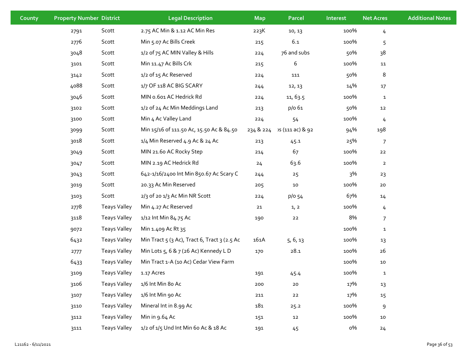| County | <b>Property Number District</b> |                     | <b>Legal Description</b>                     | <b>Map</b> | Parcel           | Interest | <b>Net Acres</b> | <b>Additional Notes</b> |
|--------|---------------------------------|---------------------|----------------------------------------------|------------|------------------|----------|------------------|-------------------------|
|        | 2791                            | Scott               | 2.75 AC Min & 1.12 AC Min Res                | 223K       | 10, 13           | 100%     | 4                |                         |
|        | 2776                            | Scott               | Min 5.07 Ac Bills Creek                      | 215        | 6.1              | 100%     | 5                |                         |
|        | 3048                            | Scott               | 1/2 of 75 AC MIN Valley & Hills              | 224        | 76 and subs      | 50%      | 38               |                         |
|        | 3101                            | Scott               | Min 11.47 Ac Bills Crk                       | 215        | 6                | 100%     | 11               |                         |
|        | 3142                            | Scott               | 1/2 of 15 Ac Reserved                        | 224        | 111              | 50%      | 8                |                         |
|        | 4088                            | Scott               | 1/7 OF 118 AC BIG SCARY                      | 244        | 12, 13           | 14%      | 17               |                         |
|        | 3046                            | Scott               | MIN 0.601 AC Hedrick Rd                      | 224        | 11, 63.5         | 100%     | $\mathbf{1}$     |                         |
|        | 3102                            | Scott               | 1/2 of 24 Ac Min Meddings Land               | 213        | p/o 61           | 50%      | 12               |                         |
|        | 3100                            | Scott               | Min 4 Ac Valley Land                         | 224        | 54               | 100%     | 4                |                         |
|        | 3099                            | Scott               | Min 15/16 of 111.50 Ac, 15.50 Ac & 84.50     | 234 & 224  | วร (111 ac) & 92 | 94%      | 198              |                         |
|        | 3018                            | Scott               | 1/4 Min Reserved 4.9 Ac & 24 Ac              | 213        | 45.1             | 25%      | $\boldsymbol{7}$ |                         |
|        | 3049                            | Scott               | MIN 21.60 AC Rocky Step                      | 214        | 67               | 100%     | $22$             |                         |
|        | 3047                            | Scott               | MIN 2.19 AC Hedrick Rd                       | 24         | 63.6             | 100%     | $\overline{2}$   |                         |
|        | 3043                            | Scott               | 642-1/16/2400 Int Min 850.67 Ac Scary C      | 244        | 25               | 3%       | 23               |                         |
|        | 3019                            | Scott               | 20.33 Ac Min Reserved                        | 205        | $10\,$           | 100%     | $20\,$           |                         |
|        | 3103                            | Scott               | 2/3 of 20 1/3 Ac Min NR Scott                | 224        | p/o 54           | 67%      | 14               |                         |
|        | 2778                            | <b>Teays Valley</b> | Min 4.27 Ac Reserved                         | 21         | 1, 2             | 100%     | 4                |                         |
|        | 3118                            | <b>Teays Valley</b> | 1/12 Int Min 84.75 Ac                        | 190        | $22$             | 8%       | $\overline{7}$   |                         |
|        | 9072                            | <b>Teays Valley</b> | Min 1.409 Ac Rt 35                           |            |                  | 100%     | $\mathbf{1}$     |                         |
|        | 6432                            | <b>Teays Valley</b> | Min Tract 5 (3 Ac), Tract 6, Tract 3 (2.5 Ac | 161A       | 5, 6, 13         | 100%     | 13               |                         |
|        | 2777                            | <b>Teays Valley</b> | Min Lots 5, 6 & 7 (26 Ac) Kennedy L D        | 170        | 28.1             | 100%     | 26               |                         |
|        | 6433                            | <b>Teays Valley</b> | Min Tract 1-A (10 Ac) Cedar View Farm        |            |                  | 100%     | 10               |                         |
|        | 3109                            | <b>Teays Valley</b> | 1.17 Acres                                   | 191        | 45.4             | 100%     | $\mathbf{1}$     |                         |
|        | 3106                            | <b>Teays Valley</b> | 1/6 Int Min 80 Ac                            | 200        | ${\bf 20}$       | 17%      | 13               |                         |
|        | 3107                            | <b>Teays Valley</b> | 1/6 Int Min 90 Ac                            | 211        | 22               | 17%      | 15               |                         |
|        | 3110                            | <b>Teays Valley</b> | Mineral Int in 8.99 Ac                       | 181        | 25.2             | 100%     | 9                |                         |
|        | 3112                            | <b>Teays Valley</b> | Min in 9.64 Ac                               | 151        | 12               | 100%     | 10               |                         |
|        | 3111                            | <b>Teays Valley</b> | 1/2 of 1/5 Und Int Min 60 Ac & 18 Ac         | 191        | 45               | о%       | 24               |                         |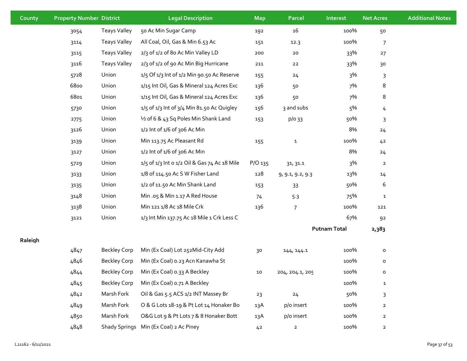| County  | <b>Property Number District</b> |                     | <b>Legal Description</b>                         | <b>Map</b>     | Parcel           | Interest            | <b>Net Acres</b> | <b>Additional Notes</b> |
|---------|---------------------------------|---------------------|--------------------------------------------------|----------------|------------------|---------------------|------------------|-------------------------|
|         | 3054                            | <b>Teays Valley</b> | 50 Ac Min Sugar Camp                             | 192            | 16               | 100%                | 50               |                         |
|         | 3114                            | <b>Teays Valley</b> | All Coal, Oil, Gas & Min 6.53 Ac                 | 151            | 12.3             | 100%                | $\overline{7}$   |                         |
|         | 3115                            | <b>Teays Valley</b> | 2/3 of 1/2 of 8o Ac Min Valley LD                | 200            | 20               | 33%                 | 27               |                         |
|         | 3116                            | <b>Teays Valley</b> | 2/3 of 1/2 of 90 Ac Min Big Hurricane            | 211            | 22               | 33%                 | 30               |                         |
|         | 5728                            | Union               | $1/5$ Of $1/3$ Int of $1/2$ Min 90.50 Ac Reserve | 155            | 24               | 3%                  | 3                |                         |
|         | 6800                            | Union               | 1/15 Int Oil, Gas & Mineral 124 Acres Exc        | 136            | 50               | 7%                  | 8                |                         |
|         | 6801                            | Union               | 1/15 Int Oil, Gas & Mineral 124 Acres Exc        | 136            | 50               | 7%                  | 8                |                         |
|         | 5730                            | Union               | 1/5 of 1/3 Int of 3/4 Min 81.50 Ac Quigley       | 156            | 3 and subs       | 5%                  | 4                |                         |
|         | 2775                            | Union               | 1/2 of 6 & 43 Sq Poles Min Shank Land            | 153            | p/o 33           | 50%                 | 3                |                         |
|         | 3126                            | Union               | 1/2 Int of 1/6 of 306 Ac Min                     |                |                  | 8%                  | 24               |                         |
|         | 3139                            | Union               | Min 113.75 Ac Pleasant Rd                        | 155            | $\mathbf{1}$     | 100%                | 42               |                         |
|         | 3127                            | Union               | 1/2 Int of 1/6 of 306 Ac Min                     |                |                  | 8%                  | 24               |                         |
|         | 5729                            | Union               | 1/5 of 1/3 Int o 1/2 Oil & Gas 74 Ac 18 Mile     | P/O 135        | 31, 31.1         | 3%                  | $\overline{2}$   |                         |
|         | 3133                            | Union               | 1/8 of 114.50 Ac S W Fisher Land                 | 128            | 9, 9.1, 9.2, 9.3 | 13%                 | 14               |                         |
|         | 3135                            | Union               | 1/2 of 11.50 Ac Min Shank Land                   | 153            | 33               | 50%                 | 6                |                         |
|         | 3148                            | Union               | Min .05 & Min 1.17 A Red House                   | 74             | 5.3              | 75%                 | $\mathbf{1}$     |                         |
|         | 3138                            | Union               | Min 121 1/8 Ac 18 Mile Crk                       | 136            | $\overline{7}$   | 100%                | 121              |                         |
|         | 3121                            | Union               | 1/3 Int Min 137.75 Ac 18 Mile 1 Crk Less C       |                |                  | 67%                 | 92               |                         |
|         |                                 |                     |                                                  |                |                  | <b>Putnam Total</b> | 2,383            |                         |
| Raleigh |                                 |                     |                                                  |                |                  |                     |                  |                         |
|         | 4847                            | <b>Beckley Corp</b> | Min (Ex Coal) Lot 252Mid-City Add                | 30             | 144, 144.1       | 100%                | $\mathsf{o}\,$   |                         |
|         | 4846                            | <b>Beckley Corp</b> | Min (Ex Coal) 0.23 Acn Kanawha St                |                |                  | 100%                | $\mathsf{o}\,$   |                         |
|         | 4844                            | <b>Beckley Corp</b> | Min (Ex Coal) 0.33 A Beckley                     | 10             | 204, 204.1, 205  | 100%                | o                |                         |
|         | 4845                            | <b>Beckley Corp</b> | Min (Ex Coal) 0.71 A Beckley                     |                |                  | 100%                | $\mathbf{1}$     |                         |
|         | 4842                            | Marsh Fork          | Oil & Gas 5.5 ACS 1/2 INT Massey Br              | 23             | 24               | 50%                 | 3                |                         |
|         | 4849                            | Marsh Fork          | O & G Lots 18-19 & Pt Lot 14 Honaker Bo          | 13A            | p/o insert       | 100%                | $\mathbf{2}$     |                         |
|         | 4850                            | Marsh Fork          | O&G Lot 9 & Pt Lots 7 & 8 Honaker Bott           | 13A            | p/o insert       | 100%                | $\overline{a}$   |                         |
|         | 4848                            |                     | Shady Springs Min (Ex Coal) 2 Ac Piney           | 4 <sup>2</sup> | $\overline{a}$   | 100%                | $\overline{2}$   |                         |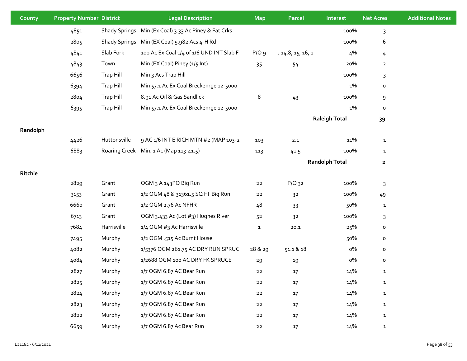| County   | <b>Property Number District</b> |                      | <b>Legal Description</b>                             | <b>Map</b>   | Parcel          | Interest              | <b>Net Acres</b> | <b>Additional Notes</b> |
|----------|---------------------------------|----------------------|------------------------------------------------------|--------------|-----------------|-----------------------|------------------|-------------------------|
|          | 4851                            |                      | Shady Springs Min (Ex Coal) 3.33 Ac Piney & Fat Crks |              |                 | 100%                  | 3                |                         |
|          | 2805                            | <b>Shady Springs</b> | Min (EX Coal) 5.982 Acs 4-H Rd                       |              |                 | 100%                  | 6                |                         |
|          | 4841                            | Slab Fork            | 100 Ac Ex Coal 1/4 of 1/6 UND INT Slab F             | $P/O$ 9      | 14.8, 15, 16, 1 | 4%                    | 4                |                         |
|          | 4843                            | Town                 | Min (EX Coal) Piney (1/5 Int)                        | 35           | 54              | 20%                   | $\overline{2}$   |                         |
|          | 6656                            | Trap Hill            | Min 3 Acs Trap Hill                                  |              |                 | 100%                  | 3                |                         |
|          | 6394                            | Trap Hill            | Min 57.1 Ac Ex Coal Breckenrge 12-5000               |              |                 | 1%                    | $\mathsf{o}\,$   |                         |
|          | 2804                            | Trap Hill            | 8.91 Ac Oil & Gas Sandlick                           | 8            | 43              | 100%                  | $9\,$            |                         |
|          | 6395                            | Trap Hill            | Min 57.1 Ac Ex Coal Breckenrge 12-5000               |              |                 | 1%                    | $\mathsf{o}$     |                         |
|          |                                 |                      |                                                      |              |                 | <b>Raleigh Total</b>  | 39               |                         |
| Randolph |                                 |                      |                                                      |              |                 |                       |                  |                         |
|          | 4426                            | Huttonsville         | 9 AC 1/6 INT E RICH MTN #2 (MAP 103-2                | 103          | 2.1             | 11%                   | $\mathbf{1}$     |                         |
|          | 6883                            |                      | Roaring Creek Min. 1 Ac (Map 113-41.5)               | 113          | 41.5            | 100%                  | $\mathbf{1}$     |                         |
|          |                                 |                      |                                                      |              |                 | <b>Randolph Total</b> | $\mathbf{2}$     |                         |
| Ritchie  |                                 |                      |                                                      |              |                 |                       |                  |                         |
|          | 2829                            | Grant                | OGM <sub>3</sub> A 143PO Big Run                     | 22           | $P/O$ 32        | 100%                  | 3                |                         |
|          | 3153                            | Grant                | 1/2 OGM 48 & 31361.5 SQ FT Big Run                   | 22           | 3 <sup>2</sup>  | 100%                  | 49               |                         |
|          | 6660                            | Grant                | 1/2 OGM 2.76 Ac NFHR                                 | 48           | 33              | 50%                   | $\mathbf{1}$     |                         |
|          | 6713                            | Grant                | OGM 3.433 Ac (Lot #3) Hughes River                   | 52           | 3 <sup>2</sup>  | 100%                  | 3                |                         |
|          | 7684                            | Harrisville          | 1/4 OGM #3 Ac Harrisville                            | $\mathbf{1}$ | 20.1            | 25%                   | $\mathsf{o}\,$   |                         |
|          | 7495                            | Murphy               | 1/2 OGM .515 Ac Burnt House                          |              |                 | 50%                   | $\mathsf{o}\,$   |                         |
|          | 4082                            | Murphy               | 1/5376 OGM 261.75 AC DRY RUN SPRUC                   | 28 & 29      | 51.1 & 18       | о%                    | $\mathsf{o}\,$   |                         |
|          | 4084                            | Murphy               | 1/2688 OGM 100 AC DRY FK SPRUCE                      | 29           | 19              | о%                    | o                |                         |
|          | 2827                            | Murphy               | 1/7 OGM 6.87 AC Bear Run                             | 22           | $17$            | 14%                   | $\mathbf{1}$     |                         |
|          | 2825                            | Murphy               | 1/7 OGM 6.87 AC Bear Run                             | $22$         | $17$            | 14%                   | $\mathbf{1}$     |                         |
|          | 2824                            | Murphy               | 1/7 OGM 6.87 AC Bear Run                             | ${\bf 22}$   | $17\,$          | 14%                   | $\mathbf{1}$     |                         |
|          | 2823                            | Murphy               | 1/7 OGM 6.87 AC Bear Run                             | ${\bf 22}$   | $17\,$          | 14%                   | $\mathbf{1}$     |                         |
|          | 2822                            | Murphy               | 1/7 OGM 6.87 AC Bear Run                             | $22$         | 17              | 14%                   | $\mathbf 1$      |                         |
|          | 6659                            | Murphy               | 1/7 OGM 6.87 Ac Bear Run                             | $22$         | $17$            | 14%                   | $\mathbf{1}$     |                         |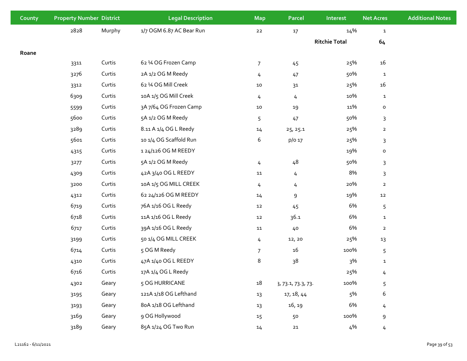| County | <b>Property Number District</b> |        | <b>Legal Description</b> | <b>Map</b>     | <b>Parcel</b>      | Interest             | <b>Net Acres</b> | <b>Additional Notes</b> |
|--------|---------------------------------|--------|--------------------------|----------------|--------------------|----------------------|------------------|-------------------------|
|        | 2828                            | Murphy | 1/7 OGM 6.87 AC Bear Run | ${\bf 22}$     | $17\,$             | 14%                  | $\mathbf{1}$     |                         |
|        |                                 |        |                          |                |                    | <b>Ritchie Total</b> | 64               |                         |
| Roane  |                                 |        |                          |                |                    |                      |                  |                         |
|        | 3311                            | Curtis | 62 1⁄4 OG Frozen Camp    | $\overline{7}$ | 45                 | 25%                  | 16               |                         |
|        | 3276                            | Curtis | 2A 1/2 OG M Reedy        | 4              | 47                 | 50%                  | ${\bf 1}$        |                         |
|        | 3312                            | Curtis | 62 1⁄4 OG Mill Creek     | 10             | $31$               | 25%                  | 16               |                         |
|        | 6309                            | Curtis | 10A 1/5 OG Mill Creek    | 4              | 4                  | 10%                  | $\mathbf{1}$     |                         |
|        | 5599                            | Curtis | 3A 7/64 OG Frozen Camp   | ${\bf 10}$     | 19                 | 11%                  | $\mathsf{o}$     |                         |
|        | 5600                            | Curtis | 5A 1/2 OG M Reedy        | 5              | 47                 | 50%                  | $\mathsf{3}$     |                         |
|        | 3289                            | Curtis | 8.11 A 1/4 OG L Reedy    | 14             | 25, 25.1           | 25%                  | $\mathbf 2$      |                         |
|        | 5601                            | Curtis | 10 1/4 OG Scaffold Run   | 6              | p/o 17             | 25%                  | $\mathsf{3}$     |                         |
|        | 4315                            | Curtis | 124/126 OG M REEDY       |                |                    | 19%                  | $\mathsf{o}\,$   |                         |
|        | 3277                            | Curtis | 5A 1/2 OG M Reedy        | 4              | 48                 | 50%                  | $\mathsf{3}$     |                         |
|        | 4309                            | Curtis | 42A 3/40 OG L REEDY      | 11             | 4                  | 8%                   | 3                |                         |
|        | 3200                            | Curtis | 10A 1/5 OG MILL CREEK    | 4              | 4                  | 20%                  | $\overline{2}$   |                         |
|        | 4312                            | Curtis | 62 24/126 OG M REEDY     | 14             | 9                  | 19%                  | 12               |                         |
|        | 6719                            | Curtis | 76A 1/16 OG L Reedy      | 12             | 45                 | 6%                   | 5                |                         |
|        | 6718                            | Curtis | 11A 1/16 OG L Reedy      | ${\bf 12}$     | 36.1               | 6%                   | $\mathbf{1}$     |                         |
|        | 6717                            | Curtis | 39A 1/16 OG L Reedy      | 11             | 40                 | 6%                   | $\overline{2}$   |                         |
|        | 3199                            | Curtis | 50 1/4 OG MILL CREEK     | 4              | 12, 20             | 25%                  | 13               |                         |
|        | 6714                            | Curtis | 5 OG M Reedy             | $\overline{7}$ | 16                 | 100%                 | 5                |                         |
|        | 4310                            | Curtis | 47A 1/40 OG L REEDY      | 8              | 38                 | 3%                   | $\mathbf{1}$     |                         |
|        | 6716                            | Curtis | 17A 1/4 OG L Reedy       |                |                    | 25%                  | $\frac{1}{2}$    |                         |
|        | 4302                            | Geary  | 5 OG HURRICANE           | $18\,$         | 3, 73.1, 73.3, 73. | 100%                 | 5                |                         |
|        | 3195                            | Geary  | 121A 1/18 OG Lefthand    | 13             | 17, 18, 44         | 5%                   | 6                |                         |
|        | 3193                            | Geary  | 8oA 1/18 OG Lefthand     | 13             | 16, 19             | 6%                   | 4                |                         |
|        | 3169                            | Geary  | 9 OG Hollywood           | $15\,$         | 50                 | 100%                 | 9                |                         |
|        | 3189                            | Geary  | 85A 1/24 OG Two Run      | $14\,$         | ${\bf 21}$         | 4%                   | $\frac{1}{2}$    |                         |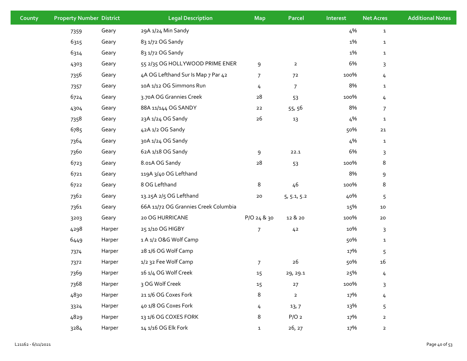| County | <b>Property Number District</b> |        | <b>Legal Description</b>             | <b>Map</b>     | <b>Parcel</b>    | Interest | <b>Net Acres</b> | <b>Additional Notes</b> |
|--------|---------------------------------|--------|--------------------------------------|----------------|------------------|----------|------------------|-------------------------|
|        | 7359                            | Geary  | 29A 1/24 Min Sandy                   |                |                  | 4%       | $\mathbf{1}$     |                         |
|        | 6315                            | Geary  | 83 1/72 OG Sandy                     |                |                  | 1%       | $\mathbf{1}$     |                         |
|        | 6314                            | Geary  | 83 1/72 OG Sandy                     |                |                  | 1%       | $\mathbf{1}$     |                         |
|        | 4303                            | Geary  | 55 2/35 OG HOLLYWOOD PRIME ENER      | $\mathsf 9$    | $\overline{a}$   | 6%       | $\mathsf{3}$     |                         |
|        | 7356                            | Geary  | 4A OG Lefthand Sur Is Map 7 Par 42   | $\overline{7}$ | 72               | 100%     | 4                |                         |
|        | 7357                            | Geary  | 10A 1/12 OG Simmons Run              | 4              | $\overline{7}$   | 8%       | $\mathbf{1}$     |                         |
|        | 6724                            | Geary  | 3.70A OG Grannies Creek              | ${\bf 28}$     | 53               | 100%     | $\overline{4}$   |                         |
|        | 4304                            | Geary  | 88A 11/144 OG SANDY                  | $22$           | 55, 56           | 8%       | 7                |                         |
|        | 7358                            | Geary  | 23A 1/24 OG Sandy                    | $26\,$         | 13               | 4%       | ${\bf 1}$        |                         |
|        | 6785                            | Geary  | 42A 1/2 OG Sandy                     |                |                  | 50%      | $21\,$           |                         |
|        | 7364                            | Geary  | 30A 1/24 OG Sandy                    |                |                  | 4%       | ${\bf 1}$        |                         |
|        | 7360                            | Geary  | 62A 1/18 OG Sandy                    | 9              | 22.1             | 6%       | $\mathsf{3}$     |                         |
|        | 6723                            | Geary  | 8.01A OG Sandy                       | ${\bf 28}$     | 53               | 100%     | 8                |                         |
|        | 6721                            | Geary  | 119A 3/40 OG Lefthand                |                |                  | 8%       | $\mathsf 9$      |                         |
|        | 6722                            | Geary  | 8 OG Lefthand                        | 8              | 46               | 100%     | 8                |                         |
|        | 7362                            | Geary  | 13.25A 2/5 OG Lefthand               | $20\,$         | 5, 5.1, 5.2      | 40%      | 5                |                         |
|        | 7361                            | Geary  | 66A 11/72 OG Grannies Creek Columbia |                |                  | 15%      | 10               |                         |
|        | 3203                            | Geary  | 20 OG HURRICANE                      | P/O 24 & 30    | 12 & 20          | 100%     | ${\bf 20}$       |                         |
|        | 4298                            | Harper | 25 1/10 OG HIGBY                     | 7              | 42               | 10%      | 3                |                         |
|        | 6449                            | Harper | 1 A 1/2 O&G Wolf Camp                |                |                  | 50%      | ${\bf 1}$        |                         |
|        | 7374                            | Harper | 28 1/6 OG Wolf Camp                  |                |                  | 17%      | 5                |                         |
|        | 7372                            | Harper | 1/2 32 Fee Wolf Camp                 | $\overline{7}$ | $26\,$           | 50%      | 16               |                         |
|        | 7369                            | Harper | 16 1/4 OG Wolf Creek                 | 15             | 29, 29.1         | 25%      | 4                |                         |
|        | 7368                            | Harper | 3 OG Wolf Creek                      | 15             | $27$             | 100%     | $\mathsf{3}$     |                         |
|        | 4830                            | Harper | 21 1/6 OG Coxes Fork                 | 8              | $\mathbf{2}$     | 17%      | 4                |                         |
|        | 3324                            | Harper | 40 1/8 OG Coxes Fork                 | 4              | 13,7             | 13%      | 5                |                         |
|        | 4829                            | Harper | 13 1/6 OG COXES FORK                 | 8              | P/O <sub>2</sub> | 17%      | $\overline{2}$   |                         |
|        | 3284                            | Harper | 14 1/16 OG Elk Fork                  | $\mathbf{1}$   | 26, 27           | 17%      | $\overline{2}$   |                         |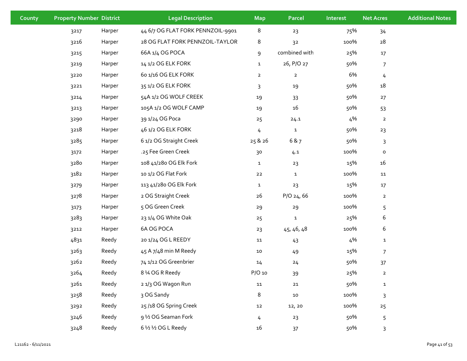| County | <b>Property Number District</b> |        | <b>Legal Description</b>          | <b>Map</b>     | <b>Parcel</b>  | Interest | <b>Net Acres</b> | <b>Additional Notes</b> |
|--------|---------------------------------|--------|-----------------------------------|----------------|----------------|----------|------------------|-------------------------|
|        | 3217                            | Harper | 44 6/7 OG FLAT FORK PENNZOIL-9901 | $\,8\,$        | 23             | 75%      | 34               |                         |
|        | 3216                            | Harper | 28 OG FLAT FORK PENNZOIL-TAYLOR   | 8              | 32             | 100%     | 28               |                         |
|        | 3215                            | Harper | 66A 1/4 OG POCA                   | $\mathsf 9$    | combined with  | 25%      | 17               |                         |
|        | 3219                            | Harper | 14 1/2 OG ELK FORK                | $\mathbf{1}$   | 26, P/O 27     | 50%      | $\overline{7}$   |                         |
|        | 3220                            | Harper | 6o 1/16 OG ELK FORK               | $\overline{2}$ | $\overline{2}$ | 6%       | $\overline{4}$   |                         |
|        | 3221                            | Harper | 35 1/2 OG ELK FORK                | 3              | 19             | 50%      | 18               |                         |
|        | 3214                            | Harper | 54A 1/2 OG WOLF CREEK             | 19             | 33             | 50%      | 27               |                         |
|        | 3213                            | Harper | 105A 1/2 OG WOLF CAMP             | 19             | 16             | 50%      | 53               |                         |
|        | 3290                            | Harper | 39 1/24 OG Poca                   | 25             | 24.1           | 4%       | $\overline{a}$   |                         |
|        | 3218                            | Harper | 46 1/2 OG ELK FORK                | 4              | $\mathbf{1}$   | 50%      | 23               |                         |
|        | 3285                            | Harper | 6 1/2 OG Straight Creek           | 25 & 26        | 6 & 7          | 50%      | 3                |                         |
|        | 3172                            | Harper | .25 Fee Green Creek               | 30             | 4.1            | 100%     | $\mathsf{o}$     |                         |
|        | 3280                            | Harper | 108 41/280 OG Elk Fork            | $\mathbf{1}$   | 23             | 15%      | 16               |                         |
|        | 3182                            | Harper | 10 1/2 OG Flat Fork               | $22$           | $\mathbf{1}$   | 100%     | 11               |                         |
|        | 3279                            | Harper | 113 41/280 OG Elk Fork            | $\mathbf{1}$   | 23             | 15%      | 17               |                         |
|        | 3278                            | Harper | 2 OG Straight Creek               | $26$           | $P/O$ 24, 66   | 100%     | $\overline{a}$   |                         |
|        | 3173                            | Harper | 5 OG Green Creek                  | 29             | 29             | 100%     | 5                |                         |
|        | 3283                            | Harper | 23 1/4 OG White Oak               | 25             | $\mathbf{1}$   | 25%      | 6                |                         |
|        | 3212                            | Harper | 6A OG POCA                        | 23             | 45, 46, 48     | 100%     | 6                |                         |
|        | 4831                            | Reedy  | 20 1/24 OG L REEDY                | 11             | 43             | 4%       | $\mathbf{1}$     |                         |
|        | 3263                            | Reedy  | 45 A 7/48 min M Reedy             | 10             | 49             | 15%      | $\overline{7}$   |                         |
|        | 3262                            | Reedy  | 74 1/12 OG Greenbrier             | 14             | 24             | 50%      | 37               |                         |
|        | 3264                            | Reedy  | 8 1⁄4 OG R Reedy                  | P/O 10         | 39             | 25%      | $\overline{2}$   |                         |
|        | 3261                            | Reedy  | 21/3 OG Wagon Run                 | ${\tt 11}$     | ${\bf 21}$     | 50%      | $\mathbf{1}$     |                         |
|        | 3258                            | Reedy  | 3 OG Sandy                        | 8              | 10             | 100%     | 3                |                         |
|        | 3292                            | Reedy  | 25/18 OG Spring Creek             | $12\,$         | 12, 20         | 100%     | 25               |                         |
|        | 3246                            | Reedy  | 9 1/2 OG Seaman Fork              | 4              | 23             | 50%      | 5                |                         |
|        | 3248                            | Reedy  | 6 1/2 1/2 OG L Reedy              | 16             | 37             | 50%      | 3                |                         |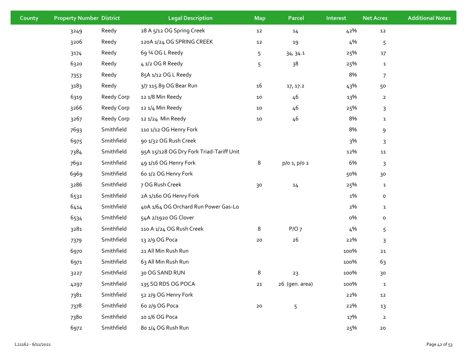| County | <b>Property Number District</b> |            | <b>Legal Description</b>                 | <b>Map</b> | <b>Parcel</b>  | Interest | <b>Net Acres</b> | <b>Additional Notes</b> |
|--------|---------------------------------|------------|------------------------------------------|------------|----------------|----------|------------------|-------------------------|
|        | 3249                            | Reedy      | 28 A 5/12 OG Spring Creek                | $\bf 12$   | 14             | 42%      | 12               |                         |
|        | 3206                            | Reedy      | 120A 1/24 OG SPRING CREEK                | $\bf 12$   | 19             | 4%       | 5                |                         |
|        | 3174                            | Reedy      | 69 1⁄4 OG L Reedy                        | 5          | 34, 34.1       | 25%      | $17\,$           |                         |
|        | 6320                            | Reedy      | 4 1/2 OG R Reedy                         | 5          | 38             | 25%      | $\mathbf{1}$     |                         |
|        | 7353                            | Reedy      | 85A 1/12 OG L Reedy                      |            |                | 8%       | $\overline{7}$   |                         |
|        | 3183                            | Reedy      | 3/7 115.89 OG Bear Run                   | 16         | 17, 17.2       | 43%      | 50               |                         |
|        | 6319                            | Reedy Corp | 12 1/8 Min Reedy                         | 10         | 46             | 13%      | $\overline{a}$   |                         |
|        | 3266                            | Reedy Corp | 12 1/4 Min Reedy                         | 10         | 46             | 25%      | 3                |                         |
|        | 3267                            | Reedy Corp | 12 1/24 Min Reedy                        | ${\bf 10}$ | 46             | 8%       | $\mathbf{1}$     |                         |
|        | 7693                            | Smithfield | 110 1/12 OG Henry Fork                   |            |                | 8%       | 9                |                         |
|        | 6975                            | Smithfield | 90 1/32 OG Rush Creek                    |            |                | 3%       | 3                |                         |
|        | 7384                            | Smithfield | 95A 15/128 OG Dry Fork Triad-Tariff Unit |            |                | 12%      | ${\bf 11}$       |                         |
|        | 7692                            | Smithfield | 49 1/16 OG Henry Fork                    | 8          | p/o 1, p/o 2   | 6%       | 3                |                         |
|        | 6969                            | Smithfield | 60 1/2 OG Henry Fork                     |            |                | 50%      | 30               |                         |
|        | 3286                            | Smithfield | 7 OG Rush Creek                          | 30         | 14             | 25%      | $\mathbf{1}$     |                         |
|        | 6532                            | Smithfield | 2A 1/16o OG Henry Fork                   |            |                | 1%       | $\mathsf{o}$     |                         |
|        | 6414                            | Smithfield | 40A 1/64 OG Orchard Run Power Gas-Lo     |            |                | 2%       | $\mathbf{1}$     |                         |
|        | 6534                            | Smithfield | 54A 2/1920 OG Clover                     |            |                | о%       | $\mathsf{o}\,$   |                         |
|        | 3281                            | Smithfield | 110 A 1/24 OG Rush Creek                 | 8          | P/O7           | 4%       | 5                |                         |
|        | 7379                            | Smithfield | 13 2/9 OG Poca                           | ${\bf 20}$ | $26$           | 22%      | 3                |                         |
|        | 6970                            | Smithfield | 21 All Min Rush Run                      |            |                | 100%     | ${\bf 21}$       |                         |
|        | 6971                            | Smithfield | 63 All Min Rush Run                      |            |                | 100%     | 63               |                         |
|        | 3227                            | Smithfield | 30 OG SAND RUN                           | 8          | 23             | 100%     | 30               |                         |
|        | 4297                            | Smithfield | 135 SQ RDS OG POCA                       | ${\bf 21}$ | 26 (gen. area) | 100%     | $\mathbf{1}$     |                         |
|        | 7381                            | Smithfield | 52 2/9 OG Henry Fork                     |            |                | 22%      | 12               |                         |
|        | 7378                            | Smithfield | 6o 2/9 OG Poca                           | 20         | 5              | 22%      | 13               |                         |
|        | 7380                            | Smithfield | 10 1/6 OG Poca                           |            |                | 17%      | $\overline{a}$   |                         |
|        | 6972                            | Smithfield | 80 1/4 OG Rush Run                       |            |                | 25%      | 20               |                         |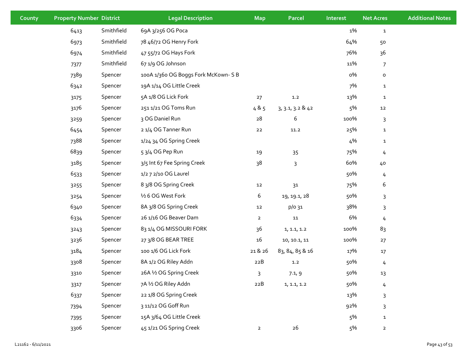| County | <b>Property Number District</b> |            | <b>Legal Description</b>           | <b>Map</b>     | <b>Parcel</b>    | Interest | <b>Net Acres</b> | <b>Additional Notes</b> |
|--------|---------------------------------|------------|------------------------------------|----------------|------------------|----------|------------------|-------------------------|
|        | 6413                            | Smithfield | 69A 3/256 OG Poca                  |                |                  | 1%       | $\mathbf{1}$     |                         |
|        | 6973                            | Smithfield | 78 46/72 OG Henry Fork             |                |                  | 64%      | 50               |                         |
|        | 6974                            | Smithfield | 47 55/72 OG Hays Fork              |                |                  | 76%      | 36               |                         |
|        | 7377                            | Smithfield | 67 1/9 OG Johnson                  |                |                  | 11%      | $\overline{7}$   |                         |
|        | 7389                            | Spencer    | 100A 1/360 OG Boggs Fork McKown-SB |                |                  | о%       | $\mathsf{o}\,$   |                         |
|        | 6342                            | Spencer    | 19A 1/14 OG Little Creek           |                |                  | 7%       | $\mathbf{1}$     |                         |
|        | 3175                            | Spencer    | 5A 1/8 OG Lick Fork                | 27             | $1.2\,$          | 13%      | $\mathbf{1}$     |                         |
|        | 3176                            | Spencer    | 251 1/21 OG Toms Run               | 485            | 3, 3.1, 3.2 & 42 | 5%       | 12               |                         |
|        | 3259                            | Spencer    | 3 OG Daniel Run                    | 28             | 6                | 100%     | 3                |                         |
|        | 6454                            | Spencer    | 21/4 OG Tanner Run                 | $22$           | 11.2             | 25%      | $\mathbf{1}$     |                         |
|        | 7388                            | Spencer    | 1/24 34 OG Spring Creek            |                |                  | 4%       | $\mathbf{1}$     |                         |
|        | 6839                            | Spencer    | 5 3/4 OG Pep Run                   | 19             | $35\,$           | 75%      | 4                |                         |
|        | 3185                            | Spencer    | 3/5 Int 67 Fee Spring Creek        | 38             | 3                | 60%      | 40               |                         |
|        | 6533                            | Spencer    | 1/2 7 2/10 OG Laurel               |                |                  | 50%      | 4                |                         |
|        | 3255                            | Spencer    | 8 3/8 OG Spring Creek              | 12             | 31               | 75%      | 6                |                         |
|        | 3254                            | Spencer    | 1/2 6 OG West Fork                 | 6              | 19, 19.1, 28     | 50%      | 3                |                         |
|        | 6340                            | Spencer    | 8A 3/8 OG Spring Creek             | 12             | p/o 31           | 38%      | 3                |                         |
|        | 6334                            | Spencer    | 26 1/16 OG Beaver Dam              | $\overline{2}$ | ${\bf 11}$       | 6%       | 4                |                         |
|        | 3243                            | Spencer    | 83 1/4 OG MISSOURI FORK            | 36             | 1, 1.1, 1.2      | 100%     | 83               |                         |
|        | 3236                            | Spencer    | 27 3/8 OG BEAR TREE                | $16\,$         | 10, 10.1, 11     | 100%     | 27               |                         |
|        | 3184                            | Spencer    | 100 1/6 OG Lick Fork               | 21 & 26        | 83, 84, 85 & 16  | 17%      | $17\,$           |                         |
|        | 3308                            | Spencer    | 8A 1/2 OG Riley Addn               | 22B            | 1.2              | 50%      | $\overline{4}$   |                         |
|        | 3310                            | Spencer    | 26A 1/2 OG Spring Creek            | 3              | 7.1, 9           | 50%      | 13               |                         |
|        | 3317                            | Spencer    | 7A 1/2 OG Riley Addn               | $22B$          | 1, 1.1, 1.2      | 50%      | 4                |                         |
|        | 6337                            | Spencer    | 22 1/8 OG Spring Creek             |                |                  | 13%      | 3                |                         |
|        | 7394                            | Spencer    | 3 11/12 OG Goff Run                |                |                  | 92%      | 3                |                         |
|        | 7395                            | Spencer    | 15A 3/64 OG Little Creek           |                |                  | 5%       | $\mathbf{1}$     |                         |
|        | 3306                            | Spencer    | 45 1/21 OG Spring Creek            | $\overline{a}$ | 26               | 5%       | $\mathbf{2}$     |                         |
|        |                                 |            |                                    |                |                  |          |                  |                         |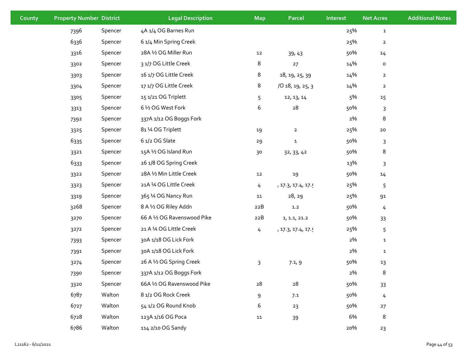| County | <b>Property Number District</b> |         | <b>Legal Description</b>    | <b>Map</b> | <b>Parcel</b>      | Interest | <b>Net Acres</b> | <b>Additional Notes</b> |
|--------|---------------------------------|---------|-----------------------------|------------|--------------------|----------|------------------|-------------------------|
|        | 7396                            | Spencer | 4A 1/4 OG Barnes Run        |            |                    | 25%      | $\mathbf{1}$     |                         |
|        | 6336                            | Spencer | 6 1/4 Min Spring Creek      |            |                    | 25%      | $\overline{2}$   |                         |
|        | 3316                            | Spencer | 28A 1⁄2 OG Miller Run       | 12         | 39,43              | 50%      | 14               |                         |
|        | 3302                            | Spencer | 3 1/7 OG Little Creek       | 8          | 27                 | 14%      | $\mathsf{o}\,$   |                         |
|        | 3303                            | Spencer | 16 1/7 OG Little Creek      | 8          | 18, 19, 25, 39     | 14%      | $\overline{a}$   |                         |
|        | 3304                            | Spencer | 17 1/7 OG Little Creek      | 8          | /0 18, 19, 25, 3   | 14%      | $\overline{2}$   |                         |
|        | 3305                            | Spencer | 15 1/21 OG Triplett         | 5          | 12, 13, 14         | 5%       | 15               |                         |
|        | 3313                            | Spencer | 6 1/2 OG West Fork          | 6          | 28                 | 50%      | 3                |                         |
|        | 7392                            | Spencer | 337A 1/12 OG Boggs Fork     |            |                    | 2%       | 8                |                         |
|        | 3325                            | Spencer | 81 1⁄4 OG Triplett          | 19         | $\overline{2}$     | 25%      | ${\bf 20}$       |                         |
|        | 6335                            | Spencer | 6 1/2 OG Slate              | 29         | $\mathbf{1}$       | 50%      | 3                |                         |
|        | 3321                            | Spencer | 15A 1/2 OG Island Run       | 30         | 32, 33, 42         | 50%      | 8                |                         |
|        | 6333                            | Spencer | 26 1/8 OG Spring Creek      |            |                    | 13%      | 3                |                         |
|        | 3322                            | Spencer | 28A 1/2 Min Little Creek    | $12$       | 19                 | 50%      | 14               |                         |
|        | 3323                            | Spencer | 21A 1⁄4 OG Little Creek     | 4          | , 17.3, 17.4, 17.5 | 25%      | 5                |                         |
|        | 3319                            | Spencer | 365 1⁄4 OG Nancy Run        | 11         | 28, 29             | 25%      | 91               |                         |
|        | 3268                            | Spencer | 8 A 1/2 OG Riley Addn       | 22B        | $1.2\,$            | 50%      | $\overline{4}$   |                         |
|        | 3270                            | Spencer | 66 A 1/2 OG Ravenswood Pike | 22B        | 1, 1.1, 21.2       | 50%      | 33               |                         |
|        | 3272                            | Spencer | 21 A 1⁄4 OG Little Creek    | 4          | , 17.3, 17.4, 17.5 | 25%      | 5                |                         |
|        | 7393                            | Spencer | 30A 1/18 OG Lick Fork       |            |                    | 2%       | $\mathbf{1}$     |                         |
|        | 7391                            | Spencer | 30A 1/18 OG Lick Fork       |            |                    | 2%       | $\mathbf{1}$     |                         |
|        | 3274                            | Spencer | 26 A 1/2 OG Spring Creek    | 3          | 7.1, 9             | 50%      | 13               |                         |
|        | 7390                            | Spencer | 337A 1/12 OG Boggs Fork     |            |                    | 2%       | 8                |                         |
|        | 3320                            | Spencer | 66A 1/2 OG Ravenswood Pike  | 28         | $\rm 28$           | 50%      | 33               |                         |
|        | 6787                            | Walton  | 8 1/2 OG Rock Creek         | 9          | 7.1                | 50%      | 4                |                         |
|        | 6727                            | Walton  | 54 1/2 OG Round Knob        | 6          | 23                 | 50%      | 27               |                         |
|        | 6728                            | Walton  | 123A 1/16 OG Poca           | 11         | 39                 | 6%       | 8                |                         |
|        | 6786                            | Walton  | 114 2/10 OG Sandy           |            |                    | 20%      | 23               |                         |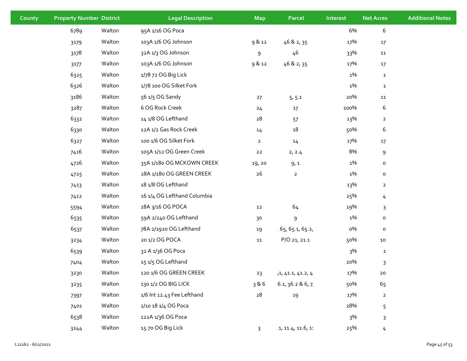| County | <b>Property Number District</b> |        | <b>Legal Description</b>    | <b>Map</b>     | <b>Parcel</b>       | Interest | <b>Net Acres</b> | <b>Additional Notes</b> |
|--------|---------------------------------|--------|-----------------------------|----------------|---------------------|----------|------------------|-------------------------|
|        | 6789                            | Walton | 95A 1/16 OG Poca            |                |                     | 6%       | 6                |                         |
|        | 3179                            | Walton | 103A 1/6 OG Johnson         | 9 & 12         | 46 & 2, 35          | 17%      | $17\,$           |                         |
|        | 3178                            | Walton | 32A 1/3 OG Johnson          | 9              | 46                  | 33%      | 11               |                         |
|        | 3177                            | Walton | 103A 1/6 OG Johnson         | 9 & 12         | 46 & 2, 35          | 17%      | $17\,$           |                         |
|        | 6325                            | Walton | 1/78 72 OG Big Lick         |                |                     | 1%       | $\mathbf{1}$     |                         |
|        | 6326                            | Walton | 1/78 100 OG Silket Fork     |                |                     | 1%       | $\mathbf{1}$     |                         |
|        | 3186                            | Walton | 56 1/5 OG Sandy             | 27             | 5, 5.1              | 20%      | 11               |                         |
|        | 3287                            | Walton | 6 OG Rock Creek             | 24             | 17                  | 100%     | 6                |                         |
|        | 6332                            | Walton | 14 1/8 OG Lefthand          | 28             | 57                  | 13%      | $\overline{2}$   |                         |
|        | 6330                            | Walton | 12A 1/2 Gas Rock Creek      | 14             | $18\,$              | 50%      | 6                |                         |
|        | 6327                            | Walton | 100 1/6 OG Silket Fork      | $\overline{2}$ | 14                  | 17%      | $17\,$           |                         |
|        | 7416                            | Walton | 105A 1/12 OG Green Creek    | 22             | 2, 2.4              | 8%       | $\mathsf 9$      |                         |
|        | 4726                            | Walton | 35A 1/18o OG MCKOWN CREEK   | 19, 20         | 9,1                 | 1%       | $\mathsf{o}\,$   |                         |
|        | 4725                            | Walton | 28A 1/18o OG GREEN CREEK    | 26             | $\mathbf{2}$        | 1%       | $\mathsf{o}\,$   |                         |
|        | 7413                            | Walton | 18 1/8 OG Lefthand          |                |                     | 13%      | $\overline{2}$   |                         |
|        | 7412                            | Walton | 16 1/4 OG Lefthand Columbia |                |                     | 25%      | 4                |                         |
|        | 5594                            | Walton | 18A 3/16 OG POCA            | 12             | 64                  | 19%      | 3                |                         |
|        | 6535                            | Walton | 59A 2/240 OG Lefthand       | 30             | 9                   | 1%       | $\mathsf{o}$     |                         |
|        | 6537                            | Walton | 78A 2/1920 OG Lefthand      | 19             | 65, 65.1, 65.2,     | о%       | $\mathsf{o}\,$   |                         |
|        | 3234                            | Walton | 20 1/2 OG POCA              | 11             | P/O 21, 21.1        | 50%      | 10               |                         |
|        | 6539                            | Walton | 32 A 1/36 OG Poca           |                |                     | 3%       | $\mathbf{1}$     |                         |
|        | 7404                            | Walton | 15 1/5 OG Lefthand          |                |                     | 20%      | $\mathsf{3}$     |                         |
|        | 3230                            | Walton | 120 1/6 OG GREEN CREEK      | 23             | $+1, 41.1, 41.2, 4$ | 17%      | 20               |                         |
|        | 3235                            | Walton | 130 1/2 OG BIG LICK         | 386            | 6.1, 36.2 & 6, 7    | 50%      | 65               |                         |
|        | 7397                            | Walton | 1/6 Int 12.43 Fee Lefthand  | ${\bf 28}$     | 19                  | 17%      | $\overline{2}$   |                         |
|        | 7401                            | Walton | 1/10 18 1/4 OG Poca         |                |                     | 28%      | 5                |                         |
|        | 6538                            | Walton | 122A 1/36 OG Poca           |                |                     | 3%       | $\mathsf{3}$     |                         |
|        | 3244                            | Walton | 15.70 OG Big Lick           | $\overline{3}$ | .1, 11.4, 11.6, 11  | 25%      | 4                |                         |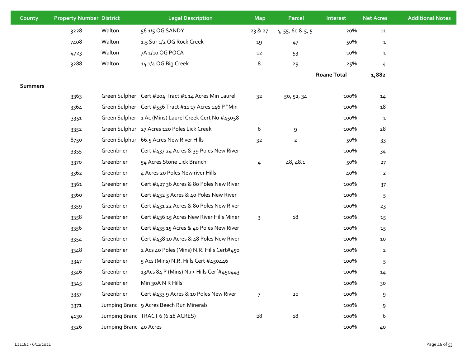| County         | <b>Property Number District</b> |                        | <b>Legal Description</b>                              | <b>Map</b>     | <b>Parcel</b>          | <b>Interest</b>    | <b>Net Acres</b> | <b>Additional Notes</b> |
|----------------|---------------------------------|------------------------|-------------------------------------------------------|----------------|------------------------|--------------------|------------------|-------------------------|
|                | 3228                            | Walton                 | 56 1/5 OG SANDY                                       | 23 & 27        | $4, 55, 60$ & $5, 5$ . | 20%                | 11               |                         |
|                | 7408                            | Walton                 | 1.5 Sur 1/2 OG Rock Creek                             | 19             | 47                     | 50%                | $\mathbf{1}$     |                         |
|                | 4723                            | Walton                 | 7A 1/10 OG POCA                                       | 12             | 53                     | 10%                | $\mathbf{1}$     |                         |
|                | 3288                            | Walton                 | 14 1/4 OG Big Creek                                   | 8              | 29                     | 25%                | 4                |                         |
|                |                                 |                        |                                                       |                |                        | <b>Roane Total</b> | 1,882            |                         |
| <b>Summers</b> |                                 |                        |                                                       |                |                        |                    |                  |                         |
|                | 3363                            |                        | Green Sulpher Cert #204 Tract #114 Acres Min Laurel   | 3 <sup>2</sup> | 50, 52, 34             | 100%               | 14               |                         |
|                | 3364                            |                        | Green Sulpher Cert #556 Tract #11 17 Acres 146 P "Min |                |                        | 100%               | 18               |                         |
|                | 3351                            |                        | Green Sulpher 1 Ac (Mins) Laurel Creek Cert No #45058 |                |                        | 100%               | $\mathbf{1}$     |                         |
|                | 3352                            |                        | Green Sulphur 27 Acres 120 Poles Lick Creek           | 6              | 9                      | 100%               | 28               |                         |
|                | 8750                            |                        | Green Sulphur 66.5 Acres New River Hills              | 32             | $\overline{2}$         | 50%                | 33               |                         |
|                | 3355                            | Greenbrier             | Cert #437 24 Acres & 39 Poles New River               |                |                        | 100%               | 34               |                         |
|                | 3370                            | Greenbrier             | 54 Acres Stone Lick Branch                            | 4              | 48, 48.1               | 50%                | 27               |                         |
|                | 3362                            | Greenbrier             | 4 Acres 20 Poles New river Hills                      |                |                        | 40%                | $\mathbf{2}$     |                         |
|                | 3361                            | Greenbrier             | Cert #427 36 Acres & 80 Poles New River               |                |                        | 100%               | 37               |                         |
|                | 3360                            | Greenbrier             | Cert #432 5 Acres & 40 Poles New River                |                |                        | 100%               | 5                |                         |
|                | 3359                            | Greenbrier             | Cert #431 22 Acres & 80 Poles New River               |                |                        | 100%               | 23               |                         |
|                | 3358                            | Greenbrier             | Cert #436 15 Acres New River Hills Miner              | 3              | 18                     | 100%               | 15               |                         |
|                | 3356                            | Greenbrier             | Cert #435 15 Acres & 40 Poles New River               |                |                        | 100%               | 15               |                         |
|                | 3354                            | Greenbrier             | Cert #438 10 Acres & 48 Poles New River               |                |                        | 100%               | 10               |                         |
|                | 3348                            | Greenbrier             | 2 Acs 40 Poles (Mins) N.R. Hills Cert#450             |                |                        | 100%               | $\overline{2}$   |                         |
|                | 3347                            | Greenbrier             | 5 Acs (Mins) N.R. Hills Cert #450446                  |                |                        | 100%               | 5                |                         |
|                | 3346                            | Greenbrier             | 13Acs 84 P (Mins) N.r> Hills Cerf#450443              |                |                        | 100%               | 14               |                         |
|                | 3345                            | Greenbrier             | Min 30A N R Hills                                     |                |                        | 100%               | 30               |                         |
|                | 3357                            | Greenbrier             | Cert #433 9 Acres & 10 Poles New River                | $\overline{7}$ | $20\,$                 | 100%               | 9                |                         |
|                | 3371                            |                        | Jumping Branc 9 Acres Beech Run Minerals              |                |                        | 100%               | 9                |                         |
|                | 4130                            |                        | Jumping Branc TRACT 6 (6.18 ACRES)                    | 28             | 18                     | 100%               | 6                |                         |
|                | 3326                            | Jumping Branc 40 Acres |                                                       |                |                        | 100%               | 40               |                         |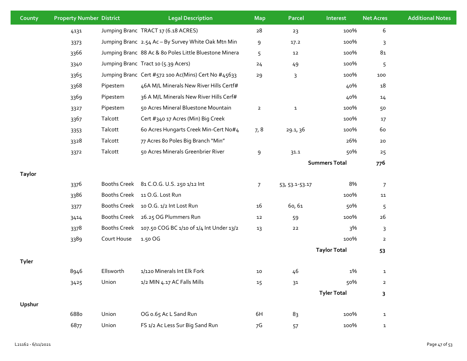| County        | <b>Property Number District</b> |             | <b>Legal Description</b>                               | <b>Map</b>     | <b>Parcel</b>  | Interest             | <b>Net Acres</b>        | <b>Additional Notes</b> |
|---------------|---------------------------------|-------------|--------------------------------------------------------|----------------|----------------|----------------------|-------------------------|-------------------------|
|               | 4131                            |             | Jumping Branc TRACT 17 (6.18 ACRES)                    | 28             | 23             | 100%                 | 6                       |                         |
|               | 3373                            |             | Jumping Branc 2.54 Ac - By Survey White Oak Mtn Min    | 9              | 17.2           | 100%                 | 3                       |                         |
|               | 3366                            |             | Jumping Branc 88 Ac & 8o Poles Little Bluestone Minera | 5              | 12             | 100%                 | 8 <sub>1</sub>          |                         |
|               | 3340                            |             | Jumping Branc Tract 10 (5.39 Acers)                    | 24             | 49             | 100%                 | 5                       |                         |
|               | 3365                            |             | Jumping Branc Cert #572 100 Ac(Mins) Cert No #45633    | 29             | 3              | 100%                 | 100                     |                         |
|               | 3368                            | Pipestem    | 46A M/L Minerals New River Hills Certf#                |                |                | 40%                  | 18                      |                         |
|               | 3369                            | Pipestem    | 36 A M/L Minerals New River Hills Cerf#                |                |                | 40%                  | 14                      |                         |
|               | 3327                            | Pipestem    | 50 Acres Mineral Bluestone Mountain                    | $\overline{2}$ | $\mathbf{1}$   | 100%                 | 50                      |                         |
|               | 3367                            | Talcott     | Cert #340 17 Acres (Min) Big Creek                     |                |                | 100%                 | 17                      |                         |
|               | 3353                            | Talcott     | 60 Acres Hungarts Creek Min-Cert No#4                  | 7,8            | 29.1, 36       | 100%                 | 60                      |                         |
|               | 3328                            | Talcott     | 77 Acres 80 Poles Big Branch "Min"                     |                |                | 26%                  | 20                      |                         |
|               | 3372                            | Talcott     | 50 Acres Minerals Greenbrier River                     | $\,9$          | 31.1           | 50%                  | 25                      |                         |
|               |                                 |             |                                                        |                |                | <b>Summers Total</b> | 776                     |                         |
| <b>Taylor</b> |                                 |             |                                                        |                |                |                      |                         |                         |
|               | 3376                            |             | Booths Creek 81 C.O.G. U.S. 250 1/12 Int               | $\overline{7}$ | 53, 53.1-53.17 | 8%                   | $\overline{7}$          |                         |
|               | 3386                            |             | Booths Creek 11 O.G. Lost Run                          |                |                | 100%                 | 11                      |                         |
|               | 3377                            |             | Booths Creek 10 O.G. 1/2 Int Lost Run                  | 16             | 60,61          | 50%                  | 5                       |                         |
|               | 3414                            |             | Booths Creek 26.25 OG Plummers Run                     | 12             | 59             | 100%                 | 26                      |                         |
|               | 3378                            |             | Booths Creek 107.50 COG BC 1/10 of 1/4 Int Under 13/2  | 13             | 22             | 3%                   | 3                       |                         |
|               | 3389                            | Court House | 1.50 OG                                                |                |                | 100%                 | $\overline{2}$          |                         |
|               |                                 |             |                                                        |                |                | <b>Taylor Total</b>  | 53                      |                         |
| Tyler         |                                 |             |                                                        |                |                |                      |                         |                         |
|               | 8946                            | Ellsworth   | 1/120 Minerals Int Elk Fork                            | 10             | 46             | 1%                   | $\mathbf{1}$            |                         |
|               | 3425                            | Union       | 1/2 MIN 4.17 AC Falls Mills                            | 15             | 31             | 50%                  | $\overline{a}$          |                         |
|               |                                 |             |                                                        |                |                | <b>Tyler Total</b>   | $\overline{\mathbf{3}}$ |                         |
| Upshur        |                                 |             |                                                        |                |                |                      |                         |                         |
|               | 6880                            | Union       | OG 0.65 Ac L Sand Run                                  | 6H             | 83             | 100%                 | $\mathbf{1}$            |                         |
|               | 6877                            | Union       | FS 1/2 Ac Less Sur Big Sand Run                        | 7G             | 57             | 100%                 | $\mathbf{1}$            |                         |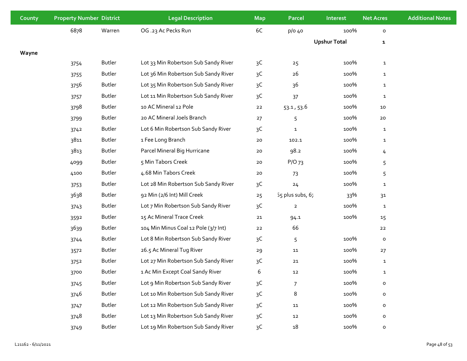| County | <b>Property Number District</b> |        | <b>Legal Description</b>             | <b>Map</b>     | <b>Parcel</b>        | Interest            | <b>Net Acres</b> | <b>Additional Notes</b> |
|--------|---------------------------------|--------|--------------------------------------|----------------|----------------------|---------------------|------------------|-------------------------|
|        | 6878                            | Warren | OG .23 Ac Pecks Run                  | 6C             | $p/O$ 40             | 100%                | 0                |                         |
|        |                                 |        |                                      |                |                      | <b>Upshur Total</b> | $\mathbf{1}$     |                         |
| Wayne  |                                 |        |                                      |                |                      |                     |                  |                         |
|        | 3754                            | Butler | Lot 33 Min Robertson Sub Sandy River | 3 <sup>C</sup> | 25                   | 100%                | $\mathbf{1}$     |                         |
|        | 3755                            | Butler | Lot 36 Min Robertson Sub Sandy River | 3C             | 26                   | 100%                | $\mathbf{1}$     |                         |
|        | 3756                            | Butler | Lot 35 Min Robertson Sub Sandy River | 3C             | 36                   | 100%                | $\mathbf{1}$     |                         |
|        | 3757                            | Butler | Lot 11 Min Robertson Sub Sandy River | 3C             | 37                   | 100%                | $\mathbf{1}$     |                         |
|        | 3798                            | Butler | 10 AC Mineral 12 Pole                | $22$           | 53.1, 53.6           | 100%                | 10               |                         |
|        | 3799                            | Butler | 20 AC Mineral Joels Branch           | 27             | 5                    | 100%                | 20               |                         |
|        | 3742                            | Butler | Lot 6 Min Robertson Sub Sandy River  | 3C             | $\mathbf{1}$         | 100%                | $\mathbf{1}$     |                         |
|        | 3811                            | Butler | 1 Fee Long Branch                    | $20$           | 102.1                | 100%                | $\mathbf{1}$     |                         |
|        | 3813                            | Butler | Parcel Mineral Big Hurricane         | 20             | 98.2                 | 100%                | 4                |                         |
|        | 4099                            | Butler | 5 Min Tabors Creek                   | 20             | $P/O$ 73             | 100%                | 5                |                         |
|        | 4100                            | Butler | 4.68 Min Tabors Creek                | 20             | 73                   | 100%                | 5                |                         |
|        | 3753                            | Butler | Lot 28 Min Robertson Sub Sandy River | 3C             | 24                   | 100%                | $\mathbf{1}$     |                         |
|        | 3638                            | Butler | 92 Min (2/6 Int) Mill Creek          | 25             | $55$ plus subs, $67$ | 33%                 | 31               |                         |
|        | 3743                            | Butler | Lot 7 Min Robertson Sub Sandy River  | 3C             | $\overline{2}$       | 100%                | $\mathbf{1}$     |                         |
|        | 3592                            | Butler | 15 Ac Mineral Trace Creek            | ${\bf 21}$     | 94.1                 | 100%                | 15               |                         |
|        | 3639                            | Butler | 104 Min Minus Coal 12 Pole (3/7 Int) | 22             | 66                   |                     | 22               |                         |
|        | 3744                            | Butler | Lot 8 Min Robertson Sub Sandy River  | 3C             | 5                    | 100%                | $\mathsf{o}\,$   |                         |
|        | 3572                            | Butler | 26.5 Ac Mineral Tug River            | 29             | 11                   | 100%                | 27               |                         |
|        | 3752                            | Butler | Lot 27 Min Robertson Sub Sandy River | 3C             | 21                   | 100%                | $\mathbf{1}$     |                         |
|        | 3700                            | Butler | 1 Ac Min Except Coal Sandy River     | 6              | 12                   | 100%                | $\mathbf{1}$     |                         |
|        | 3745                            | Butler | Lot 9 Min Robertson Sub Sandy River  | 3C             | $\overline{7}$       | 100%                | $\mathsf{o}\,$   |                         |
|        | 3746                            | Butler | Lot 10 Min Robertson Sub Sandy River | 3C             | 8                    | 100%                | $\mathsf{o}\,$   |                         |
|        | 3747                            | Butler | Lot 12 Min Robertson Sub Sandy River | 3C             | 11                   | 100%                | $\circ$          |                         |
|        | 3748                            | Butler | Lot 13 Min Robertson Sub Sandy River | 3C             | $12\,$               | 100%                | $\mathsf{o}\,$   |                         |
|        | 3749                            | Butler | Lot 19 Min Robertson Sub Sandy River | 3C             | $18\,$               | 100%                | o                |                         |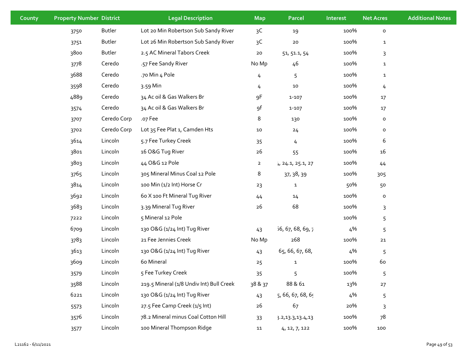| County | <b>Property Number District</b> |             | <b>Legal Description</b>                 | <b>Map</b>     | Parcel              | Interest | <b>Net Acres</b> | <b>Additional Notes</b> |
|--------|---------------------------------|-------------|------------------------------------------|----------------|---------------------|----------|------------------|-------------------------|
|        | 3750                            | Butler      | Lot 20 Min Robertson Sub Sandy River     | 3C             | 19                  | 100%     | $\mathsf{o}\,$   |                         |
|        | 3751                            | Butler      | Lot 26 Min Robertson Sub Sandy River     | 3C             | ${\bf 20}$          | 100%     | $\mathbf{1}$     |                         |
|        | 3800                            | Butler      | 2.5 AC Mineral Tabors Creek              | $20$           | 51, 51.1, 54        | 100%     | 3                |                         |
|        | 3778                            | Ceredo      | .57 Fee Sandy River                      | No Mp          | 46                  | 100%     | $\mathbf{1}$     |                         |
|        | 3688                            | Ceredo      | .70 Min 4 Pole                           | 4              | 5                   | 100%     | $\mathbf{1}$     |                         |
|        | 3598                            | Ceredo      | 3.59 Min                                 | 4              | ${\bf 10}$          | 100%     | 4                |                         |
|        | 4889                            | Ceredo      | 34 Ac oil & Gas Walkers Br               | 9F             | $1 - 107$           | 100%     | 17               |                         |
|        | 3574                            | Ceredo      | 34 Ac oil & Gas Walkers Br               | 9f             | $1 - 107$           | 100%     | 17               |                         |
|        | 3707                            | Ceredo Corp | .o7 Fee                                  | 8              | 130                 | 100%     | o                |                         |
|        | 3702                            | Ceredo Corp | Lot 35 Fee Plat 1, Camden Hts            | $10\,$         | 24                  | 100%     | o                |                         |
|        | 3614                            | Lincoln     | 5.7 Fee Turkey Creek                     | 35             | $\overline{4}$      | 100%     | 6                |                         |
|        | 3801                            | Lincoln     | 16 O&G Tug River                         | 26             | 55                  | 100%     | 16               |                         |
|        | 3803                            | Lincoln     | 44 O&G 12 Pole                           | $\overline{2}$ | $H$ 24.1, 25.1, 27  | 100%     | 44               |                         |
|        | 3765                            | Lincoln     | 305 Mineral Minus Coal 12 Pole           | 8              | 37, 38, 39          | 100%     | 305              |                         |
|        | 3814                            | Lincoln     | 100 Min (1/2 Int) Horse Cr               | 23             | $\mathbf{1}$        | 50%      | 50               |                         |
|        | 3692                            | Lincoln     | 60 X 100 Ft Mineral Tug River            | 44             | 14                  | 100%     | o                |                         |
|        | 3683                            | Lincoln     | 3.39 Mineral Tug River                   | $26$           | 68                  | 100%     | 3                |                         |
|        | 7222                            | Lincoln     | 5 Mineral 12 Pole                        |                |                     | 100%     | 5                |                         |
|        | 6709                            | Lincoln     | 130 O&G (1/24 Int) Tug River             | 43             | 56, 67, 68, 69, 7   | 4%       | 5                |                         |
|        | 3783                            | Lincoln     | 21 Fee Jennies Creek                     | No Mp          | 268                 | 100%     | ${\bf 21}$       |                         |
|        | 3613                            | Lincoln     | 130 O&G (1/24 Int) Tug River             | 43             | 65, 66, 67, 68,     | 4%       | 5                |                         |
|        | 3609                            | Lincoln     | 60 Mineral                               | 25             | $\mathbf 1$         | 100%     | 60               |                         |
|        | 3579                            | Lincoln     | 5 Fee Turkey Creek                       | 35             | 5                   | 100%     | 5                |                         |
|        | 3588                            | Lincoln     | 219.5 Mineral (1/8 Undiv Int) Bull Creek | 38 & 37        | 88 & 61             | 13%      | 27               |                         |
|        | 6221                            | Lincoln     | 130 O&G (1/24 Int) Tug River             | 43             | 5, 66, 67, 68, 69   | 4%       | 5                |                         |
|        | 5573                            | Lincoln     | 27.5 Fee Camp Creek (1/5 Int)            | $26$           | 67                  | 20%      | 3                |                         |
|        | 3576                            | Lincoln     | 78.2 Mineral minus Coal Cotton Hill      | 33             | 3.2, 13.3, 13.4, 13 | 100%     | 78               |                         |
|        | 3577                            | Lincoln     | 100 Mineral Thompson Ridge               | 11             | 4, 12, 7, 122       | 100%     | 100              |                         |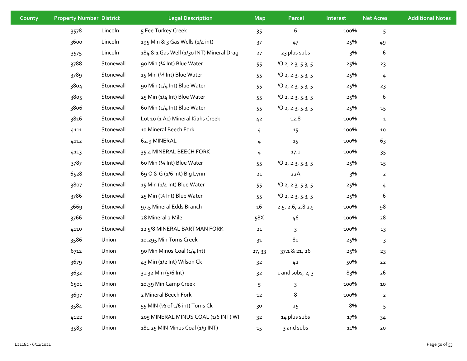| County | <b>Property Number District</b> |           | <b>Legal Description</b>                 | <b>Map</b>     | Parcel                  | <b>Interest</b> | <b>Net Acres</b> | <b>Additional Notes</b> |
|--------|---------------------------------|-----------|------------------------------------------|----------------|-------------------------|-----------------|------------------|-------------------------|
|        | 3578                            | Lincoln   | 5 Fee Turkey Creek                       | 35             | 6                       | 100%            | 5                |                         |
|        | 3600                            | Lincoln   | 195 Min & 3 Gas Wells (1/4 int)          | 37             | 47                      | 25%             | 49               |                         |
|        | 3575                            | Lincoln   | 184 & 1 Gas Well (1/30 INT) Mineral Drag | 27             | 23 plus subs            | 3%              | 6                |                         |
|        | 3788                            | Stonewall | 90 Min (1⁄4 Int) Blue Water              | 55             | 102, 2.3, 5.3, 5        | 25%             | 23               |                         |
|        | 3789                            | Stonewall | 15 Min (1⁄4 Int) Blue Water              | 55             | 102, 2.3, 5.3, 5        | 25%             | 4                |                         |
|        | 3804                            | Stonewall | 90 Min (1/4 Int) Blue Water              | 55             | 102, 2.3, 5.3, 5        | 25%             | 23               |                         |
|        | 3805                            | Stonewall | 25 Min (1/4 Int) Blue Water              | 55             | 102, 2.3, 5.3, 5        | 25%             | 6                |                         |
|        | 3806                            | Stonewall | 60 Min (1/4 Int) Blue Water              | 55             | 102, 2.3, 5.3, 5        | 25%             | 15               |                         |
|        | 3816                            | Stonewall | Lot 10 (1 Ac) Mineral Kiahs Creek        | 42             | 12.8                    | 100%            | $\mathbf{1}$     |                         |
|        | 4111                            | Stonewall | 10 Mineral Beech Fork                    | 4              | 15                      | 100%            | $10\,$           |                         |
|        | 4112                            | Stonewall | 62.9 MINERAL                             | 4              | 15                      | 100%            | 63               |                         |
|        | 4113                            | Stonewall | 35.4 MINERAL BEECH FORK                  | 4              | 17.1                    | 100%            | 35               |                         |
|        | 3787                            | Stonewall | 60 Min (1⁄4 Int) Blue Water              | 55             | 102, 2.3, 5.3, 5        | 25%             | 15               |                         |
|        | 6528                            | Stonewall | 69 O & G (1/6 Int) Big Lynn              | 21             | 22A                     | 3%              | $\overline{2}$   |                         |
|        | 3807                            | Stonewall | 15 Min (1/4 Int) Blue Water              | 55             | 102, 2.3, 5.3, 5        | 25%             | 4                |                         |
|        | 3786                            | Stonewall | 25 Min (1⁄4 Int) Blue Water              | 55             | 102, 2.3, 5.3, 5        | 25%             | 6                |                         |
|        | 3669                            | Stonewall | 97.5 Mineral Edds Branch                 | 16             | $2.5, 2.6, 2.8$ 2.9     | 100%            | 98               |                         |
|        | 3766                            | Stonewall | 28 Mineral 2 Mile                        | 58X            | 46                      | 100%            | 28               |                         |
|        | 4110                            | Stonewall | 12 5/8 MINERAL BARTMAN FORK              | 21             | 3                       | 100%            | 13               |                         |
|        | 3586                            | Union     | 10.295 Min Toms Creek                    | 31             | 8 <sub>0</sub>          | 25%             | 3                |                         |
|        | 6712                            | Union     | 90 Min Minus Coal (1/4 Int)              | 27, 33         | 37.1 & 21, 26           | 25%             | 23               |                         |
|        | 3679                            | Union     | 43 Min (1/2 Int) Wilson Ck               | 3 <sup>2</sup> | 42                      | 50%             | 22               |                         |
|        | 3632                            | Union     | 31.32 Min (5/6 Int)                      | 3 <sup>2</sup> | $1$ and subs, $2$ , $3$ | 83%             | 26               |                         |
|        | 6501                            | Union     | 10.39 Min Camp Creek                     | 5              | 3                       | 100%            | ${\bf 10}$       |                         |
|        | 3697                            | Union     | 2 Mineral Beech Fork                     | 12             | 8                       | 100%            | $\overline{2}$   |                         |
|        | 3584                            | Union     | 55 MIN (1/2 of 1/6 int) Toms Ck          | 30             | 25                      | 8%              | 5                |                         |
|        | 4122                            | Union     | 205 MINERAL MINUS COAL (1/6 INT) WI      | 3 <sup>2</sup> | 14 plus subs            | 17%             | 34               |                         |
|        | 3583                            | Union     | 181.25 MIN Minus Coal (1/9 INT)          | 15             | 3 and subs              | 11%             | 20               |                         |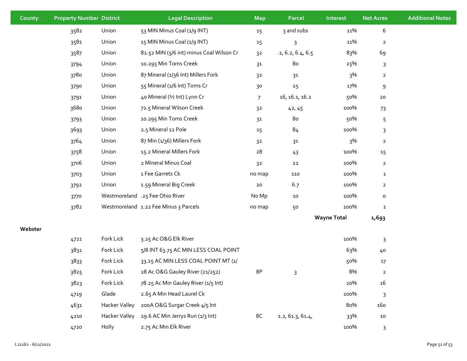| County  | <b>Property Number District</b> |               | <b>Legal Description</b>                 | <b>Map</b>     | Parcel            | Interest           | <b>Net Acres</b> | <b>Additional Notes</b> |
|---------|---------------------------------|---------------|------------------------------------------|----------------|-------------------|--------------------|------------------|-------------------------|
|         | 3582                            | Union         | 53 MIN Minus Coal (1/9 INT)              | 15             | 3 and subs        | 11%                | 6                |                         |
|         | 3581                            | Union         | 15 MIN Minus Coal (1/9 INT)              | 15             | 3                 | 11%                | $\overline{2}$   |                         |
|         | 3587                            | Union         | 82.52 MIN (5/6 int) minus Coal Wilson Cr | 3 <sup>2</sup> | .1, 6.2, 6.4, 6.5 | 83%                | 69               |                         |
|         | 3794                            | Union         | 10.295 Min Toms Creek                    | 31             | 80                | 25%                | $\mathsf{3}$     |                         |
|         | 3780                            | Union         | 87 Mineral (1/36 Int) Millers Fork       | 3 <sup>2</sup> | 31                | 3%                 | $\mathbf{2}$     |                         |
|         | 3790                            | Union         | 55 Mineral (1/6 Int) Toms Cr             | 30             | 25                | 17%                | 9                |                         |
|         | 3791                            | Union         | 40 Mineral (1/2 Int) Lynn Cr             | $\overline{7}$ | 16, 16.1, 16.2    | 50%                | $20\,$           |                         |
|         | 3680                            | Union         | 72.5 Mineral Wilson Creek                | 32             | 42, 45            | 100%               | 73               |                         |
|         | 3793                            | Union         | 10.295 Min Toms Creek                    | 31             | 80                | 50%                | 5                |                         |
|         | 3693                            | Union         | 2.5 Mineral 12 Pole                      | 15             | 84                | 100%               | 3                |                         |
|         | 3764                            | Union         | 87 Min (1/36) Millers Fork               | 3 <sup>2</sup> | $31$              | 3%                 | $\overline{2}$   |                         |
|         | 3758                            | Union         | 15.2 Mineral Millers Fork                | 28             | 43                | 100%               | 15               |                         |
|         | 3706                            | Union         | 2 Mineral Minus Coal                     | 3 <sup>2</sup> | 22                | 100%               | $\overline{2}$   |                         |
|         | 3703                            | Union         | 1 Fee Garrets Ck                         | no map         | 110               | 100%               | $\mathbf{1}$     |                         |
|         | 3792                            | Union         | 1.59 Mineral Big Creek                   | 20             | 6.7               | 100%               | $\mathbf{2}$     |                         |
|         | 3770                            |               | Westmoreland .25 Fee Ohio River          | No Mp          | $10\,$            | 100%               | $\mathsf{o}\,$   |                         |
|         | 3782                            |               | Westmoreland 1.22 Fee Minus 3 Parcels    | no map         | 50                | 100%               | $\mathbf{1}$     |                         |
|         |                                 |               |                                          |                |                   | <b>Wayne Total</b> | 1,693            |                         |
| Webster |                                 |               |                                          |                |                   |                    |                  |                         |
|         | 4721                            | Fork Lick     | 3.25 Ac O&G Elk River                    |                |                   | 100%               | 3                |                         |
|         | 3831                            | Fork Lick     | 5/8 INT 63.75 AC MIN LESS COAL POINT     |                |                   | 63%                | 40               |                         |
|         | 3833                            | Fork Lick     | 33.25 AC MIN LESS COAL POINT MT (1/      |                |                   | 50%                | 17               |                         |
|         | 3825                            | Fork Lick     | 28 Ac O&G Gauley River (21/252)          | 8P             | 3                 | 8%                 | $\overline{2}$   |                         |
|         | 3823                            | Fork Lick     | 78.25 Ac Min Gauley River (1/5 Int)      |                |                   | 20%                | 16               |                         |
|         | 4719                            | Glade         | 2.65 A Min Head Laurel Ck                |                |                   | 100%               | $\mathsf{3}$     |                         |
|         | 4631                            | Hacker Valley | 200A O&G Surgar Creek 4/5 Int            |                |                   | 80%                | 160              |                         |
|         | 4210                            | Hacker Valley | 29.6 AC Min Jerrys Run (1/3 Int)         | 8C             | 1.2, 61.3, 61.4,  | 33%                | 10               |                         |
|         | 4720                            | Holly         | 2.75 Ac Min Elk River                    |                |                   | 100%               | $\mathsf{3}$     |                         |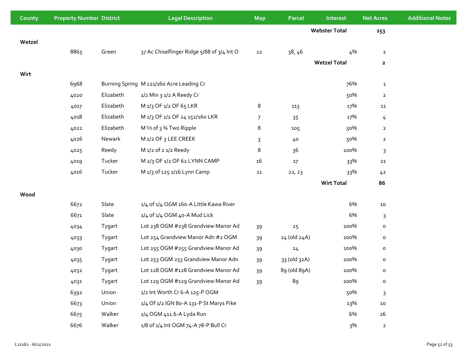| County | <b>Property Number District</b> |           | <b>Legal Description</b>                   | <b>Map</b>     | Parcel       | Interest             | <b>Net Acres</b> | <b>Additional Notes</b> |
|--------|---------------------------------|-----------|--------------------------------------------|----------------|--------------|----------------------|------------------|-------------------------|
|        |                                 |           |                                            |                |              | <b>Webster Total</b> | 253              |                         |
| Wetzel |                                 |           |                                            |                |              |                      |                  |                         |
|        | 8865                            | Green     | 37 Ac Chiselfinger Ridge 5/88 of 3/4 Int O | 12             | 38, 46       | 4%                   | $\overline{a}$   |                         |
|        |                                 |           |                                            |                |              | <b>Wetzel Total</b>  | $\mathbf{z}$     |                         |
| Wirt   |                                 |           |                                            |                |              |                      |                  |                         |
|        | 6968                            |           | Burning Spring M 121/160 Acre Leading Cr   |                |              | 76%                  | $\mathbf{1}$     |                         |
|        | 4020                            | Elizabeth | 1/2 Min 3 1/2 A Reedy Cr                   |                |              | 50%                  | $\overline{2}$   |                         |
|        | 4017                            | Elizabeth | M 1/3 OF 1/2 OF 65 LKR                     | 8              | 113          | 17%                  | 11               |                         |
|        | 4018                            | Elizabeth | M 1/3 OF 1/2 OF 24 152/160 LKR             | $\overline{7}$ | 35           | 17%                  | $\overline{4}$   |                         |
|        | 4022                            | Elizabeth | M 1/2 of 3 3/4 Two Ripple                  | 8              | 105          | 50%                  | $\overline{2}$   |                         |
|        | 4026                            | Newark    | M 1/2 OF 3 LEE CREEK                       | 3              | 40           | 50%                  | $\overline{2}$   |                         |
|        | 4025                            | Reedy     | M 1/2 of 2 1/2 Reedy                       | 8              | 36           | 100%                 | 3                |                         |
|        | 4019                            | Tucker    | M 2/3 OF 1/2 OF 62 LYNN CAMP               | 16             | $17$         | 33%                  | 21               |                         |
|        | 4016                            | Tucker    | M 1/3 of 125 1/16 Lynn Camp                | ${\bf 11}$     | 22, 23       | 33%                  | 42               |                         |
|        |                                 |           |                                            |                |              | <b>Wirt Total</b>    | 86               |                         |
| Wood   |                                 |           |                                            |                |              |                      |                  |                         |
|        | 6672                            | Slate     | 1/4 of 1/4 OGM 160-A Little Kawa River     |                |              | 6%                   | $10\,$           |                         |
|        | 6671                            | Slate     | 1/4 of 1/4 OGM 40-A Mud Lick               |                |              | 6%                   | 3                |                         |
|        | 4034                            | Tygart    | Lot 238 OGM #238 Grandview Manor Ad        | 39             | 25           | 100%                 | $\mathsf{o}\,$   |                         |
|        | 4033                            | Tygart    | Lot 254 Grandview Manor Adn #2 OGM         | 39             | 24 (old 24A) | 100%                 | $\mathsf{o}$     |                         |
|        | 4030                            | Tygart    | Lot 255 OGM #255 Grandview Manor Ad        | 39             | 24           | 100%                 | $\mathsf{o}\,$   |                         |
|        | 4035                            | Tygart    | Lot 253 OGM 253 Grandview Manor Adn        | 39             | 33 (old 32A) | 100%                 | $\mathsf{o}\,$   |                         |
|        | 4032                            | Tygart    | Lot 128 OGM #128 Grandview Manor Ad        | 39             | 89 (old 89A) | 100%                 | $\mathsf{o}\,$   |                         |
|        | 4031                            | Tygart    | Lot 129 OGM #129 Grandview Manor Ad        | 39             | 89           | 100%                 | $\mathsf{o}$     |                         |
|        | 6392                            | Union     | 1/2 Int Worth Cr 6-A 125-P OGM             |                |              | 50%                  | 3                |                         |
|        | 6673                            | Union     | 1/4 Of 1/2 IGN 80-A 131-P St Marys Pike    |                |              | 13%                  | ${\bf 10}$       |                         |
|        | 6675                            | Walker    | 1/4 OGM 411.6-A Lyda Run                   |                |              | 6%                   | 26               |                         |
|        | 6676                            | Walker    | 1/8 of 1/4 Int OGM 74-A 78-P Bull Cr       |                |              | 3%                   | $\overline{a}$   |                         |